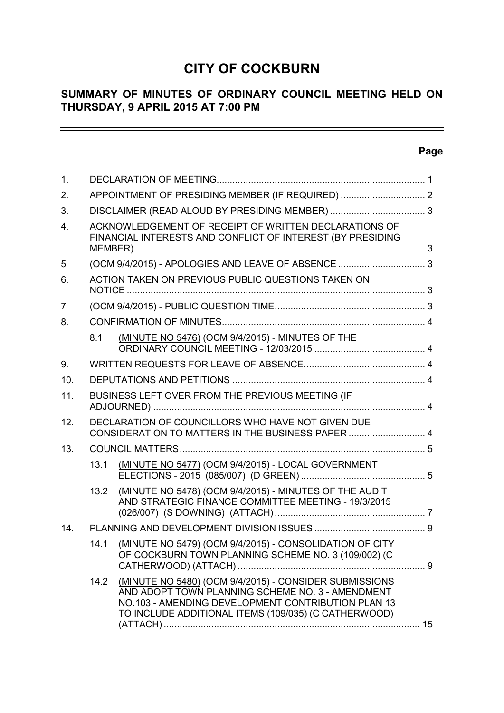# **CITY OF COCKBURN**

# **SUMMARY OF MINUTES OF ORDINARY COUNCIL MEETING HELD ON THURSDAY, 9 APRIL 2015 AT 7:00 PM**

# **Page**

 $\equiv$ 

| 1.               |                                                                                                                     |                                                                                                                                                                                                                          |  |
|------------------|---------------------------------------------------------------------------------------------------------------------|--------------------------------------------------------------------------------------------------------------------------------------------------------------------------------------------------------------------------|--|
| 2.               |                                                                                                                     |                                                                                                                                                                                                                          |  |
| 3.               |                                                                                                                     |                                                                                                                                                                                                                          |  |
| $\overline{4}$ . | ACKNOWLEDGEMENT OF RECEIPT OF WRITTEN DECLARATIONS OF<br>FINANCIAL INTERESTS AND CONFLICT OF INTEREST (BY PRESIDING |                                                                                                                                                                                                                          |  |
| 5                |                                                                                                                     |                                                                                                                                                                                                                          |  |
| 6.               |                                                                                                                     | ACTION TAKEN ON PREVIOUS PUBLIC QUESTIONS TAKEN ON                                                                                                                                                                       |  |
| $\overline{7}$   |                                                                                                                     |                                                                                                                                                                                                                          |  |
| 8.               |                                                                                                                     |                                                                                                                                                                                                                          |  |
|                  | 8.1                                                                                                                 | (MINUTE NO 5476) (OCM 9/4/2015) - MINUTES OF THE                                                                                                                                                                         |  |
| 9.               |                                                                                                                     |                                                                                                                                                                                                                          |  |
| 10.              |                                                                                                                     |                                                                                                                                                                                                                          |  |
| 11.              | BUSINESS LEFT OVER FROM THE PREVIOUS MEETING (IF                                                                    |                                                                                                                                                                                                                          |  |
| 12.              | DECLARATION OF COUNCILLORS WHO HAVE NOT GIVEN DUE<br>CONSIDERATION TO MATTERS IN THE BUSINESS PAPER  4              |                                                                                                                                                                                                                          |  |
| 13.              |                                                                                                                     |                                                                                                                                                                                                                          |  |
|                  | 13.1                                                                                                                | (MINUTE NO 5477) (OCM 9/4/2015) - LOCAL GOVERNMENT                                                                                                                                                                       |  |
|                  | 13.2                                                                                                                | (MINUTE NO 5478) (OCM 9/4/2015) - MINUTES OF THE AUDIT<br>AND STRATEGIC FINANCE COMMITTEE MEETING - 19/3/2015                                                                                                            |  |
| 14.              |                                                                                                                     |                                                                                                                                                                                                                          |  |
|                  | 141                                                                                                                 | (MINUTE NO 5479) (OCM 9/4/2015) - CONSOLIDATION OF CITY<br>OF COCKBURN TOWN PLANNING SCHEME NO. 3 (109/002) (C                                                                                                           |  |
|                  | 14.2                                                                                                                | (MINUTE NO 5480) (OCM 9/4/2015) - CONSIDER SUBMISSIONS<br>AND ADOPT TOWN PLANNING SCHEME NO. 3 - AMENDMENT<br>NO.103 - AMENDING DEVELOPMENT CONTRIBUTION PLAN 13<br>TO INCLUDE ADDITIONAL ITEMS (109/035) (C CATHERWOOD) |  |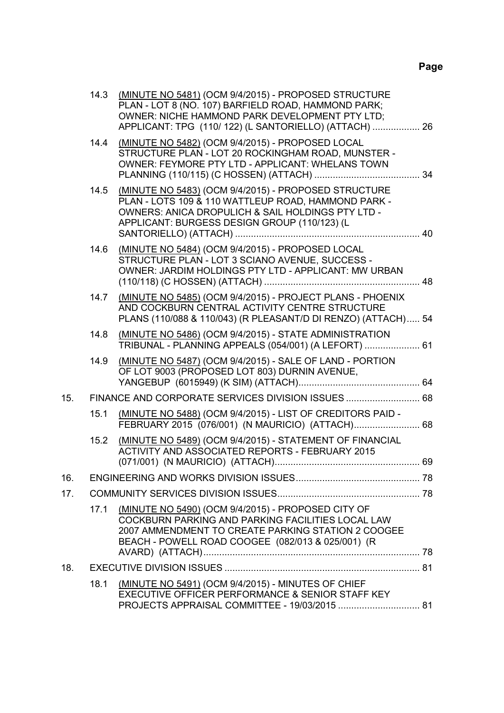|     | 14.3 | (MINUTE NO 5481) (OCM 9/4/2015) - PROPOSED STRUCTURE<br>PLAN - LOT 8 (NO. 107) BARFIELD ROAD, HAMMOND PARK;<br>OWNER: NICHE HAMMOND PARK DEVELOPMENT PTY LTD;<br>APPLICANT: TPG (110/122) (L SANTORIELLO) (ATTACH)  26 |  |
|-----|------|------------------------------------------------------------------------------------------------------------------------------------------------------------------------------------------------------------------------|--|
|     | 14.4 | (MINUTE NO 5482) (OCM 9/4/2015) - PROPOSED LOCAL<br>STRUCTURE PLAN - LOT 20 ROCKINGHAM ROAD, MUNSTER -<br>OWNER: FEYMORE PTY LTD - APPLICANT: WHELANS TOWN                                                             |  |
|     | 14.5 | (MINUTE NO 5483) (OCM 9/4/2015) - PROPOSED STRUCTURE<br>PLAN - LOTS 109 & 110 WATTLEUP ROAD, HAMMOND PARK -<br>OWNERS: ANICA DROPULICH & SAIL HOLDINGS PTY LTD -<br>APPLICANT: BURGESS DESIGN GROUP (110/123) (L       |  |
|     | 14.6 | (MINUTE NO 5484) (OCM 9/4/2015) - PROPOSED LOCAL<br>STRUCTURE PLAN - LOT 3 SCIANO AVENUE, SUCCESS -<br>OWNER: JARDIM HOLDINGS PTY LTD - APPLICANT: MW URBAN                                                            |  |
|     | 14.7 | (MINUTE NO 5485) (OCM 9/4/2015) - PROJECT PLANS - PHOENIX<br>AND COCKBURN CENTRAL ACTIVITY CENTRE STRUCTURE<br>PLANS (110/088 & 110/043) (R PLEASANT/D DI RENZO) (ATTACH) 54                                           |  |
|     | 14.8 | (MINUTE NO 5486) (OCM 9/4/2015) - STATE ADMINISTRATION<br>TRIBUNAL - PLANNING APPEALS (054/001) (A LEFORT)  61                                                                                                         |  |
|     | 14.9 | (MINUTE NO 5487) (OCM 9/4/2015) - SALE OF LAND - PORTION<br>OF LOT 9003 (PROPOSED LOT 803) DURNIN AVENUE,                                                                                                              |  |
| 15. |      | FINANCE AND CORPORATE SERVICES DIVISION ISSUES  68                                                                                                                                                                     |  |
|     | 15.1 | (MINUTE NO 5488) (OCM 9/4/2015) - LIST OF CREDITORS PAID -<br>FEBRUARY 2015 (076/001) (N MAURICIO) (ATTACH) 68                                                                                                         |  |
|     | 15.2 | (MINUTE NO 5489) (OCM 9/4/2015) - STATEMENT OF FINANCIAL<br>ACTIVITY AND ASSOCIATED REPORTS - FEBRUARY 2015                                                                                                            |  |
| 16. |      |                                                                                                                                                                                                                        |  |
| 17. |      |                                                                                                                                                                                                                        |  |
|     | 17.1 | (MINUTE NO 5490) (OCM 9/4/2015) - PROPOSED CITY OF<br>COCKBURN PARKING AND PARKING FACILITIES LOCAL LAW<br>2007 AMMENDMENT TO CREATE PARKING STATION 2 COOGEE<br>BEACH - POWELL ROAD COOGEE (082/013 & 025/001) (R     |  |
| 18. |      |                                                                                                                                                                                                                        |  |
|     | 18.1 | (MINUTE NO 5491) (OCM 9/4/2015) - MINUTES OF CHIEF<br>EXECUTIVE OFFICER PERFORMANCE & SENIOR STAFF KEY<br>PROJECTS APPRAISAL COMMITTEE - 19/03/2015  81                                                                |  |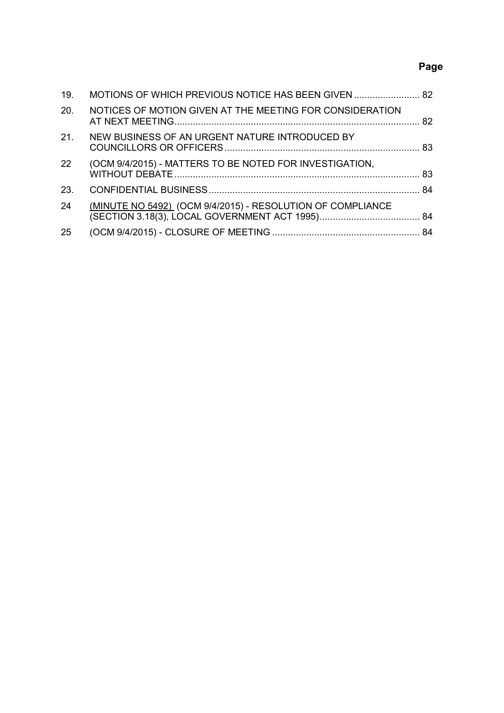# **Page**

| 19.             | MOTIONS OF WHICH PREVIOUS NOTICE HAS BEEN GIVEN  82        |  |
|-----------------|------------------------------------------------------------|--|
| 20.             | NOTICES OF MOTION GIVEN AT THE MEETING FOR CONSIDERATION   |  |
| 21 <sub>1</sub> | NEW BUSINESS OF AN URGENT NATURE INTRODUCED BY             |  |
| 22              | (OCM 9/4/2015) - MATTERS TO BE NOTED FOR INVESTIGATION,    |  |
| 23.             |                                                            |  |
| 24              | (MINUTE NO 5492) (OCM 9/4/2015) - RESOLUTION OF COMPLIANCE |  |
| 25              |                                                            |  |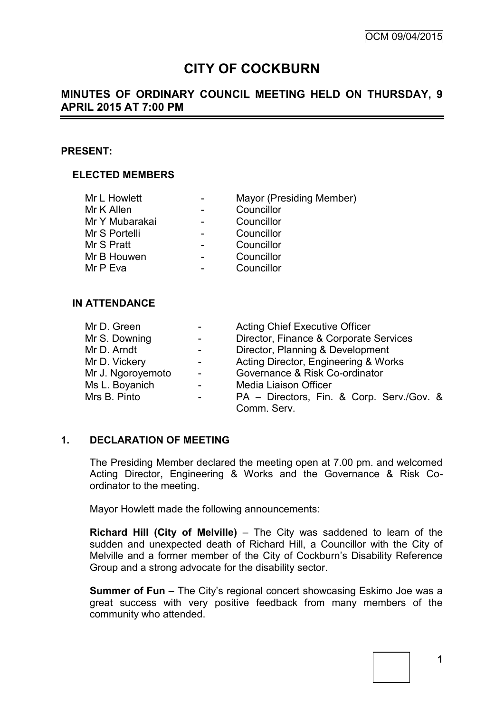# **CITY OF COCKBURN**

# **MINUTES OF ORDINARY COUNCIL MEETING HELD ON THURSDAY, 9 APRIL 2015 AT 7:00 PM**

#### **PRESENT:**

#### **ELECTED MEMBERS**

| Mr L Howlett   | Mayor (Presiding Member) |
|----------------|--------------------------|
| Mr K Allen     | Councillor               |
| Mr Y Mubarakai | Councillor               |
| Mr S Portelli  | Councillor               |
| Mr S Pratt     | Councillor               |
| Mr B Houwen    | Councillor               |
| Mr P Eva       | Councillor               |

## **IN ATTENDANCE**

| Mr D. Green       | <b>Acting Chief Executive Officer</b>     |
|-------------------|-------------------------------------------|
| Mr S. Downing     | Director, Finance & Corporate Services    |
| Mr D. Arndt       | Director, Planning & Development          |
| Mr D. Vickery     | Acting Director, Engineering & Works      |
| Mr J. Ngoroyemoto | Governance & Risk Co-ordinator            |
| Ms L. Boyanich    | Media Liaison Officer                     |
| Mrs B. Pinto      | PA - Directors, Fin. & Corp. Serv./Gov. & |
|                   | Comm. Serv.                               |

#### **1. DECLARATION OF MEETING**

The Presiding Member declared the meeting open at 7.00 pm. and welcomed Acting Director, Engineering & Works and the Governance & Risk Coordinator to the meeting.

Mayor Howlett made the following announcements:

**Richard Hill (City of Melville)** – The City was saddened to learn of the sudden and unexpected death of Richard Hill, a Councillor with the City of Melville and a former member of the City of Cockburn's Disability Reference Group and a strong advocate for the disability sector.

**Summer of Fun** – The City's regional concert showcasing Eskimo Joe was a great success with very positive feedback from many members of the community who attended.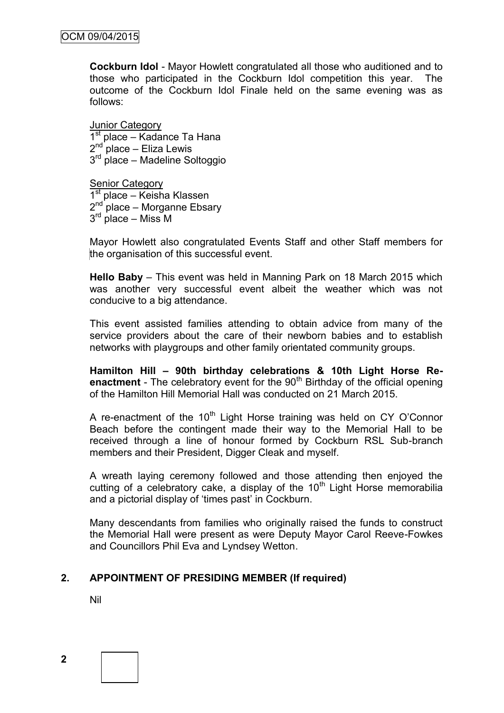**Cockburn Idol** - Mayor Howlett congratulated all those who auditioned and to those who participated in the Cockburn Idol competition this year. The outcome of the Cockburn Idol Finale held on the same evening was as follows:

Junior Category 1<sup>st</sup> place – Kadance Ta Hana 2<sup>nd</sup> place – Eliza Lewis 3<sup>rd</sup> place – Madeline Soltoggio

Senior Category 1<sup>st</sup> place – Keisha Klassen 2<sup>nd p</sup>lace – Morganne Ebsary 3<sup>rd</sup> place – Miss M

Mayor Howlett also congratulated Events Staff and other Staff members for the organisation of this successful event.

**Hello Baby** – This event was held in Manning Park on 18 March 2015 which was another very successful event albeit the weather which was not conducive to a big attendance.

This event assisted families attending to obtain advice from many of the service providers about the care of their newborn babies and to establish networks with playgroups and other family orientated community groups.

**Hamilton Hill – 90th birthday celebrations & 10th Light Horse Reenactment** - The celebratory event for the 90<sup>th</sup> Birthday of the official opening of the Hamilton Hill Memorial Hall was conducted on 21 March 2015.

A re-enactment of the  $10<sup>th</sup>$  Light Horse training was held on CY O'Connor Beach before the contingent made their way to the Memorial Hall to be received through a line of honour formed by Cockburn RSL Sub-branch members and their President, Digger Cleak and myself.

A wreath laying ceremony followed and those attending then enjoyed the cutting of a celebratory cake, a display of the  $10<sup>th</sup>$  Light Horse memorabilia and a pictorial display of 'times past' in Cockburn.

Many descendants from families who originally raised the funds to construct the Memorial Hall were present as were Deputy Mayor Carol Reeve-Fowkes and Councillors Phil Eva and Lyndsey Wetton.

# **2. APPOINTMENT OF PRESIDING MEMBER (If required)**

Nil

**2**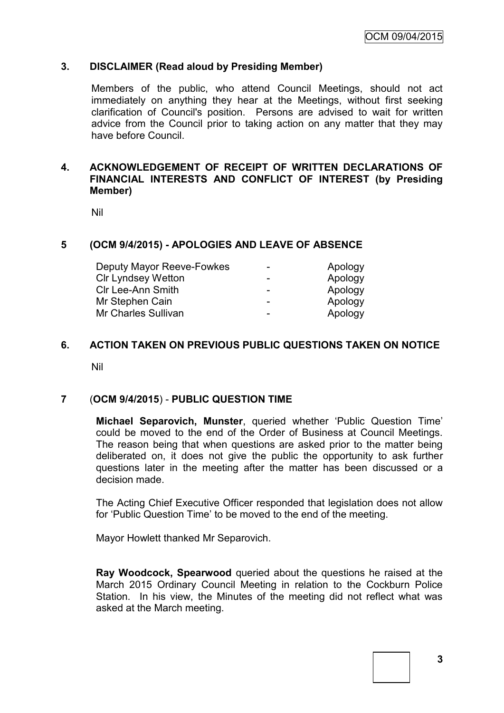#### **3. DISCLAIMER (Read aloud by Presiding Member)**

Members of the public, who attend Council Meetings, should not act immediately on anything they hear at the Meetings, without first seeking clarification of Council's position. Persons are advised to wait for written advice from the Council prior to taking action on any matter that they may have before Council.

## **4. ACKNOWLEDGEMENT OF RECEIPT OF WRITTEN DECLARATIONS OF FINANCIAL INTERESTS AND CONFLICT OF INTEREST (by Presiding Member)**

Nil

#### **5 (OCM 9/4/2015) - APOLOGIES AND LEAVE OF ABSENCE**

| Deputy Mayor Reeve-Fowkes | -                        | Apology |
|---------------------------|--------------------------|---------|
| <b>CIr Lyndsey Wetton</b> | -                        | Apology |
| <b>CIr Lee-Ann Smith</b>  | $\overline{\phantom{0}}$ | Apology |
| Mr Stephen Cain           | -                        | Apology |
| Mr Charles Sullivan       | -                        | Apology |

#### **6. ACTION TAKEN ON PREVIOUS PUBLIC QUESTIONS TAKEN ON NOTICE**

Nil

#### **7** (**OCM 9/4/2015**) - **PUBLIC QUESTION TIME**

**Michael Separovich, Munster**, queried whether 'Public Question Time' could be moved to the end of the Order of Business at Council Meetings. The reason being that when questions are asked prior to the matter being deliberated on, it does not give the public the opportunity to ask further questions later in the meeting after the matter has been discussed or a decision made.

The Acting Chief Executive Officer responded that legislation does not allow for 'Public Question Time' to be moved to the end of the meeting.

Mayor Howlett thanked Mr Separovich.

**Ray Woodcock, Spearwood** queried about the questions he raised at the March 2015 Ordinary Council Meeting in relation to the Cockburn Police Station. In his view, the Minutes of the meeting did not reflect what was asked at the March meeting.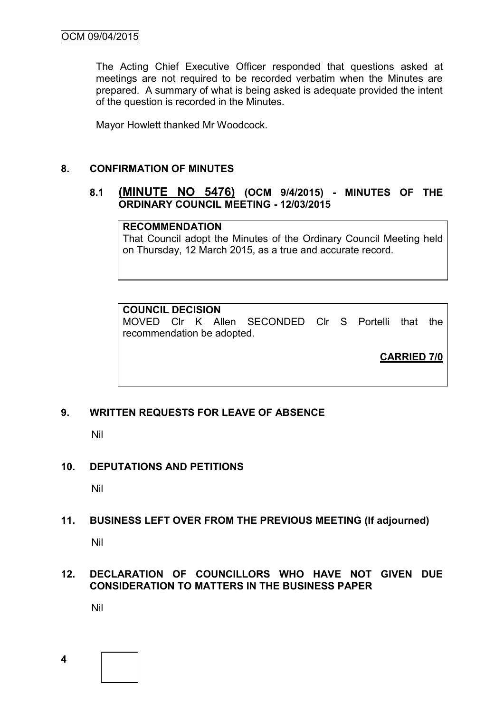The Acting Chief Executive Officer responded that questions asked at meetings are not required to be recorded verbatim when the Minutes are prepared. A summary of what is being asked is adequate provided the intent of the question is recorded in the Minutes.

Mayor Howlett thanked Mr Woodcock.

## **8. CONFIRMATION OF MINUTES**

## **8.1 (MINUTE NO 5476) (OCM 9/4/2015) - MINUTES OF THE ORDINARY COUNCIL MEETING - 12/03/2015**

#### **RECOMMENDATION**

That Council adopt the Minutes of the Ordinary Council Meeting held on Thursday, 12 March 2015, as a true and accurate record.

# **COUNCIL DECISION**

MOVED Clr K Allen SECONDED Clr S Portelli that the recommendation be adopted.

**CARRIED 7/0**

# **9. WRITTEN REQUESTS FOR LEAVE OF ABSENCE**

Nil

## **10. DEPUTATIONS AND PETITIONS**

Nil

## **11. BUSINESS LEFT OVER FROM THE PREVIOUS MEETING (If adjourned)**

Nil

# **12. DECLARATION OF COUNCILLORS WHO HAVE NOT GIVEN DUE CONSIDERATION TO MATTERS IN THE BUSINESS PAPER**

Nil

**4**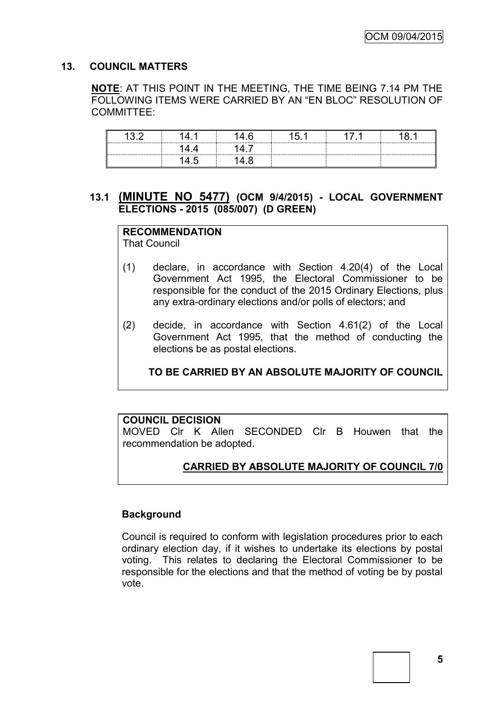## **13. COUNCIL MATTERS**

**NOTE**: AT THIS POINT IN THE MEETING, THE TIME BEING 7.14 PM THE FOLLOWING ITEMS WERE CARRIED BY AN "EN BLOC" RESOLUTION OF COMMITTEE:

## **13.1 (MINUTE NO 5477) (OCM 9/4/2015) - LOCAL GOVERNMENT ELECTIONS - 2015 (085/007) (D GREEN)**

# **RECOMMENDATION**

That Council

- (1) declare, in accordance with Section 4.20(4) of the Local Government Act 1995, the Electoral Commissioner to be responsible for the conduct of the 2015 Ordinary Elections, plus any extra-ordinary elections and/or polls of electors; and
- (2) decide, in accordance with Section 4.61(2) of the Local Government Act 1995, that the method of conducting the elections be as postal elections.

**TO BE CARRIED BY AN ABSOLUTE MAJORITY OF COUNCIL**

## **COUNCIL DECISION**

MOVED Clr K Allen SECONDED Clr B Houwen that the recommendation be adopted.

# **CARRIED BY ABSOLUTE MAJORITY OF COUNCIL 7/0**

## **Background**

Council is required to conform with legislation procedures prior to each ordinary election day, if it wishes to undertake its elections by postal voting. This relates to declaring the Electoral Commissioner to be responsible for the elections and that the method of voting be by postal vote.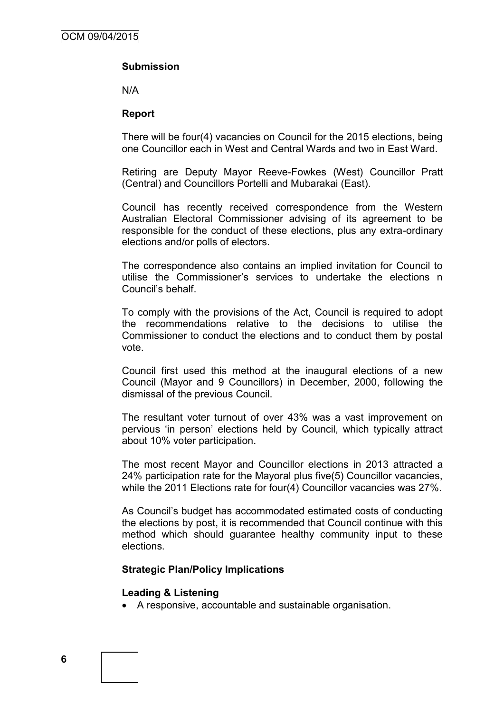## **Submission**

N/A

#### **Report**

There will be four(4) vacancies on Council for the 2015 elections, being one Councillor each in West and Central Wards and two in East Ward.

Retiring are Deputy Mayor Reeve-Fowkes (West) Councillor Pratt (Central) and Councillors Portelli and Mubarakai (East).

Council has recently received correspondence from the Western Australian Electoral Commissioner advising of its agreement to be responsible for the conduct of these elections, plus any extra-ordinary elections and/or polls of electors.

The correspondence also contains an implied invitation for Council to utilise the Commissioner's services to undertake the elections n Council's behalf.

To comply with the provisions of the Act, Council is required to adopt the recommendations relative to the decisions to utilise the Commissioner to conduct the elections and to conduct them by postal vote.

Council first used this method at the inaugural elections of a new Council (Mayor and 9 Councillors) in December, 2000, following the dismissal of the previous Council.

The resultant voter turnout of over 43% was a vast improvement on pervious 'in person' elections held by Council, which typically attract about 10% voter participation.

The most recent Mayor and Councillor elections in 2013 attracted a 24% participation rate for the Mayoral plus five(5) Councillor vacancies, while the 2011 Elections rate for four(4) Councillor vacancies was 27%.

As Council's budget has accommodated estimated costs of conducting the elections by post, it is recommended that Council continue with this method which should guarantee healthy community input to these elections.

#### **Strategic Plan/Policy Implications**

#### **Leading & Listening**

A responsive, accountable and sustainable organisation.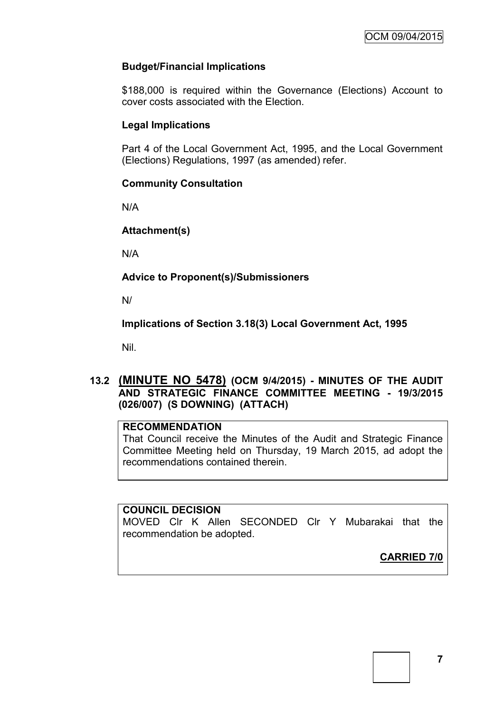## **Budget/Financial Implications**

\$188,000 is required within the Governance (Elections) Account to cover costs associated with the Election.

## **Legal Implications**

Part 4 of the Local Government Act, 1995, and the Local Government (Elections) Regulations, 1997 (as amended) refer.

## **Community Consultation**

N/A

## **Attachment(s)**

N/A

## **Advice to Proponent(s)/Submissioners**

N/

**Implications of Section 3.18(3) Local Government Act, 1995**

Nil.

## **13.2 (MINUTE NO 5478) (OCM 9/4/2015) - MINUTES OF THE AUDIT AND STRATEGIC FINANCE COMMITTEE MEETING - 19/3/2015 (026/007) (S DOWNING) (ATTACH)**

## **RECOMMENDATION**

That Council receive the Minutes of the Audit and Strategic Finance Committee Meeting held on Thursday, 19 March 2015, ad adopt the recommendations contained therein.

## **COUNCIL DECISION**

MOVED Clr K Allen SECONDED Clr Y Mubarakai that the recommendation be adopted.

**CARRIED 7/0**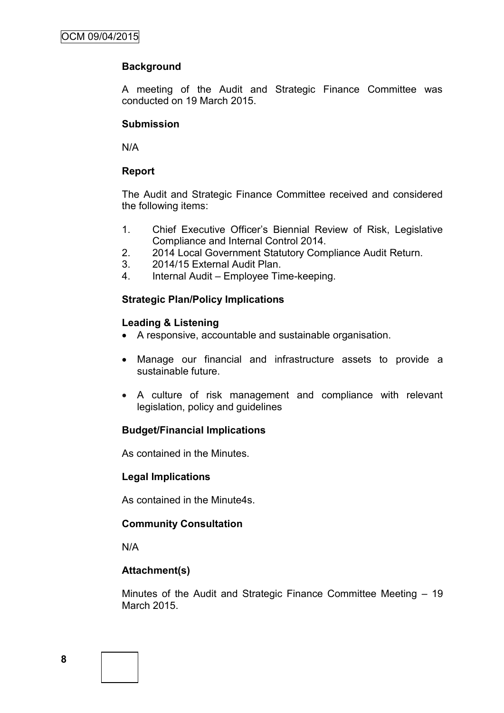## **Background**

A meeting of the Audit and Strategic Finance Committee was conducted on 19 March 2015.

#### **Submission**

N/A

#### **Report**

The Audit and Strategic Finance Committee received and considered the following items:

- 1. Chief Executive Officer's Biennial Review of Risk, Legislative Compliance and Internal Control 2014.
- 2. 2014 Local Government Statutory Compliance Audit Return.
- 3. 2014/15 External Audit Plan.
- 4. Internal Audit Employee Time-keeping.

#### **Strategic Plan/Policy Implications**

#### **Leading & Listening**

- A responsive, accountable and sustainable organisation.
- Manage our financial and infrastructure assets to provide a sustainable future.
- A culture of risk management and compliance with relevant legislation, policy and guidelines

## **Budget/Financial Implications**

As contained in the Minutes.

#### **Legal Implications**

As contained in the Minute4s.

## **Community Consultation**

N/A

## **Attachment(s)**

Minutes of the Audit and Strategic Finance Committee Meeting – 19 March 2015.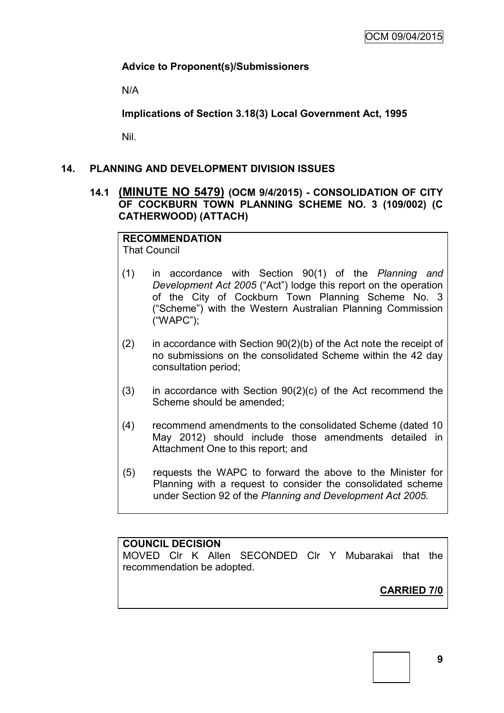## **Advice to Proponent(s)/Submissioners**

N/A

**Implications of Section 3.18(3) Local Government Act, 1995**

Nil.

## **14. PLANNING AND DEVELOPMENT DIVISION ISSUES**

## **14.1 (MINUTE NO 5479) (OCM 9/4/2015) - CONSOLIDATION OF CITY OF COCKBURN TOWN PLANNING SCHEME NO. 3 (109/002) (C CATHERWOOD) (ATTACH)**

# **RECOMMENDATION**

That Council

- (1) in accordance with Section 90(1) of the *Planning and Development Act 2005* ("Act") lodge this report on the operation of the City of Cockburn Town Planning Scheme No. 3 ("Scheme") with the Western Australian Planning Commission ("WAPC");
- (2) in accordance with Section 90(2)(b) of the Act note the receipt of no submissions on the consolidated Scheme within the 42 day consultation period;
- (3) in accordance with Section 90(2)(c) of the Act recommend the Scheme should be amended;
- (4) recommend amendments to the consolidated Scheme (dated 10 May 2012) should include those amendments detailed in Attachment One to this report; and
- (5) requests the WAPC to forward the above to the Minister for Planning with a request to consider the consolidated scheme under Section 92 of the *Planning and Development Act 2005.*

# **COUNCIL DECISION**

MOVED Clr K Allen SECONDED Clr Y Mubarakai that the recommendation be adopted.

**CARRIED 7/0**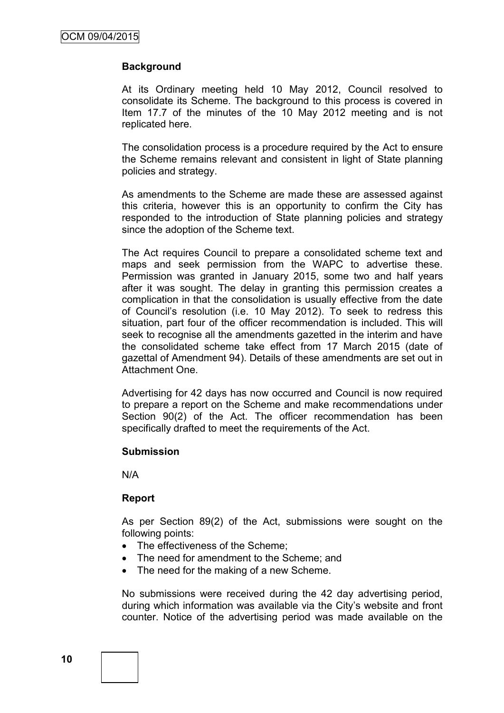## **Background**

At its Ordinary meeting held 10 May 2012, Council resolved to consolidate its Scheme. The background to this process is covered in Item 17.7 of the minutes of the 10 May 2012 meeting and is not replicated here.

The consolidation process is a procedure required by the Act to ensure the Scheme remains relevant and consistent in light of State planning policies and strategy.

As amendments to the Scheme are made these are assessed against this criteria, however this is an opportunity to confirm the City has responded to the introduction of State planning policies and strategy since the adoption of the Scheme text.

The Act requires Council to prepare a consolidated scheme text and maps and seek permission from the WAPC to advertise these. Permission was granted in January 2015, some two and half years after it was sought. The delay in granting this permission creates a complication in that the consolidation is usually effective from the date of Council's resolution (i.e. 10 May 2012). To seek to redress this situation, part four of the officer recommendation is included. This will seek to recognise all the amendments gazetted in the interim and have the consolidated scheme take effect from 17 March 2015 (date of gazettal of Amendment 94). Details of these amendments are set out in Attachment One.

Advertising for 42 days has now occurred and Council is now required to prepare a report on the Scheme and make recommendations under Section 90(2) of the Act. The officer recommendation has been specifically drafted to meet the requirements of the Act.

#### **Submission**

N/A

#### **Report**

As per Section 89(2) of the Act, submissions were sought on the following points:

- The effectiveness of the Scheme:
- The need for amendment to the Scheme; and
- The need for the making of a new Scheme.

No submissions were received during the 42 day advertising period, during which information was available via the City's website and front counter. Notice of the advertising period was made available on the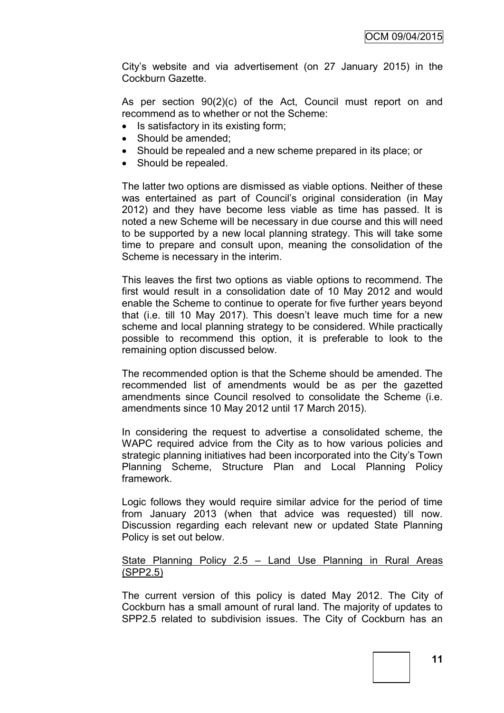City's website and via advertisement (on 27 January 2015) in the Cockburn Gazette.

As per section 90(2)(c) of the Act, Council must report on and recommend as to whether or not the Scheme:

- Is satisfactory in its existing form;
- Should be amended:
- Should be repealed and a new scheme prepared in its place; or
- Should be repealed.

The latter two options are dismissed as viable options. Neither of these was entertained as part of Council's original consideration (in May 2012) and they have become less viable as time has passed. It is noted a new Scheme will be necessary in due course and this will need to be supported by a new local planning strategy. This will take some time to prepare and consult upon, meaning the consolidation of the Scheme is necessary in the interim.

This leaves the first two options as viable options to recommend. The first would result in a consolidation date of 10 May 2012 and would enable the Scheme to continue to operate for five further years beyond that (i.e. till 10 May 2017). This doesn't leave much time for a new scheme and local planning strategy to be considered. While practically possible to recommend this option, it is preferable to look to the remaining option discussed below.

The recommended option is that the Scheme should be amended. The recommended list of amendments would be as per the gazetted amendments since Council resolved to consolidate the Scheme (i.e. amendments since 10 May 2012 until 17 March 2015).

In considering the request to advertise a consolidated scheme, the WAPC required advice from the City as to how various policies and strategic planning initiatives had been incorporated into the City's Town Planning Scheme, Structure Plan and Local Planning Policy framework.

Logic follows they would require similar advice for the period of time from January 2013 (when that advice was requested) till now. Discussion regarding each relevant new or updated State Planning Policy is set out below.

## State Planning Policy 2.5 – Land Use Planning in Rural Areas (SPP2.5)

The current version of this policy is dated May 2012. The City of Cockburn has a small amount of rural land. The majority of updates to SPP2.5 related to subdivision issues. The City of Cockburn has an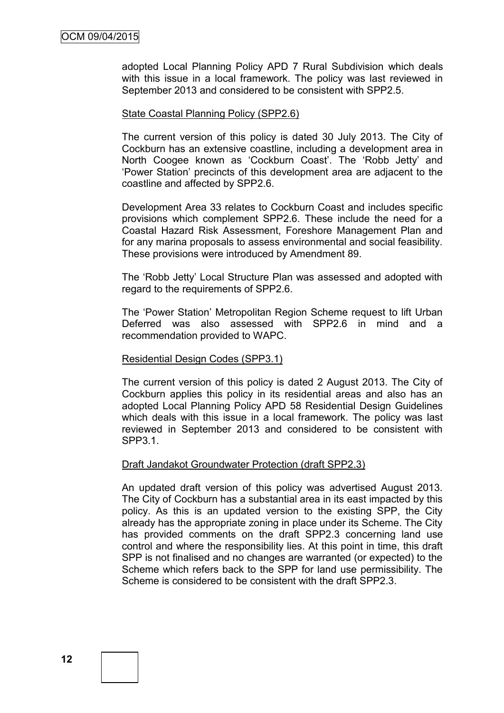adopted Local Planning Policy APD 7 Rural Subdivision which deals with this issue in a local framework. The policy was last reviewed in September 2013 and considered to be consistent with SPP2.5.

#### State Coastal Planning Policy (SPP2.6)

The current version of this policy is dated 30 July 2013. The City of Cockburn has an extensive coastline, including a development area in North Coogee known as 'Cockburn Coast'. The 'Robb Jetty' and 'Power Station' precincts of this development area are adjacent to the coastline and affected by SPP2.6.

Development Area 33 relates to Cockburn Coast and includes specific provisions which complement SPP2.6. These include the need for a Coastal Hazard Risk Assessment, Foreshore Management Plan and for any marina proposals to assess environmental and social feasibility. These provisions were introduced by Amendment 89.

The 'Robb Jetty' Local Structure Plan was assessed and adopted with regard to the requirements of SPP2.6.

The 'Power Station' Metropolitan Region Scheme request to lift Urban Deferred was also assessed with SPP2.6 in mind and a recommendation provided to WAPC.

#### Residential Design Codes (SPP3.1)

The current version of this policy is dated 2 August 2013. The City of Cockburn applies this policy in its residential areas and also has an adopted Local Planning Policy APD 58 Residential Design Guidelines which deals with this issue in a local framework. The policy was last reviewed in September 2013 and considered to be consistent with SPP3.1.

#### Draft Jandakot Groundwater Protection (draft SPP2.3)

An updated draft version of this policy was advertised August 2013. The City of Cockburn has a substantial area in its east impacted by this policy. As this is an updated version to the existing SPP, the City already has the appropriate zoning in place under its Scheme. The City has provided comments on the draft SPP2.3 concerning land use control and where the responsibility lies. At this point in time, this draft SPP is not finalised and no changes are warranted (or expected) to the Scheme which refers back to the SPP for land use permissibility. The Scheme is considered to be consistent with the draft SPP2.3.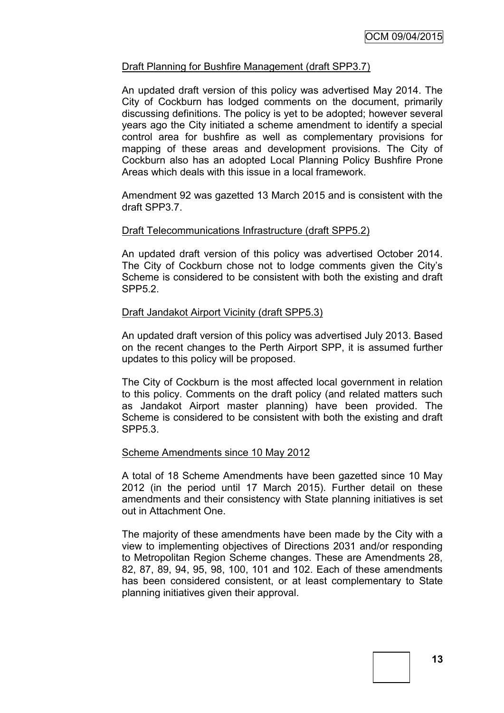## Draft Planning for Bushfire Management (draft SPP3.7)

An updated draft version of this policy was advertised May 2014. The City of Cockburn has lodged comments on the document, primarily discussing definitions. The policy is yet to be adopted; however several years ago the City initiated a scheme amendment to identify a special control area for bushfire as well as complementary provisions for mapping of these areas and development provisions. The City of Cockburn also has an adopted Local Planning Policy Bushfire Prone Areas which deals with this issue in a local framework.

Amendment 92 was gazetted 13 March 2015 and is consistent with the draft SPP3.7.

#### Draft Telecommunications Infrastructure (draft SPP5.2)

An updated draft version of this policy was advertised October 2014. The City of Cockburn chose not to lodge comments given the City's Scheme is considered to be consistent with both the existing and draft SPP5.2.

#### Draft Jandakot Airport Vicinity (draft SPP5.3)

An updated draft version of this policy was advertised July 2013. Based on the recent changes to the Perth Airport SPP, it is assumed further updates to this policy will be proposed.

The City of Cockburn is the most affected local government in relation to this policy. Comments on the draft policy (and related matters such as Jandakot Airport master planning) have been provided. The Scheme is considered to be consistent with both the existing and draft SPP5.3.

#### Scheme Amendments since 10 May 2012

A total of 18 Scheme Amendments have been gazetted since 10 May 2012 (in the period until 17 March 2015). Further detail on these amendments and their consistency with State planning initiatives is set out in Attachment One.

The majority of these amendments have been made by the City with a view to implementing objectives of Directions 2031 and/or responding to Metropolitan Region Scheme changes. These are Amendments 28, 82, 87, 89, 94, 95, 98, 100, 101 and 102. Each of these amendments has been considered consistent, or at least complementary to State planning initiatives given their approval.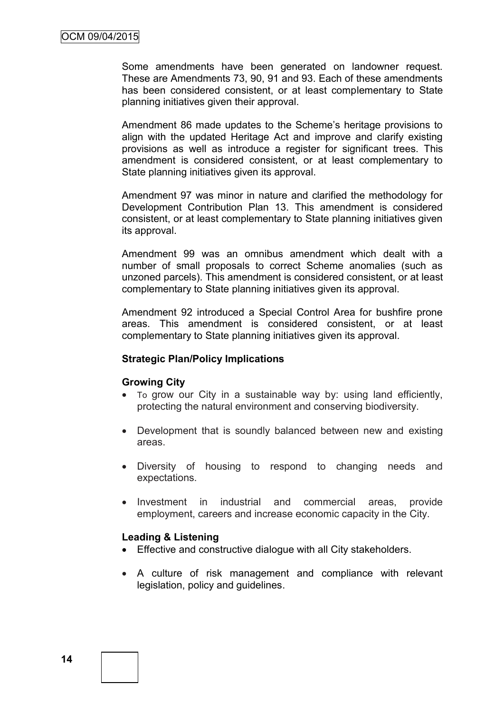Some amendments have been generated on landowner request. These are Amendments 73, 90, 91 and 93. Each of these amendments has been considered consistent, or at least complementary to State planning initiatives given their approval.

Amendment 86 made updates to the Scheme's heritage provisions to align with the updated Heritage Act and improve and clarify existing provisions as well as introduce a register for significant trees. This amendment is considered consistent, or at least complementary to State planning initiatives given its approval.

Amendment 97 was minor in nature and clarified the methodology for Development Contribution Plan 13. This amendment is considered consistent, or at least complementary to State planning initiatives given its approval.

Amendment 99 was an omnibus amendment which dealt with a number of small proposals to correct Scheme anomalies (such as unzoned parcels). This amendment is considered consistent, or at least complementary to State planning initiatives given its approval.

Amendment 92 introduced a Special Control Area for bushfire prone areas. This amendment is considered consistent, or at least complementary to State planning initiatives given its approval.

#### **Strategic Plan/Policy Implications**

#### **Growing City**

- To grow our City in a sustainable way by: using land efficiently, protecting the natural environment and conserving biodiversity.
- Development that is soundly balanced between new and existing areas.
- Diversity of housing to respond to changing needs and expectations.
- Investment in industrial and commercial areas, provide employment, careers and increase economic capacity in the City.

#### **Leading & Listening**

- Effective and constructive dialogue with all City stakeholders.
- A culture of risk management and compliance with relevant legislation, policy and guidelines.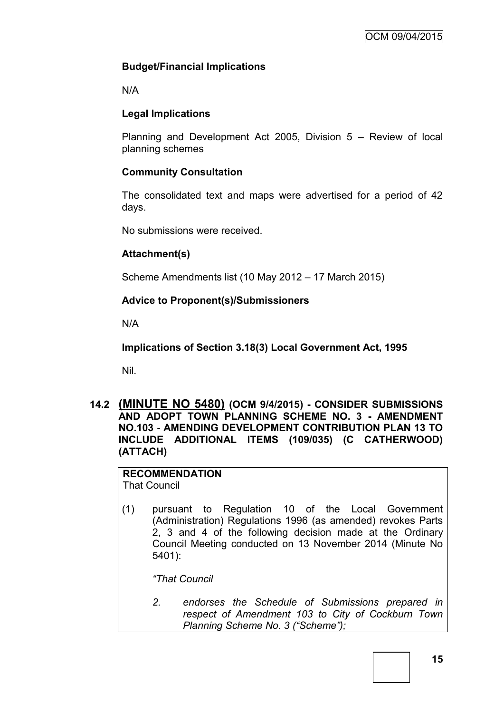# **Budget/Financial Implications**

N/A

# **Legal Implications**

Planning and Development Act 2005, Division 5 – Review of local planning schemes

# **Community Consultation**

The consolidated text and maps were advertised for a period of 42 days.

No submissions were received.

# **Attachment(s)**

Scheme Amendments list (10 May 2012 – 17 March 2015)

# **Advice to Proponent(s)/Submissioners**

N/A

**Implications of Section 3.18(3) Local Government Act, 1995**

Nil.

**14.2 (MINUTE NO 5480) (OCM 9/4/2015) - CONSIDER SUBMISSIONS AND ADOPT TOWN PLANNING SCHEME NO. 3 - AMENDMENT NO.103 - AMENDING DEVELOPMENT CONTRIBUTION PLAN 13 TO INCLUDE ADDITIONAL ITEMS (109/035) (C CATHERWOOD) (ATTACH)**

#### **RECOMMENDATION** That Council

(1) pursuant to Regulation 10 of the Local Government (Administration) Regulations 1996 (as amended) revokes Parts 2, 3 and 4 of the following decision made at the Ordinary Council Meeting conducted on 13 November 2014 (Minute No 5401):

*"That Council*

*2. endorses the Schedule of Submissions prepared in respect of Amendment 103 to City of Cockburn Town Planning Scheme No. 3 ("Scheme");*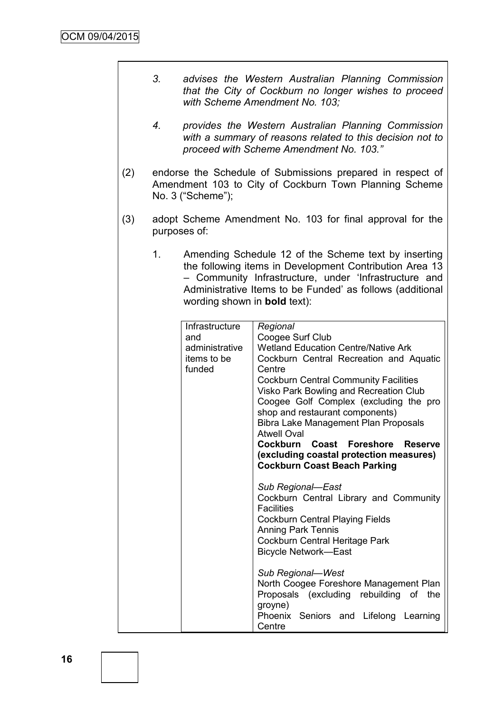- *3. advises the Western Australian Planning Commission that the City of Cockburn no longer wishes to proceed with Scheme Amendment No. 103;*
- *4. provides the Western Australian Planning Commission with a summary of reasons related to this decision not to proceed with Scheme Amendment No. 103."*
- (2) endorse the Schedule of Submissions prepared in respect of Amendment 103 to City of Cockburn Town Planning Scheme No. 3 ("Scheme");
- (3) adopt Scheme Amendment No. 103 for final approval for the purposes of:
	- 1. Amending Schedule 12 of the Scheme text by inserting the following items in Development Contribution Area 13 – Community Infrastructure, under 'Infrastructure and Administrative Items to be Funded' as follows (additional wording shown in **bold** text):

| Infrastructure<br>and<br>administrative<br>items to be<br>funded | Regional<br>Coogee Surf Club<br><b>Wetland Education Centre/Native Ark</b><br>Cockburn Central Recreation and Aquatic<br>Centre<br><b>Cockburn Central Community Facilities</b><br>Visko Park Bowling and Recreation Club<br>Coogee Golf Complex (excluding the pro<br>shop and restaurant components)<br>Bibra Lake Management Plan Proposals<br><b>Atwell Oval</b><br>Cockburn Coast Foreshore<br><b>Reserve</b><br>(excluding coastal protection measures)<br><b>Cockburn Coast Beach Parking</b> |
|------------------------------------------------------------------|------------------------------------------------------------------------------------------------------------------------------------------------------------------------------------------------------------------------------------------------------------------------------------------------------------------------------------------------------------------------------------------------------------------------------------------------------------------------------------------------------|
|                                                                  | Sub Regional-East<br>Cockburn Central Library and Community<br><b>Facilities</b><br><b>Cockburn Central Playing Fields</b><br><b>Anning Park Tennis</b><br>Cockburn Central Heritage Park<br><b>Bicycle Network-East</b>                                                                                                                                                                                                                                                                             |
|                                                                  | Sub Regional-West<br>North Coogee Foreshore Management Plan<br>Proposals (excluding rebuilding of<br>the<br>groyne)<br>Phoenix Seniors and Lifelong Learning<br>Centre                                                                                                                                                                                                                                                                                                                               |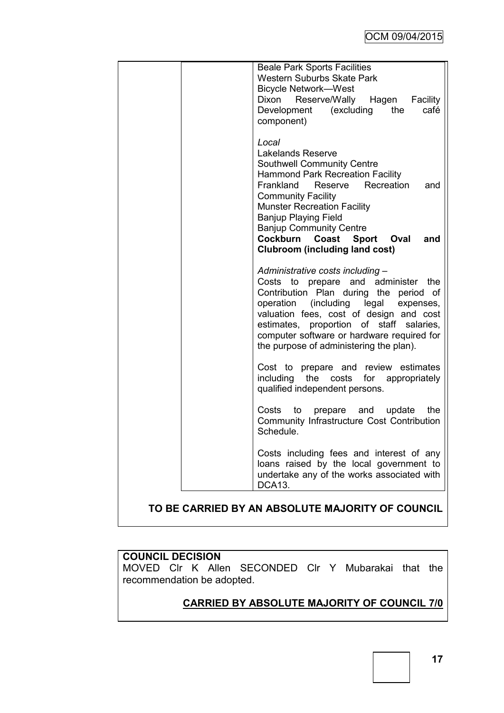| <b>Beale Park Sports Facilities</b><br><b>Western Suburbs Skate Park</b><br><b>Bicycle Network-West</b><br>Reserve/Wally<br>Hagen Facility<br>Dixon<br>(excluding<br>the<br>Development<br>café<br>component)                                                                                                                                                                                |
|----------------------------------------------------------------------------------------------------------------------------------------------------------------------------------------------------------------------------------------------------------------------------------------------------------------------------------------------------------------------------------------------|
| Local<br><b>Lakelands Reserve</b><br><b>Southwell Community Centre</b><br><b>Hammond Park Recreation Facility</b><br>Frankland<br>Reserve Recreation<br>and<br><b>Community Facility</b><br><b>Munster Recreation Facility</b><br><b>Banjup Playing Field</b><br><b>Banjup Community Centre</b><br>Cockburn<br>Coast<br><b>Sport</b><br>Oval<br>and<br><b>Clubroom (including land cost)</b> |
| Administrative costs including -<br>Costs to prepare and administer<br>the<br>Contribution Plan<br>during the period<br>$\circ$ of<br>operation (including legal<br>expenses,<br>valuation fees, cost of design and cost<br>estimates, proportion of staff salaries,<br>computer software or hardware required for<br>the purpose of administering the plan).                                |
| review estimates<br>Cost to prepare and<br>including<br>the<br>costs<br>for appropriately<br>qualified independent persons.                                                                                                                                                                                                                                                                  |
| the<br>Costs<br>to<br>prepare<br>and<br>update<br>Community Infrastructure Cost Contribution<br>Schedule.                                                                                                                                                                                                                                                                                    |
| Costs including fees and interest of any<br>loans raised by the local government to<br>undertake any of the works associated with<br>DCA13.                                                                                                                                                                                                                                                  |
| TO BE CARRIED BY AN ABSOLUTE MAJORITY OF COUNCIL                                                                                                                                                                                                                                                                                                                                             |

# **COUNCIL DECISION**

MOVED Clr K Allen SECONDED Clr Y Mubarakai that the recommendation be adopted.

# **CARRIED BY ABSOLUTE MAJORITY OF COUNCIL 7/0**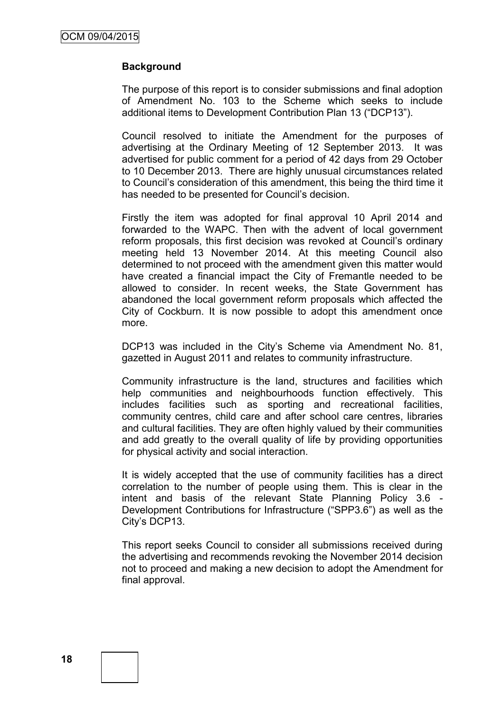## **Background**

The purpose of this report is to consider submissions and final adoption of Amendment No. 103 to the Scheme which seeks to include additional items to Development Contribution Plan 13 ("DCP13").

Council resolved to initiate the Amendment for the purposes of advertising at the Ordinary Meeting of 12 September 2013. It was advertised for public comment for a period of 42 days from 29 October to 10 December 2013. There are highly unusual circumstances related to Council's consideration of this amendment, this being the third time it has needed to be presented for Council's decision.

Firstly the item was adopted for final approval 10 April 2014 and forwarded to the WAPC. Then with the advent of local government reform proposals, this first decision was revoked at Council's ordinary meeting held 13 November 2014. At this meeting Council also determined to not proceed with the amendment given this matter would have created a financial impact the City of Fremantle needed to be allowed to consider. In recent weeks, the State Government has abandoned the local government reform proposals which affected the City of Cockburn. It is now possible to adopt this amendment once more.

DCP13 was included in the City's Scheme via Amendment No. 81, gazetted in August 2011 and relates to community infrastructure.

Community infrastructure is the land, structures and facilities which help communities and neighbourhoods function effectively. This includes facilities such as sporting and recreational facilities, community centres, child care and after school care centres, libraries and cultural facilities. They are often highly valued by their communities and add greatly to the overall quality of life by providing opportunities for physical activity and social interaction.

It is widely accepted that the use of community facilities has a direct correlation to the number of people using them. This is clear in the intent and basis of the relevant State Planning Policy 3.6 - Development Contributions for Infrastructure ("SPP3.6") as well as the City's DCP13.

This report seeks Council to consider all submissions received during the advertising and recommends revoking the November 2014 decision not to proceed and making a new decision to adopt the Amendment for final approval.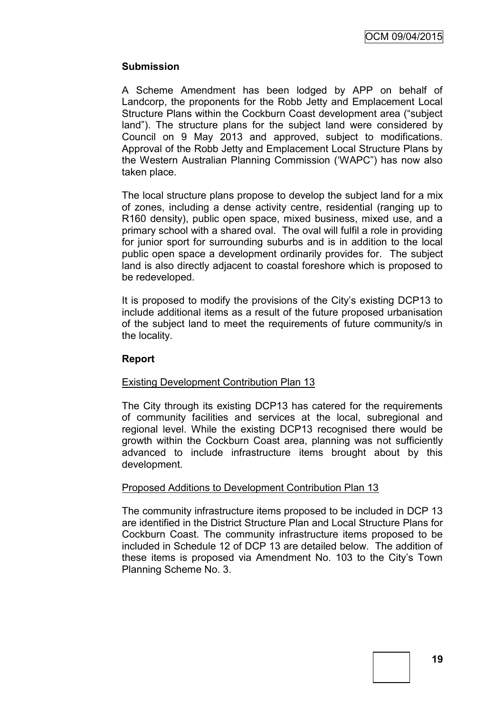## **Submission**

A Scheme Amendment has been lodged by APP on behalf of Landcorp, the proponents for the Robb Jetty and Emplacement Local Structure Plans within the Cockburn Coast development area ("subject land"). The structure plans for the subject land were considered by Council on 9 May 2013 and approved, subject to modifications. Approval of the Robb Jetty and Emplacement Local Structure Plans by the Western Australian Planning Commission ('WAPC") has now also taken place.

The local structure plans propose to develop the subject land for a mix of zones, including a dense activity centre, residential (ranging up to R160 density), public open space, mixed business, mixed use, and a primary school with a shared oval. The oval will fulfil a role in providing for junior sport for surrounding suburbs and is in addition to the local public open space a development ordinarily provides for. The subject land is also directly adjacent to coastal foreshore which is proposed to be redeveloped.

It is proposed to modify the provisions of the City's existing DCP13 to include additional items as a result of the future proposed urbanisation of the subject land to meet the requirements of future community/s in the locality.

## **Report**

## Existing Development Contribution Plan 13

The City through its existing DCP13 has catered for the requirements of community facilities and services at the local, subregional and regional level. While the existing DCP13 recognised there would be growth within the Cockburn Coast area, planning was not sufficiently advanced to include infrastructure items brought about by this development.

## Proposed Additions to Development Contribution Plan 13

The community infrastructure items proposed to be included in DCP 13 are identified in the District Structure Plan and Local Structure Plans for Cockburn Coast. The community infrastructure items proposed to be included in Schedule 12 of DCP 13 are detailed below. The addition of these items is proposed via Amendment No. 103 to the City's Town Planning Scheme No. 3.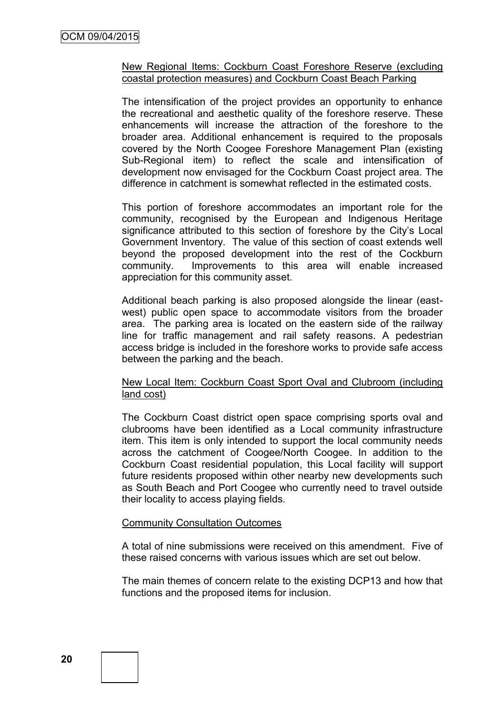#### New Regional Items: Cockburn Coast Foreshore Reserve (excluding coastal protection measures) and Cockburn Coast Beach Parking

The intensification of the project provides an opportunity to enhance the recreational and aesthetic quality of the foreshore reserve. These enhancements will increase the attraction of the foreshore to the broader area. Additional enhancement is required to the proposals covered by the North Coogee Foreshore Management Plan (existing Sub-Regional item) to reflect the scale and intensification of development now envisaged for the Cockburn Coast project area. The difference in catchment is somewhat reflected in the estimated costs.

This portion of foreshore accommodates an important role for the community, recognised by the European and Indigenous Heritage significance attributed to this section of foreshore by the City's Local Government Inventory. The value of this section of coast extends well beyond the proposed development into the rest of the Cockburn community. Improvements to this area will enable increased appreciation for this community asset.

Additional beach parking is also proposed alongside the linear (eastwest) public open space to accommodate visitors from the broader area. The parking area is located on the eastern side of the railway line for traffic management and rail safety reasons. A pedestrian access bridge is included in the foreshore works to provide safe access between the parking and the beach.

#### New Local Item: Cockburn Coast Sport Oval and Clubroom (including land cost)

The Cockburn Coast district open space comprising sports oval and clubrooms have been identified as a Local community infrastructure item. This item is only intended to support the local community needs across the catchment of Coogee/North Coogee. In addition to the Cockburn Coast residential population, this Local facility will support future residents proposed within other nearby new developments such as South Beach and Port Coogee who currently need to travel outside their locality to access playing fields.

## Community Consultation Outcomes

A total of nine submissions were received on this amendment. Five of these raised concerns with various issues which are set out below.

The main themes of concern relate to the existing DCP13 and how that functions and the proposed items for inclusion.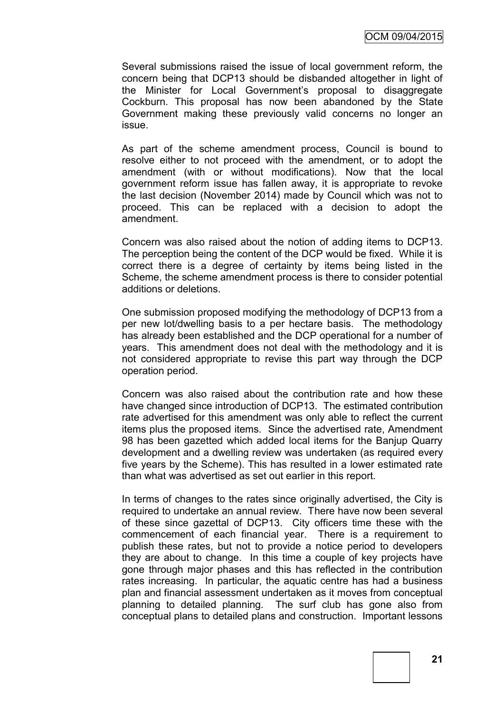Several submissions raised the issue of local government reform, the concern being that DCP13 should be disbanded altogether in light of the Minister for Local Government's proposal to disaggregate Cockburn. This proposal has now been abandoned by the State Government making these previously valid concerns no longer an issue.

As part of the scheme amendment process, Council is bound to resolve either to not proceed with the amendment, or to adopt the amendment (with or without modifications). Now that the local government reform issue has fallen away, it is appropriate to revoke the last decision (November 2014) made by Council which was not to proceed. This can be replaced with a decision to adopt the amendment.

Concern was also raised about the notion of adding items to DCP13. The perception being the content of the DCP would be fixed. While it is correct there is a degree of certainty by items being listed in the Scheme, the scheme amendment process is there to consider potential additions or deletions.

One submission proposed modifying the methodology of DCP13 from a per new lot/dwelling basis to a per hectare basis. The methodology has already been established and the DCP operational for a number of years. This amendment does not deal with the methodology and it is not considered appropriate to revise this part way through the DCP operation period.

Concern was also raised about the contribution rate and how these have changed since introduction of DCP13. The estimated contribution rate advertised for this amendment was only able to reflect the current items plus the proposed items. Since the advertised rate, Amendment 98 has been gazetted which added local items for the Banjup Quarry development and a dwelling review was undertaken (as required every five years by the Scheme). This has resulted in a lower estimated rate than what was advertised as set out earlier in this report.

In terms of changes to the rates since originally advertised, the City is required to undertake an annual review. There have now been several of these since gazettal of DCP13. City officers time these with the commencement of each financial year. There is a requirement to publish these rates, but not to provide a notice period to developers they are about to change. In this time a couple of key projects have gone through major phases and this has reflected in the contribution rates increasing. In particular, the aquatic centre has had a business plan and financial assessment undertaken as it moves from conceptual planning to detailed planning. The surf club has gone also from conceptual plans to detailed plans and construction. Important lessons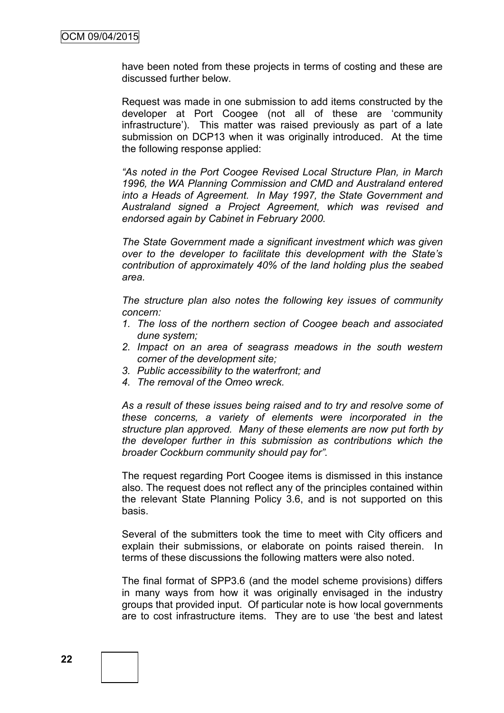have been noted from these projects in terms of costing and these are discussed further below.

Request was made in one submission to add items constructed by the developer at Port Coogee (not all of these are 'community infrastructure'). This matter was raised previously as part of a late submission on DCP13 when it was originally introduced. At the time the following response applied:

*"As noted in the Port Coogee Revised Local Structure Plan, in March 1996, the WA Planning Commission and CMD and Australand entered into a Heads of Agreement. In May 1997, the State Government and Australand signed a Project Agreement, which was revised and endorsed again by Cabinet in February 2000.* 

*The State Government made a significant investment which was given over to the developer to facilitate this development with the State's contribution of approximately 40% of the land holding plus the seabed area.*

*The structure plan also notes the following key issues of community concern:*

- *1. The loss of the northern section of Coogee beach and associated dune system;*
- *2. Impact on an area of seagrass meadows in the south western corner of the development site;*
- *3. Public accessibility to the waterfront; and*
- *4. The removal of the Omeo wreck.*

*As a result of these issues being raised and to try and resolve some of these concerns, a variety of elements were incorporated in the structure plan approved. Many of these elements are now put forth by the developer further in this submission as contributions which the broader Cockburn community should pay for".*

The request regarding Port Coogee items is dismissed in this instance also. The request does not reflect any of the principles contained within the relevant State Planning Policy 3.6, and is not supported on this basis.

Several of the submitters took the time to meet with City officers and explain their submissions, or elaborate on points raised therein. In terms of these discussions the following matters were also noted.

The final format of SPP3.6 (and the model scheme provisions) differs in many ways from how it was originally envisaged in the industry groups that provided input. Of particular note is how local governments are to cost infrastructure items. They are to use 'the best and latest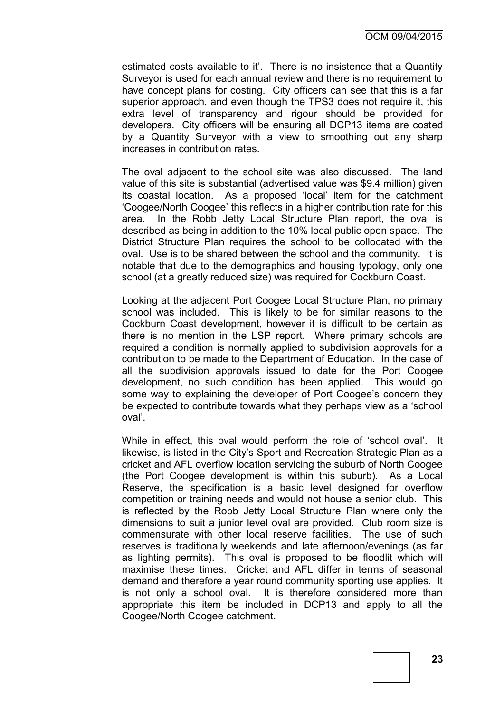estimated costs available to it'. There is no insistence that a Quantity Surveyor is used for each annual review and there is no requirement to have concept plans for costing. City officers can see that this is a far superior approach, and even though the TPS3 does not require it, this extra level of transparency and rigour should be provided for developers. City officers will be ensuring all DCP13 items are costed by a Quantity Surveyor with a view to smoothing out any sharp increases in contribution rates.

The oval adjacent to the school site was also discussed. The land value of this site is substantial (advertised value was \$9.4 million) given its coastal location. As a proposed 'local' item for the catchment 'Coogee/North Coogee' this reflects in a higher contribution rate for this area. In the Robb Jetty Local Structure Plan report, the oval is described as being in addition to the 10% local public open space. The District Structure Plan requires the school to be collocated with the oval. Use is to be shared between the school and the community. It is notable that due to the demographics and housing typology, only one school (at a greatly reduced size) was required for Cockburn Coast.

Looking at the adjacent Port Coogee Local Structure Plan, no primary school was included. This is likely to be for similar reasons to the Cockburn Coast development, however it is difficult to be certain as there is no mention in the LSP report. Where primary schools are required a condition is normally applied to subdivision approvals for a contribution to be made to the Department of Education. In the case of all the subdivision approvals issued to date for the Port Coogee development, no such condition has been applied. This would go some way to explaining the developer of Port Coogee's concern they be expected to contribute towards what they perhaps view as a 'school oval'.

While in effect, this oval would perform the role of 'school oval'. It likewise, is listed in the City's Sport and Recreation Strategic Plan as a cricket and AFL overflow location servicing the suburb of North Coogee (the Port Coogee development is within this suburb). As a Local Reserve, the specification is a basic level designed for overflow competition or training needs and would not house a senior club. This is reflected by the Robb Jetty Local Structure Plan where only the dimensions to suit a junior level oval are provided. Club room size is commensurate with other local reserve facilities. The use of such reserves is traditionally weekends and late afternoon/evenings (as far as lighting permits). This oval is proposed to be floodlit which will maximise these times. Cricket and AFL differ in terms of seasonal demand and therefore a year round community sporting use applies. It is not only a school oval. It is therefore considered more than appropriate this item be included in DCP13 and apply to all the Coogee/North Coogee catchment.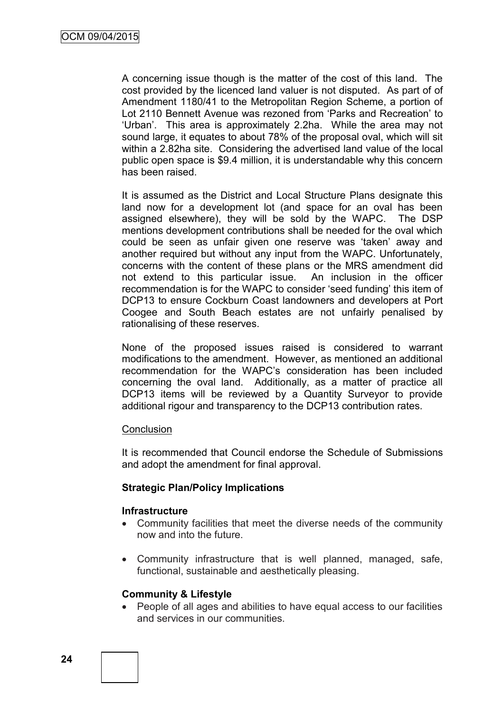A concerning issue though is the matter of the cost of this land. The cost provided by the licenced land valuer is not disputed. As part of of Amendment 1180/41 to the Metropolitan Region Scheme, a portion of Lot 2110 Bennett Avenue was rezoned from 'Parks and Recreation' to 'Urban'. This area is approximately 2.2ha. While the area may not sound large, it equates to about 78% of the proposal oval, which will sit within a 2.82ha site. Considering the advertised land value of the local public open space is \$9.4 million, it is understandable why this concern has been raised.

It is assumed as the District and Local Structure Plans designate this land now for a development lot (and space for an oval has been assigned elsewhere), they will be sold by the WAPC. The DSP mentions development contributions shall be needed for the oval which could be seen as unfair given one reserve was 'taken' away and another required but without any input from the WAPC. Unfortunately, concerns with the content of these plans or the MRS amendment did not extend to this particular issue. An inclusion in the officer recommendation is for the WAPC to consider 'seed funding' this item of DCP13 to ensure Cockburn Coast landowners and developers at Port Coogee and South Beach estates are not unfairly penalised by rationalising of these reserves.

None of the proposed issues raised is considered to warrant modifications to the amendment. However, as mentioned an additional recommendation for the WAPC's consideration has been included concerning the oval land. Additionally, as a matter of practice all DCP13 items will be reviewed by a Quantity Surveyor to provide additional rigour and transparency to the DCP13 contribution rates.

#### **Conclusion**

It is recommended that Council endorse the Schedule of Submissions and adopt the amendment for final approval.

## **Strategic Plan/Policy Implications**

#### **Infrastructure**

- Community facilities that meet the diverse needs of the community now and into the future.
- Community infrastructure that is well planned, managed, safe, functional, sustainable and aesthetically pleasing.

#### **Community & Lifestyle**

 People of all ages and abilities to have equal access to our facilities and services in our communities.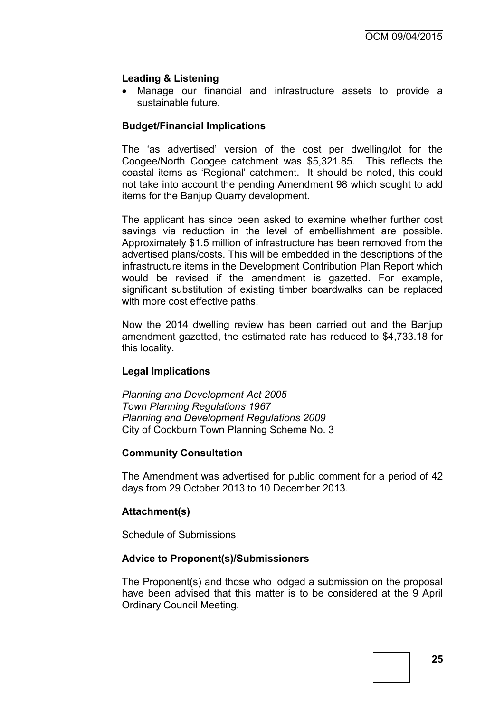## **Leading & Listening**

 Manage our financial and infrastructure assets to provide a sustainable future.

## **Budget/Financial Implications**

The 'as advertised' version of the cost per dwelling/lot for the Coogee/North Coogee catchment was \$5,321.85. This reflects the coastal items as 'Regional' catchment. It should be noted, this could not take into account the pending Amendment 98 which sought to add items for the Banjup Quarry development.

The applicant has since been asked to examine whether further cost savings via reduction in the level of embellishment are possible. Approximately \$1.5 million of infrastructure has been removed from the advertised plans/costs. This will be embedded in the descriptions of the infrastructure items in the Development Contribution Plan Report which would be revised if the amendment is gazetted. For example, significant substitution of existing timber boardwalks can be replaced with more cost effective paths.

Now the 2014 dwelling review has been carried out and the Banjup amendment gazetted, the estimated rate has reduced to \$4,733.18 for this locality.

## **Legal Implications**

*Planning and Development Act 2005 Town Planning Regulations 1967 Planning and Development Regulations 2009* City of Cockburn Town Planning Scheme No. 3

## **Community Consultation**

The Amendment was advertised for public comment for a period of 42 days from 29 October 2013 to 10 December 2013.

## **Attachment(s)**

Schedule of Submissions

## **Advice to Proponent(s)/Submissioners**

The Proponent(s) and those who lodged a submission on the proposal have been advised that this matter is to be considered at the 9 April Ordinary Council Meeting.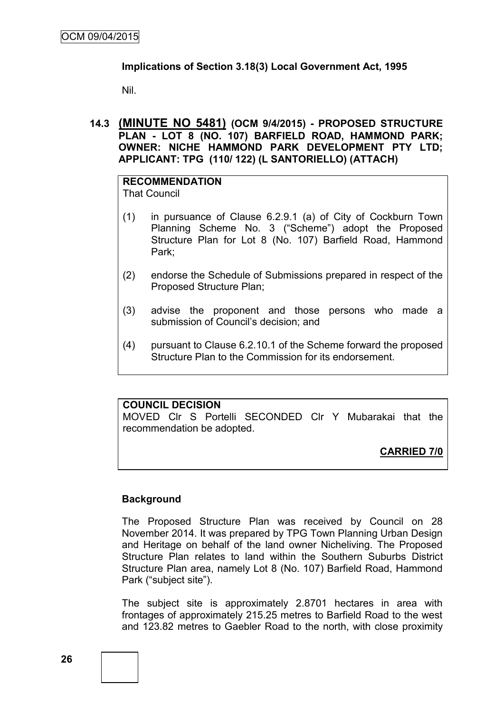## **Implications of Section 3.18(3) Local Government Act, 1995**

Nil.

**14.3 (MINUTE NO 5481) (OCM 9/4/2015) - PROPOSED STRUCTURE PLAN - LOT 8 (NO. 107) BARFIELD ROAD, HAMMOND PARK; OWNER: NICHE HAMMOND PARK DEVELOPMENT PTY LTD; APPLICANT: TPG (110/ 122) (L SANTORIELLO) (ATTACH)**

#### **RECOMMENDATION** That Council

- (1) in pursuance of Clause 6.2.9.1 (a) of City of Cockburn Town Planning Scheme No. 3 ("Scheme") adopt the Proposed Structure Plan for Lot 8 (No. 107) Barfield Road, Hammond Park;
- (2) endorse the Schedule of Submissions prepared in respect of the Proposed Structure Plan;
- (3) advise the proponent and those persons who made a submission of Council's decision; and
- (4) pursuant to Clause 6.2.10.1 of the Scheme forward the proposed Structure Plan to the Commission for its endorsement.

#### **COUNCIL DECISION**

MOVED Clr S Portelli SECONDED Clr Y Mubarakai that the recommendation be adopted.

**CARRIED 7/0**

## **Background**

The Proposed Structure Plan was received by Council on 28 November 2014. It was prepared by TPG Town Planning Urban Design and Heritage on behalf of the land owner Nicheliving. The Proposed Structure Plan relates to land within the Southern Suburbs District Structure Plan area, namely Lot 8 (No. 107) Barfield Road, Hammond Park ("subject site").

The subject site is approximately 2.8701 hectares in area with frontages of approximately 215.25 metres to Barfield Road to the west and 123.82 metres to Gaebler Road to the north, with close proximity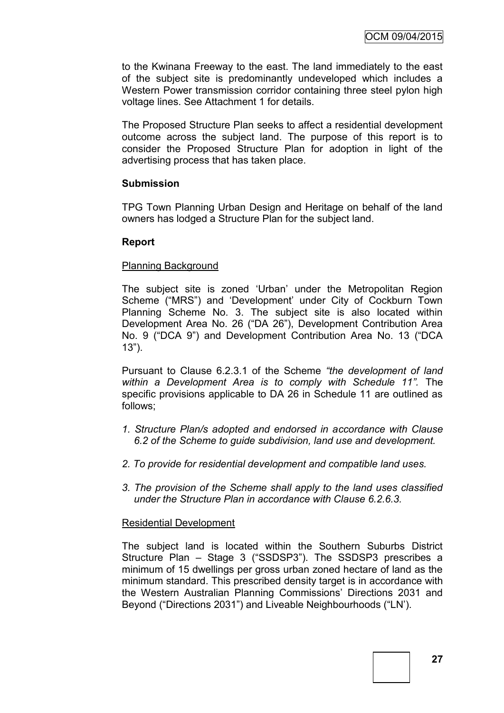to the Kwinana Freeway to the east. The land immediately to the east of the subject site is predominantly undeveloped which includes a Western Power transmission corridor containing three steel pylon high voltage lines. See Attachment 1 for details.

The Proposed Structure Plan seeks to affect a residential development outcome across the subject land. The purpose of this report is to consider the Proposed Structure Plan for adoption in light of the advertising process that has taken place.

#### **Submission**

TPG Town Planning Urban Design and Heritage on behalf of the land owners has lodged a Structure Plan for the subject land.

#### **Report**

#### Planning Background

The subject site is zoned 'Urban' under the Metropolitan Region Scheme ("MRS") and 'Development' under City of Cockburn Town Planning Scheme No. 3. The subject site is also located within Development Area No. 26 ("DA 26"), Development Contribution Area No. 9 ("DCA 9") and Development Contribution Area No. 13 ("DCA 13").

Pursuant to Clause 6.2.3.1 of the Scheme *"the development of land within a Development Area is to comply with Schedule 11".* The specific provisions applicable to DA 26 in Schedule 11 are outlined as follows;

- *1. Structure Plan/s adopted and endorsed in accordance with Clause 6.2 of the Scheme to guide subdivision, land use and development.*
- *2. To provide for residential development and compatible land uses.*
- *3. The provision of the Scheme shall apply to the land uses classified under the Structure Plan in accordance with Clause 6.2.6.3.*

#### Residential Development

The subject land is located within the Southern Suburbs District Structure Plan – Stage 3 ("SSDSP3"). The SSDSP3 prescribes a minimum of 15 dwellings per gross urban zoned hectare of land as the minimum standard. This prescribed density target is in accordance with the Western Australian Planning Commissions' Directions 2031 and Beyond ("Directions 2031") and Liveable Neighbourhoods ("LN').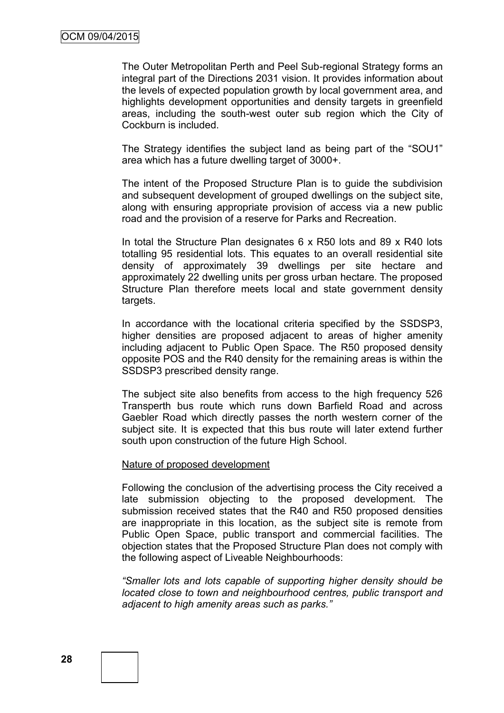The Outer Metropolitan Perth and Peel Sub-regional Strategy forms an integral part of the Directions 2031 vision. It provides information about the levels of expected population growth by local government area, and highlights development opportunities and density targets in greenfield areas, including the south-west outer sub region which the City of Cockburn is included.

The Strategy identifies the subject land as being part of the "SOU1" area which has a future dwelling target of 3000+.

The intent of the Proposed Structure Plan is to guide the subdivision and subsequent development of grouped dwellings on the subject site, along with ensuring appropriate provision of access via a new public road and the provision of a reserve for Parks and Recreation.

In total the Structure Plan designates 6 x R50 lots and 89 x R40 lots totalling 95 residential lots. This equates to an overall residential site density of approximately 39 dwellings per site hectare and approximately 22 dwelling units per gross urban hectare. The proposed Structure Plan therefore meets local and state government density targets.

In accordance with the locational criteria specified by the SSDSP3, higher densities are proposed adjacent to areas of higher amenity including adjacent to Public Open Space. The R50 proposed density opposite POS and the R40 density for the remaining areas is within the SSDSP3 prescribed density range.

The subject site also benefits from access to the high frequency 526 Transperth bus route which runs down Barfield Road and across Gaebler Road which directly passes the north western corner of the subject site. It is expected that this bus route will later extend further south upon construction of the future High School.

#### Nature of proposed development

Following the conclusion of the advertising process the City received a late submission objecting to the proposed development. The submission received states that the R40 and R50 proposed densities are inappropriate in this location, as the subject site is remote from Public Open Space, public transport and commercial facilities. The objection states that the Proposed Structure Plan does not comply with the following aspect of Liveable Neighbourhoods:

*"Smaller lots and lots capable of supporting higher density should be located close to town and neighbourhood centres, public transport and adjacent to high amenity areas such as parks."*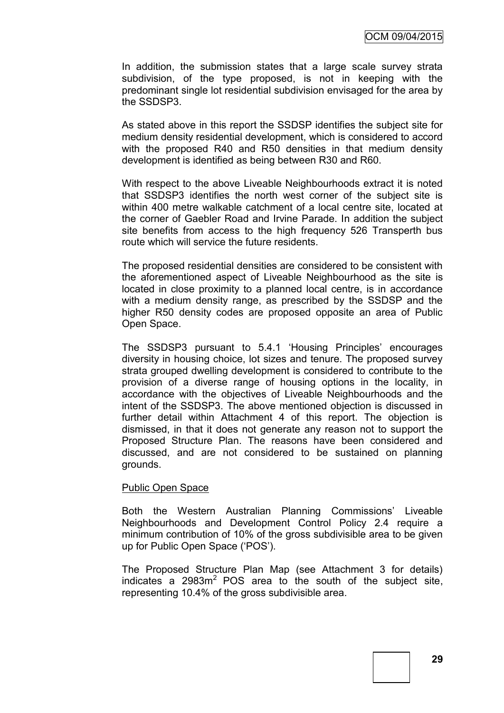In addition, the submission states that a large scale survey strata subdivision, of the type proposed, is not in keeping with the predominant single lot residential subdivision envisaged for the area by the SSDSP3.

As stated above in this report the SSDSP identifies the subject site for medium density residential development, which is considered to accord with the proposed R40 and R50 densities in that medium density development is identified as being between R30 and R60.

With respect to the above Liveable Neighbourhoods extract it is noted that SSDSP3 identifies the north west corner of the subject site is within 400 metre walkable catchment of a local centre site, located at the corner of Gaebler Road and Irvine Parade. In addition the subject site benefits from access to the high frequency 526 Transperth bus route which will service the future residents.

The proposed residential densities are considered to be consistent with the aforementioned aspect of Liveable Neighbourhood as the site is located in close proximity to a planned local centre, is in accordance with a medium density range, as prescribed by the SSDSP and the higher R50 density codes are proposed opposite an area of Public Open Space.

The SSDSP3 pursuant to 5.4.1 'Housing Principles' encourages diversity in housing choice, lot sizes and tenure. The proposed survey strata grouped dwelling development is considered to contribute to the provision of a diverse range of housing options in the locality, in accordance with the objectives of Liveable Neighbourhoods and the intent of the SSDSP3. The above mentioned objection is discussed in further detail within Attachment 4 of this report. The objection is dismissed, in that it does not generate any reason not to support the Proposed Structure Plan. The reasons have been considered and discussed, and are not considered to be sustained on planning grounds.

#### Public Open Space

Both the Western Australian Planning Commissions' Liveable Neighbourhoods and Development Control Policy 2.4 require a minimum contribution of 10% of the gross subdivisible area to be given up for Public Open Space ('POS').

The Proposed Structure Plan Map (see Attachment 3 for details) indicates a  $2983m<sup>2</sup>$  POS area to the south of the subject site, representing 10.4% of the gross subdivisible area.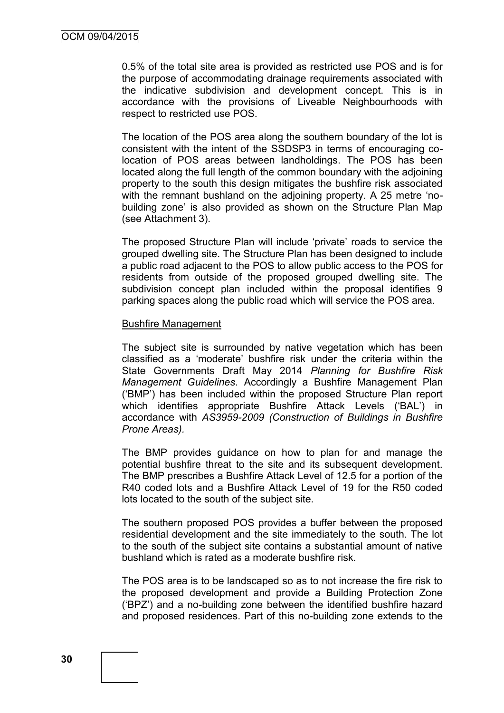0.5% of the total site area is provided as restricted use POS and is for the purpose of accommodating drainage requirements associated with the indicative subdivision and development concept. This is in accordance with the provisions of Liveable Neighbourhoods with respect to restricted use POS.

The location of the POS area along the southern boundary of the lot is consistent with the intent of the SSDSP3 in terms of encouraging colocation of POS areas between landholdings. The POS has been located along the full length of the common boundary with the adjoining property to the south this design mitigates the bushfire risk associated with the remnant bushland on the adjoining property. A 25 metre 'nobuilding zone' is also provided as shown on the Structure Plan Map (see Attachment 3).

The proposed Structure Plan will include 'private' roads to service the grouped dwelling site. The Structure Plan has been designed to include a public road adjacent to the POS to allow public access to the POS for residents from outside of the proposed grouped dwelling site. The subdivision concept plan included within the proposal identifies 9 parking spaces along the public road which will service the POS area.

#### Bushfire Management

The subject site is surrounded by native vegetation which has been classified as a 'moderate' bushfire risk under the criteria within the State Governments Draft May 2014 *Planning for Bushfire Risk Management Guidelines*. Accordingly a Bushfire Management Plan ('BMP') has been included within the proposed Structure Plan report which identifies appropriate Bushfire Attack Levels ('BAL') in accordance with *AS3959-2009 (Construction of Buildings in Bushfire Prone Areas).*

The BMP provides guidance on how to plan for and manage the potential bushfire threat to the site and its subsequent development. The BMP prescribes a Bushfire Attack Level of 12.5 for a portion of the R40 coded lots and a Bushfire Attack Level of 19 for the R50 coded lots located to the south of the subject site.

The southern proposed POS provides a buffer between the proposed residential development and the site immediately to the south. The lot to the south of the subject site contains a substantial amount of native bushland which is rated as a moderate bushfire risk.

The POS area is to be landscaped so as to not increase the fire risk to the proposed development and provide a Building Protection Zone ('BPZ') and a no-building zone between the identified bushfire hazard and proposed residences. Part of this no-building zone extends to the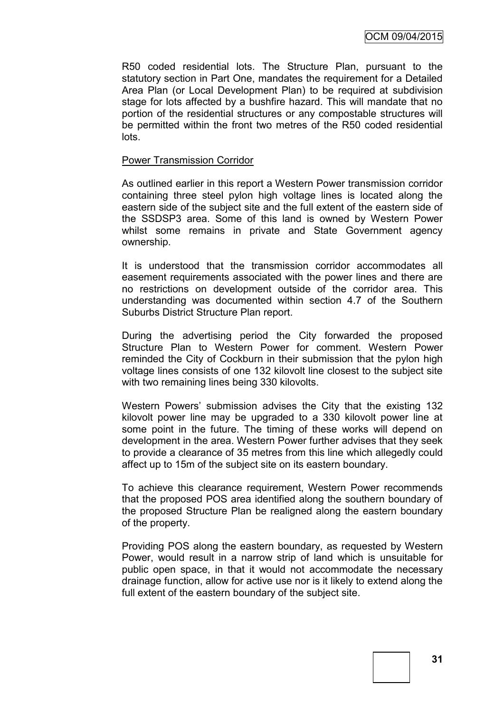R50 coded residential lots. The Structure Plan, pursuant to the statutory section in Part One, mandates the requirement for a Detailed Area Plan (or Local Development Plan) to be required at subdivision stage for lots affected by a bushfire hazard. This will mandate that no portion of the residential structures or any compostable structures will be permitted within the front two metres of the R50 coded residential lots.

#### Power Transmission Corridor

As outlined earlier in this report a Western Power transmission corridor containing three steel pylon high voltage lines is located along the eastern side of the subject site and the full extent of the eastern side of the SSDSP3 area. Some of this land is owned by Western Power whilst some remains in private and State Government agency ownership.

It is understood that the transmission corridor accommodates all easement requirements associated with the power lines and there are no restrictions on development outside of the corridor area. This understanding was documented within section 4.7 of the Southern Suburbs District Structure Plan report.

During the advertising period the City forwarded the proposed Structure Plan to Western Power for comment. Western Power reminded the City of Cockburn in their submission that the pylon high voltage lines consists of one 132 kilovolt line closest to the subject site with two remaining lines being 330 kilovolts.

Western Powers' submission advises the City that the existing 132 kilovolt power line may be upgraded to a 330 kilovolt power line at some point in the future. The timing of these works will depend on development in the area. Western Power further advises that they seek to provide a clearance of 35 metres from this line which allegedly could affect up to 15m of the subject site on its eastern boundary.

To achieve this clearance requirement, Western Power recommends that the proposed POS area identified along the southern boundary of the proposed Structure Plan be realigned along the eastern boundary of the property.

Providing POS along the eastern boundary, as requested by Western Power, would result in a narrow strip of land which is unsuitable for public open space, in that it would not accommodate the necessary drainage function, allow for active use nor is it likely to extend along the full extent of the eastern boundary of the subject site.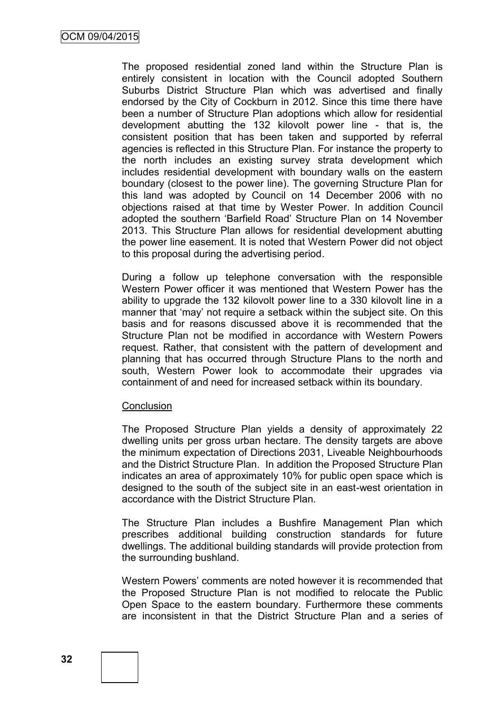The proposed residential zoned land within the Structure Plan is entirely consistent in location with the Council adopted Southern Suburbs District Structure Plan which was advertised and finally endorsed by the City of Cockburn in 2012. Since this time there have been a number of Structure Plan adoptions which allow for residential development abutting the 132 kilovolt power line - that is, the consistent position that has been taken and supported by referral agencies is reflected in this Structure Plan. For instance the property to the north includes an existing survey strata development which includes residential development with boundary walls on the eastern boundary (closest to the power line). The governing Structure Plan for this land was adopted by Council on 14 December 2006 with no objections raised at that time by Wester Power. In addition Council adopted the southern 'Barfield Road' Structure Plan on 14 November 2013. This Structure Plan allows for residential development abutting the power line easement. It is noted that Western Power did not object to this proposal during the advertising period.

During a follow up telephone conversation with the responsible Western Power officer it was mentioned that Western Power has the ability to upgrade the 132 kilovolt power line to a 330 kilovolt line in a manner that 'may' not require a setback within the subject site. On this basis and for reasons discussed above it is recommended that the Structure Plan not be modified in accordance with Western Powers request. Rather, that consistent with the pattern of development and planning that has occurred through Structure Plans to the north and south, Western Power look to accommodate their upgrades via containment of and need for increased setback within its boundary.

#### **Conclusion**

The Proposed Structure Plan yields a density of approximately 22 dwelling units per gross urban hectare. The density targets are above the minimum expectation of Directions 2031, Liveable Neighbourhoods and the District Structure Plan. In addition the Proposed Structure Plan indicates an area of approximately 10% for public open space which is designed to the south of the subject site in an east-west orientation in accordance with the District Structure Plan.

The Structure Plan includes a Bushfire Management Plan which prescribes additional building construction standards for future dwellings. The additional building standards will provide protection from the surrounding bushland.

Western Powers' comments are noted however it is recommended that the Proposed Structure Plan is not modified to relocate the Public Open Space to the eastern boundary. Furthermore these comments are inconsistent in that the District Structure Plan and a series of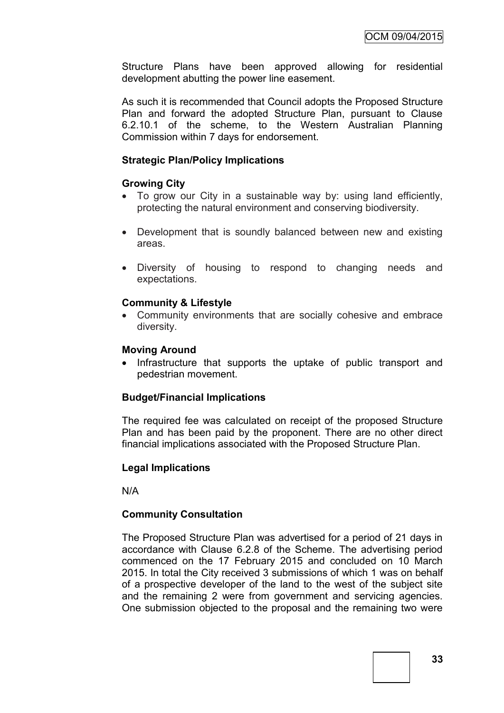Structure Plans have been approved allowing for residential development abutting the power line easement.

As such it is recommended that Council adopts the Proposed Structure Plan and forward the adopted Structure Plan, pursuant to Clause 6.2.10.1 of the scheme, to the Western Australian Planning Commission within 7 days for endorsement.

#### **Strategic Plan/Policy Implications**

#### **Growing City**

- To grow our City in a sustainable way by: using land efficiently, protecting the natural environment and conserving biodiversity.
- Development that is soundly balanced between new and existing areas.
- Diversity of housing to respond to changing needs and expectations.

#### **Community & Lifestyle**

 Community environments that are socially cohesive and embrace diversity.

#### **Moving Around**

• Infrastructure that supports the uptake of public transport and pedestrian movement.

#### **Budget/Financial Implications**

The required fee was calculated on receipt of the proposed Structure Plan and has been paid by the proponent. There are no other direct financial implications associated with the Proposed Structure Plan.

#### **Legal Implications**

N/A

#### **Community Consultation**

The Proposed Structure Plan was advertised for a period of 21 days in accordance with Clause 6.2.8 of the Scheme. The advertising period commenced on the 17 February 2015 and concluded on 10 March 2015. In total the City received 3 submissions of which 1 was on behalf of a prospective developer of the land to the west of the subject site and the remaining 2 were from government and servicing agencies. One submission objected to the proposal and the remaining two were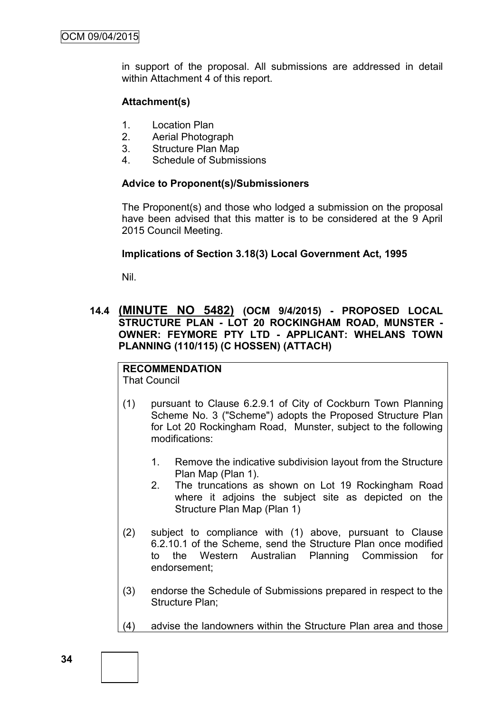in support of the proposal. All submissions are addressed in detail within Attachment 4 of this report.

## **Attachment(s)**

- 1. Location Plan
- 2. Aerial Photograph
- 3. Structure Plan Map
- 4. Schedule of Submissions

### **Advice to Proponent(s)/Submissioners**

The Proponent(s) and those who lodged a submission on the proposal have been advised that this matter is to be considered at the 9 April 2015 Council Meeting.

#### **Implications of Section 3.18(3) Local Government Act, 1995**

Nil.

# **14.4 (MINUTE NO 5482) (OCM 9/4/2015) - PROPOSED LOCAL STRUCTURE PLAN - LOT 20 ROCKINGHAM ROAD, MUNSTER - OWNER: FEYMORE PTY LTD - APPLICANT: WHELANS TOWN PLANNING (110/115) (C HOSSEN) (ATTACH)**

# **RECOMMENDATION**

That Council

- (1) pursuant to Clause 6.2.9.1 of City of Cockburn Town Planning Scheme No. 3 ("Scheme") adopts the Proposed Structure Plan for Lot 20 Rockingham Road, Munster, subject to the following modifications:
	- 1. Remove the indicative subdivision layout from the Structure Plan Map (Plan 1).
	- 2. The truncations as shown on Lot 19 Rockingham Road where it adjoins the subject site as depicted on the Structure Plan Map (Plan 1)
- (2) subject to compliance with (1) above, pursuant to Clause 6.2.10.1 of the Scheme, send the Structure Plan once modified to the Western Australian Planning Commission for endorsement;
- (3) endorse the Schedule of Submissions prepared in respect to the Structure Plan;
- (4) advise the landowners within the Structure Plan area and those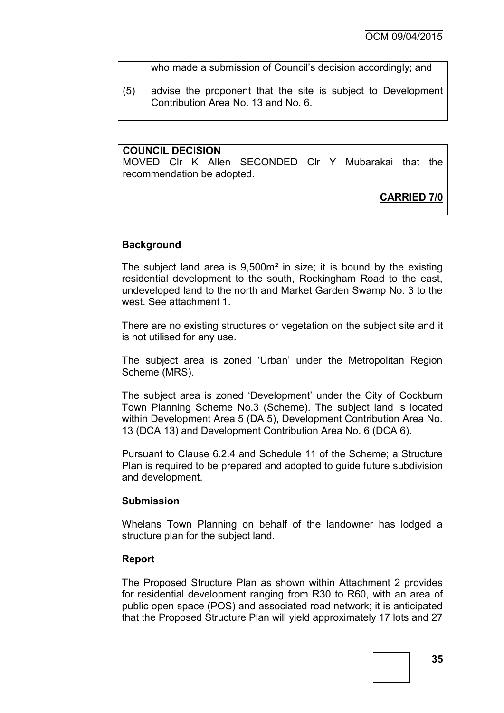who made a submission of Council's decision accordingly; and

(5) advise the proponent that the site is subject to Development Contribution Area No. 13 and No. 6.

#### **COUNCIL DECISION**

MOVED Clr K Allen SECONDED Clr Y Mubarakai that the recommendation be adopted.

# **CARRIED 7/0**

#### **Background**

The subject land area is 9,500m² in size; it is bound by the existing residential development to the south, Rockingham Road to the east, undeveloped land to the north and Market Garden Swamp No. 3 to the west. See attachment 1.

There are no existing structures or vegetation on the subject site and it is not utilised for any use.

The subject area is zoned 'Urban' under the Metropolitan Region Scheme (MRS).

The subject area is zoned 'Development' under the City of Cockburn Town Planning Scheme No.3 (Scheme). The subject land is located within Development Area 5 (DA 5), Development Contribution Area No. 13 (DCA 13) and Development Contribution Area No. 6 (DCA 6).

Pursuant to Clause 6.2.4 and Schedule 11 of the Scheme; a Structure Plan is required to be prepared and adopted to guide future subdivision and development.

#### **Submission**

Whelans Town Planning on behalf of the landowner has lodged a structure plan for the subject land.

#### **Report**

The Proposed Structure Plan as shown within Attachment 2 provides for residential development ranging from R30 to R60, with an area of public open space (POS) and associated road network; it is anticipated that the Proposed Structure Plan will yield approximately 17 lots and 27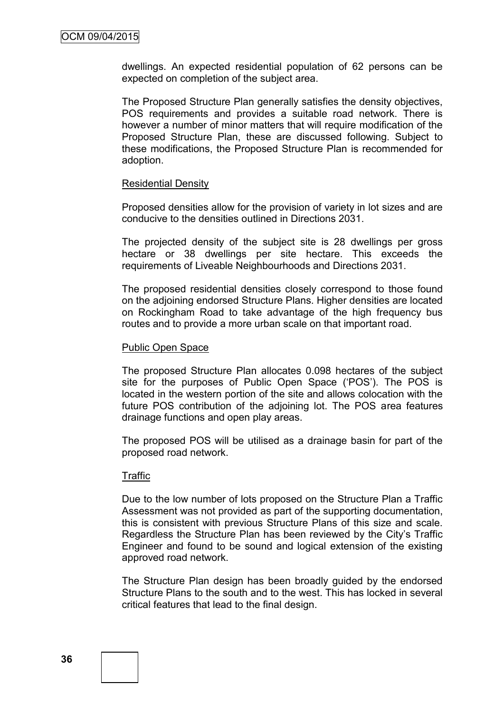dwellings. An expected residential population of 62 persons can be expected on completion of the subject area.

The Proposed Structure Plan generally satisfies the density objectives, POS requirements and provides a suitable road network. There is however a number of minor matters that will require modification of the Proposed Structure Plan, these are discussed following. Subject to these modifications, the Proposed Structure Plan is recommended for adoption.

#### Residential Density

Proposed densities allow for the provision of variety in lot sizes and are conducive to the densities outlined in Directions 2031.

The projected density of the subject site is 28 dwellings per gross hectare or 38 dwellings per site hectare. This exceeds the requirements of Liveable Neighbourhoods and Directions 2031.

The proposed residential densities closely correspond to those found on the adjoining endorsed Structure Plans. Higher densities are located on Rockingham Road to take advantage of the high frequency bus routes and to provide a more urban scale on that important road.

#### Public Open Space

The proposed Structure Plan allocates 0.098 hectares of the subject site for the purposes of Public Open Space ('POS'). The POS is located in the western portion of the site and allows colocation with the future POS contribution of the adjoining lot. The POS area features drainage functions and open play areas.

The proposed POS will be utilised as a drainage basin for part of the proposed road network.

#### Traffic

Due to the low number of lots proposed on the Structure Plan a Traffic Assessment was not provided as part of the supporting documentation, this is consistent with previous Structure Plans of this size and scale. Regardless the Structure Plan has been reviewed by the City's Traffic Engineer and found to be sound and logical extension of the existing approved road network.

The Structure Plan design has been broadly guided by the endorsed Structure Plans to the south and to the west. This has locked in several critical features that lead to the final design.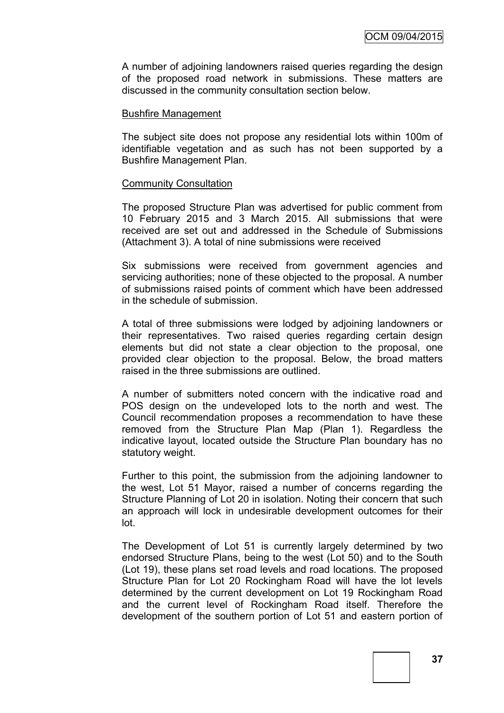A number of adjoining landowners raised queries regarding the design of the proposed road network in submissions. These matters are discussed in the community consultation section below.

#### Bushfire Management

The subject site does not propose any residential lots within 100m of identifiable vegetation and as such has not been supported by a Bushfire Management Plan.

#### Community Consultation

The proposed Structure Plan was advertised for public comment from 10 February 2015 and 3 March 2015. All submissions that were received are set out and addressed in the Schedule of Submissions (Attachment 3). A total of nine submissions were received

Six submissions were received from government agencies and servicing authorities; none of these objected to the proposal. A number of submissions raised points of comment which have been addressed in the schedule of submission.

A total of three submissions were lodged by adjoining landowners or their representatives. Two raised queries regarding certain design elements but did not state a clear objection to the proposal, one provided clear objection to the proposal. Below, the broad matters raised in the three submissions are outlined.

A number of submitters noted concern with the indicative road and POS design on the undeveloped lots to the north and west. The Council recommendation proposes a recommendation to have these removed from the Structure Plan Map (Plan 1). Regardless the indicative layout, located outside the Structure Plan boundary has no statutory weight.

Further to this point, the submission from the adjoining landowner to the west, Lot 51 Mayor, raised a number of concerns regarding the Structure Planning of Lot 20 in isolation. Noting their concern that such an approach will lock in undesirable development outcomes for their lot.

The Development of Lot 51 is currently largely determined by two endorsed Structure Plans, being to the west (Lot 50) and to the South (Lot 19), these plans set road levels and road locations. The proposed Structure Plan for Lot 20 Rockingham Road will have the lot levels determined by the current development on Lot 19 Rockingham Road and the current level of Rockingham Road itself. Therefore the development of the southern portion of Lot 51 and eastern portion of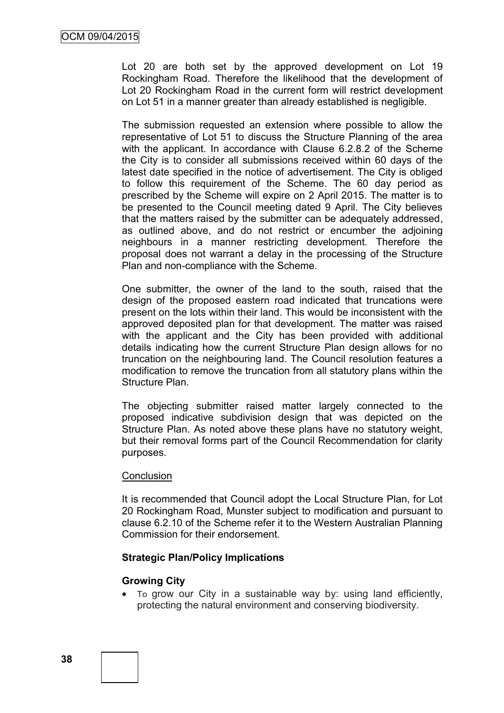Lot 20 are both set by the approved development on Lot 19 Rockingham Road. Therefore the likelihood that the development of Lot 20 Rockingham Road in the current form will restrict development on Lot 51 in a manner greater than already established is negligible.

The submission requested an extension where possible to allow the representative of Lot 51 to discuss the Structure Planning of the area with the applicant. In accordance with Clause 6.2.8.2 of the Scheme the City is to consider all submissions received within 60 days of the latest date specified in the notice of advertisement. The City is obliged to follow this requirement of the Scheme. The 60 day period as prescribed by the Scheme will expire on 2 April 2015. The matter is to be presented to the Council meeting dated 9 April. The City believes that the matters raised by the submitter can be adequately addressed, as outlined above, and do not restrict or encumber the adjoining neighbours in a manner restricting development. Therefore the proposal does not warrant a delay in the processing of the Structure Plan and non-compliance with the Scheme.

One submitter, the owner of the land to the south, raised that the design of the proposed eastern road indicated that truncations were present on the lots within their land. This would be inconsistent with the approved deposited plan for that development. The matter was raised with the applicant and the City has been provided with additional details indicating how the current Structure Plan design allows for no truncation on the neighbouring land. The Council resolution features a modification to remove the truncation from all statutory plans within the Structure Plan.

The objecting submitter raised matter largely connected to the proposed indicative subdivision design that was depicted on the Structure Plan. As noted above these plans have no statutory weight, but their removal forms part of the Council Recommendation for clarity purposes.

#### **Conclusion**

It is recommended that Council adopt the Local Structure Plan, for Lot 20 Rockingham Road, Munster subject to modification and pursuant to clause 6.2.10 of the Scheme refer it to the Western Australian Planning Commission for their endorsement.

#### **Strategic Plan/Policy Implications**

#### **Growing City**

 To grow our City in a sustainable way by: using land efficiently, protecting the natural environment and conserving biodiversity.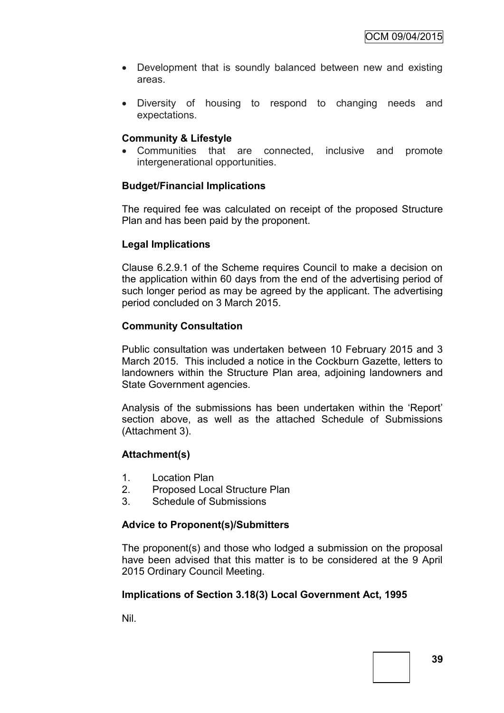- Development that is soundly balanced between new and existing areas.
- Diversity of housing to respond to changing needs and expectations.

# **Community & Lifestyle**

 Communities that are connected, inclusive and promote intergenerational opportunities.

# **Budget/Financial Implications**

The required fee was calculated on receipt of the proposed Structure Plan and has been paid by the proponent.

# **Legal Implications**

Clause 6.2.9.1 of the Scheme requires Council to make a decision on the application within 60 days from the end of the advertising period of such longer period as may be agreed by the applicant. The advertising period concluded on 3 March 2015.

# **Community Consultation**

Public consultation was undertaken between 10 February 2015 and 3 March 2015. This included a notice in the Cockburn Gazette, letters to landowners within the Structure Plan area, adjoining landowners and State Government agencies.

Analysis of the submissions has been undertaken within the 'Report' section above, as well as the attached Schedule of Submissions (Attachment 3).

### **Attachment(s)**

- 1. Location Plan
- 2. Proposed Local Structure Plan
- 3. Schedule of Submissions

### **Advice to Proponent(s)/Submitters**

The proponent(s) and those who lodged a submission on the proposal have been advised that this matter is to be considered at the 9 April 2015 Ordinary Council Meeting.

### **Implications of Section 3.18(3) Local Government Act, 1995**

Nil.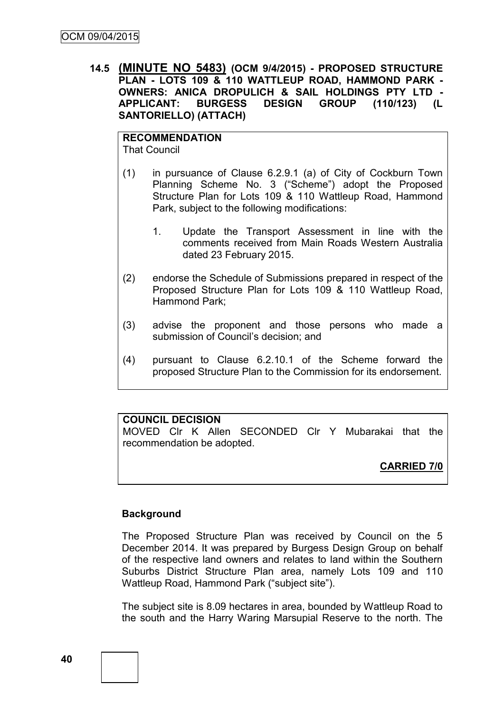**14.5 (MINUTE NO 5483) (OCM 9/4/2015) - PROPOSED STRUCTURE PLAN - LOTS 109 & 110 WATTLEUP ROAD, HAMMOND PARK - OWNERS: ANICA DROPULICH & SAIL HOLDINGS PTY LTD - APPLICANT: BURGESS DESIGN GROUP (110/123) (L SANTORIELLO) (ATTACH)**

**RECOMMENDATION** That Council

- (1) in pursuance of Clause 6.2.9.1 (a) of City of Cockburn Town Planning Scheme No. 3 ("Scheme") adopt the Proposed Structure Plan for Lots 109 & 110 Wattleup Road, Hammond Park, subject to the following modifications:
	- 1. Update the Transport Assessment in line with the comments received from Main Roads Western Australia dated 23 February 2015.
- (2) endorse the Schedule of Submissions prepared in respect of the Proposed Structure Plan for Lots 109 & 110 Wattleup Road, Hammond Park;
- (3) advise the proponent and those persons who made a submission of Council's decision; and
- (4) pursuant to Clause 6.2.10.1 of the Scheme forward the proposed Structure Plan to the Commission for its endorsement.

# **COUNCIL DECISION**

MOVED Clr K Allen SECONDED Clr Y Mubarakai that the recommendation be adopted.

# **CARRIED 7/0**

### **Background**

The Proposed Structure Plan was received by Council on the 5 December 2014. It was prepared by Burgess Design Group on behalf of the respective land owners and relates to land within the Southern Suburbs District Structure Plan area, namely Lots 109 and 110 Wattleup Road, Hammond Park ("subject site").

The subject site is 8.09 hectares in area, bounded by Wattleup Road to the south and the Harry Waring Marsupial Reserve to the north. The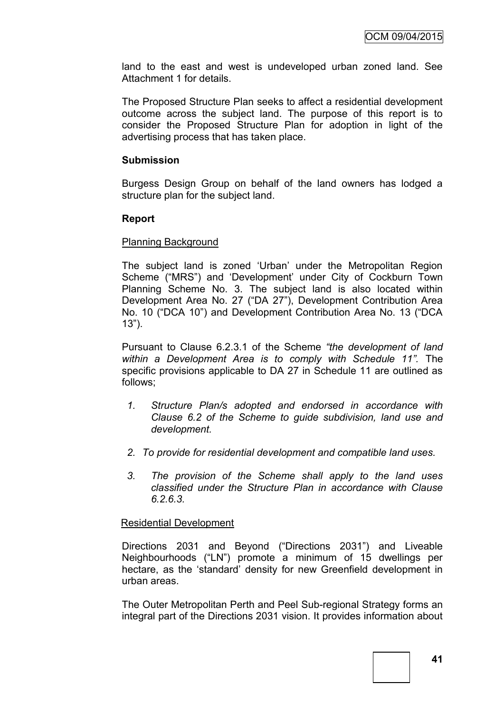land to the east and west is undeveloped urban zoned land. See Attachment 1 for details.

The Proposed Structure Plan seeks to affect a residential development outcome across the subject land. The purpose of this report is to consider the Proposed Structure Plan for adoption in light of the advertising process that has taken place.

#### **Submission**

Burgess Design Group on behalf of the land owners has lodged a structure plan for the subject land.

#### **Report**

#### Planning Background

The subject land is zoned 'Urban' under the Metropolitan Region Scheme ("MRS") and 'Development' under City of Cockburn Town Planning Scheme No. 3. The subject land is also located within Development Area No. 27 ("DA 27"), Development Contribution Area No. 10 ("DCA 10") and Development Contribution Area No. 13 ("DCA 13").

Pursuant to Clause 6.2.3.1 of the Scheme *"the development of land within a Development Area is to comply with Schedule 11".* The specific provisions applicable to DA 27 in Schedule 11 are outlined as follows;

- *1. Structure Plan/s adopted and endorsed in accordance with Clause 6.2 of the Scheme to guide subdivision, land use and development.*
- *2. To provide for residential development and compatible land uses.*
- *3. The provision of the Scheme shall apply to the land uses classified under the Structure Plan in accordance with Clause 6.2.6.3.*

#### Residential Development

Directions 2031 and Beyond ("Directions 2031") and Liveable Neighbourhoods ("LN") promote a minimum of 15 dwellings per hectare, as the 'standard' density for new Greenfield development in urban areas.

The Outer Metropolitan Perth and Peel Sub-regional Strategy forms an integral part of the Directions 2031 vision. It provides information about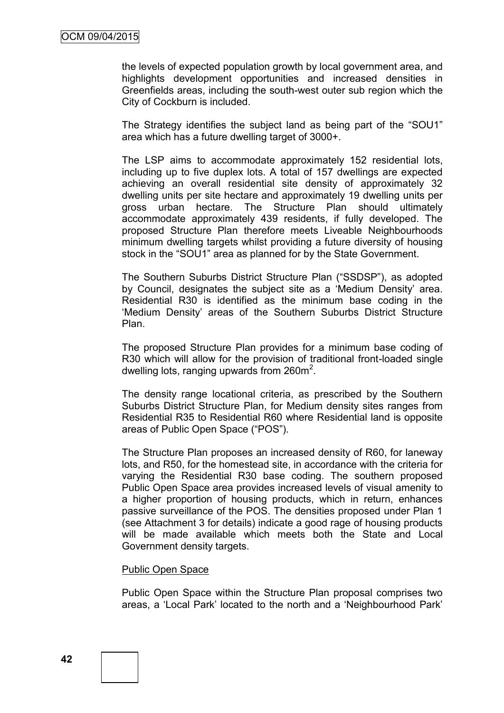the levels of expected population growth by local government area, and highlights development opportunities and increased densities in Greenfields areas, including the south-west outer sub region which the City of Cockburn is included.

The Strategy identifies the subject land as being part of the "SOU1" area which has a future dwelling target of 3000+.

The LSP aims to accommodate approximately 152 residential lots, including up to five duplex lots. A total of 157 dwellings are expected achieving an overall residential site density of approximately 32 dwelling units per site hectare and approximately 19 dwelling units per gross urban hectare. The Structure Plan should ultimately accommodate approximately 439 residents, if fully developed. The proposed Structure Plan therefore meets Liveable Neighbourhoods minimum dwelling targets whilst providing a future diversity of housing stock in the "SOU1" area as planned for by the State Government.

The Southern Suburbs District Structure Plan ("SSDSP"), as adopted by Council, designates the subject site as a 'Medium Density' area. Residential R30 is identified as the minimum base coding in the 'Medium Density' areas of the Southern Suburbs District Structure Plan.

The proposed Structure Plan provides for a minimum base coding of R30 which will allow for the provision of traditional front-loaded single dwelling lots, ranging upwards from  $260m^2$ .

The density range locational criteria, as prescribed by the Southern Suburbs District Structure Plan, for Medium density sites ranges from Residential R35 to Residential R60 where Residential land is opposite areas of Public Open Space ("POS").

The Structure Plan proposes an increased density of R60, for laneway lots, and R50, for the homestead site, in accordance with the criteria for varying the Residential R30 base coding. The southern proposed Public Open Space area provides increased levels of visual amenity to a higher proportion of housing products, which in return, enhances passive surveillance of the POS. The densities proposed under Plan 1 (see Attachment 3 for details) indicate a good rage of housing products will be made available which meets both the State and Local Government density targets.

#### Public Open Space

Public Open Space within the Structure Plan proposal comprises two areas, a 'Local Park' located to the north and a 'Neighbourhood Park'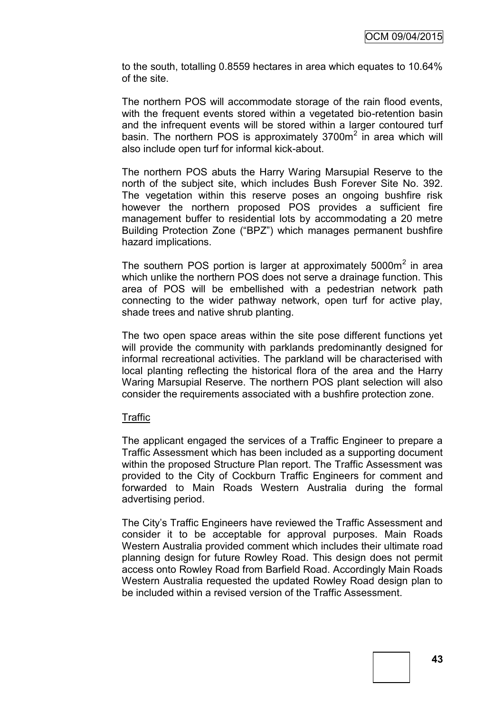to the south, totalling 0.8559 hectares in area which equates to 10.64% of the site.

The northern POS will accommodate storage of the rain flood events, with the frequent events stored within a vegetated bio-retention basin and the infrequent events will be stored within a larger contoured turf basin. The northern POS is approximately 3700m<sup>2</sup> in area which will also include open turf for informal kick-about.

The northern POS abuts the Harry Waring Marsupial Reserve to the north of the subject site, which includes Bush Forever Site No. 392. The vegetation within this reserve poses an ongoing bushfire risk however the northern proposed POS provides a sufficient fire management buffer to residential lots by accommodating a 20 metre Building Protection Zone ("BPZ") which manages permanent bushfire hazard implications.

The southern POS portion is larger at approximately  $5000m^2$  in area which unlike the northern POS does not serve a drainage function. This area of POS will be embellished with a pedestrian network path connecting to the wider pathway network, open turf for active play, shade trees and native shrub planting.

The two open space areas within the site pose different functions yet will provide the community with parklands predominantly designed for informal recreational activities. The parkland will be characterised with local planting reflecting the historical flora of the area and the Harry Waring Marsupial Reserve. The northern POS plant selection will also consider the requirements associated with a bushfire protection zone.

#### **Traffic**

The applicant engaged the services of a Traffic Engineer to prepare a Traffic Assessment which has been included as a supporting document within the proposed Structure Plan report. The Traffic Assessment was provided to the City of Cockburn Traffic Engineers for comment and forwarded to Main Roads Western Australia during the formal advertising period.

The City's Traffic Engineers have reviewed the Traffic Assessment and consider it to be acceptable for approval purposes. Main Roads Western Australia provided comment which includes their ultimate road planning design for future Rowley Road. This design does not permit access onto Rowley Road from Barfield Road. Accordingly Main Roads Western Australia requested the updated Rowley Road design plan to be included within a revised version of the Traffic Assessment.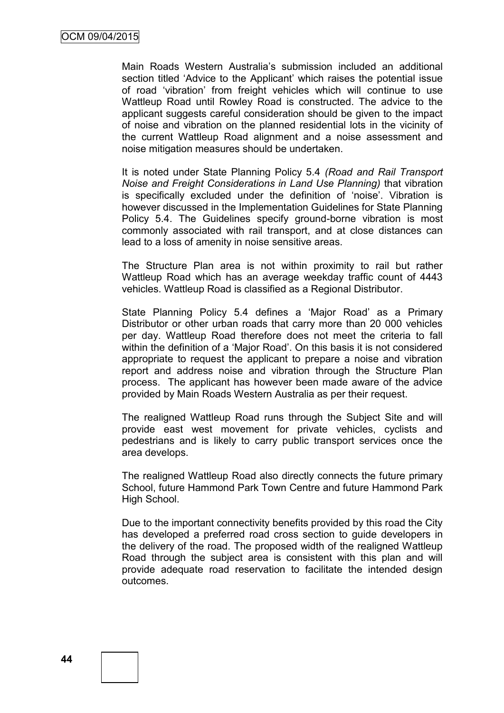Main Roads Western Australia's submission included an additional section titled 'Advice to the Applicant' which raises the potential issue of road 'vibration' from freight vehicles which will continue to use Wattleup Road until Rowley Road is constructed. The advice to the applicant suggests careful consideration should be given to the impact of noise and vibration on the planned residential lots in the vicinity of the current Wattleup Road alignment and a noise assessment and noise mitigation measures should be undertaken.

It is noted under State Planning Policy 5.4 *(Road and Rail Transport Noise and Freight Considerations in Land Use Planning)* that vibration is specifically excluded under the definition of 'noise'. Vibration is however discussed in the Implementation Guidelines for State Planning Policy 5.4. The Guidelines specify ground-borne vibration is most commonly associated with rail transport, and at close distances can lead to a loss of amenity in noise sensitive areas.

The Structure Plan area is not within proximity to rail but rather Wattleup Road which has an average weekday traffic count of 4443 vehicles. Wattleup Road is classified as a Regional Distributor.

State Planning Policy 5.4 defines a 'Major Road' as a Primary Distributor or other urban roads that carry more than 20 000 vehicles per day. Wattleup Road therefore does not meet the criteria to fall within the definition of a 'Major Road'. On this basis it is not considered appropriate to request the applicant to prepare a noise and vibration report and address noise and vibration through the Structure Plan process. The applicant has however been made aware of the advice provided by Main Roads Western Australia as per their request.

The realigned Wattleup Road runs through the Subject Site and will provide east west movement for private vehicles, cyclists and pedestrians and is likely to carry public transport services once the area develops.

The realigned Wattleup Road also directly connects the future primary School, future Hammond Park Town Centre and future Hammond Park High School.

Due to the important connectivity benefits provided by this road the City has developed a preferred road cross section to guide developers in the delivery of the road. The proposed width of the realigned Wattleup Road through the subject area is consistent with this plan and will provide adequate road reservation to facilitate the intended design outcomes.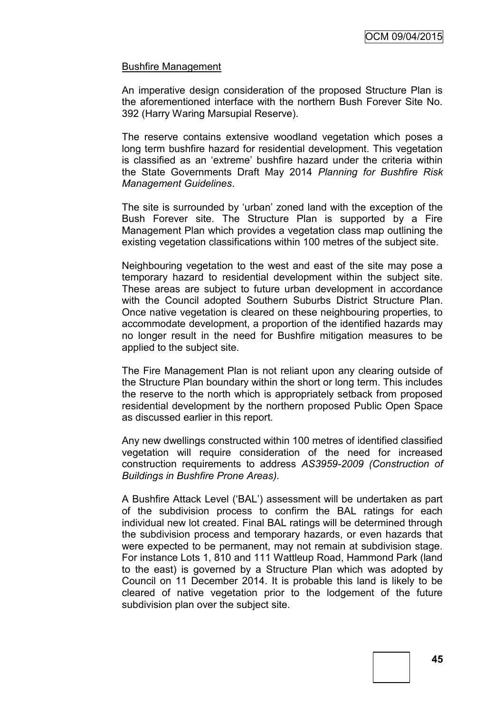#### Bushfire Management

An imperative design consideration of the proposed Structure Plan is the aforementioned interface with the northern Bush Forever Site No. 392 (Harry Waring Marsupial Reserve).

The reserve contains extensive woodland vegetation which poses a long term bushfire hazard for residential development. This vegetation is classified as an 'extreme' bushfire hazard under the criteria within the State Governments Draft May 2014 *Planning for Bushfire Risk Management Guidelines*.

The site is surrounded by 'urban' zoned land with the exception of the Bush Forever site. The Structure Plan is supported by a Fire Management Plan which provides a vegetation class map outlining the existing vegetation classifications within 100 metres of the subject site.

Neighbouring vegetation to the west and east of the site may pose a temporary hazard to residential development within the subject site. These areas are subject to future urban development in accordance with the Council adopted Southern Suburbs District Structure Plan. Once native vegetation is cleared on these neighbouring properties, to accommodate development, a proportion of the identified hazards may no longer result in the need for Bushfire mitigation measures to be applied to the subject site.

The Fire Management Plan is not reliant upon any clearing outside of the Structure Plan boundary within the short or long term. This includes the reserve to the north which is appropriately setback from proposed residential development by the northern proposed Public Open Space as discussed earlier in this report.

Any new dwellings constructed within 100 metres of identified classified vegetation will require consideration of the need for increased construction requirements to address *AS3959-2009 (Construction of Buildings in Bushfire Prone Areas).*

A Bushfire Attack Level ('BAL') assessment will be undertaken as part of the subdivision process to confirm the BAL ratings for each individual new lot created. Final BAL ratings will be determined through the subdivision process and temporary hazards, or even hazards that were expected to be permanent, may not remain at subdivision stage. For instance Lots 1, 810 and 111 Wattleup Road, Hammond Park (land to the east) is governed by a Structure Plan which was adopted by Council on 11 December 2014. It is probable this land is likely to be cleared of native vegetation prior to the lodgement of the future subdivision plan over the subject site.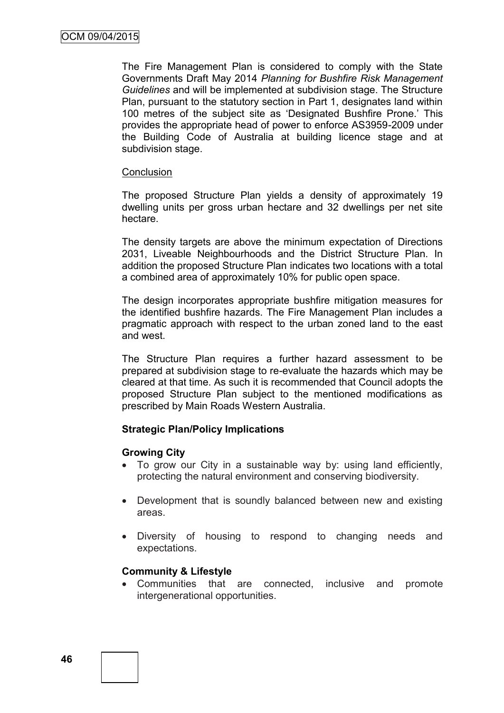The Fire Management Plan is considered to comply with the State Governments Draft May 2014 *Planning for Bushfire Risk Management Guidelines* and will be implemented at subdivision stage. The Structure Plan, pursuant to the statutory section in Part 1, designates land within 100 metres of the subject site as 'Designated Bushfire Prone.' This provides the appropriate head of power to enforce AS3959-2009 under the Building Code of Australia at building licence stage and at subdivision stage.

#### **Conclusion**

The proposed Structure Plan yields a density of approximately 19 dwelling units per gross urban hectare and 32 dwellings per net site hectare.

The density targets are above the minimum expectation of Directions 2031, Liveable Neighbourhoods and the District Structure Plan. In addition the proposed Structure Plan indicates two locations with a total a combined area of approximately 10% for public open space.

The design incorporates appropriate bushfire mitigation measures for the identified bushfire hazards. The Fire Management Plan includes a pragmatic approach with respect to the urban zoned land to the east and west.

The Structure Plan requires a further hazard assessment to be prepared at subdivision stage to re-evaluate the hazards which may be cleared at that time. As such it is recommended that Council adopts the proposed Structure Plan subject to the mentioned modifications as prescribed by Main Roads Western Australia.

### **Strategic Plan/Policy Implications**

### **Growing City**

- To grow our City in a sustainable way by: using land efficiently, protecting the natural environment and conserving biodiversity.
- Development that is soundly balanced between new and existing areas.
- Diversity of housing to respond to changing needs and expectations.

### **Community & Lifestyle**

 Communities that are connected, inclusive and promote intergenerational opportunities.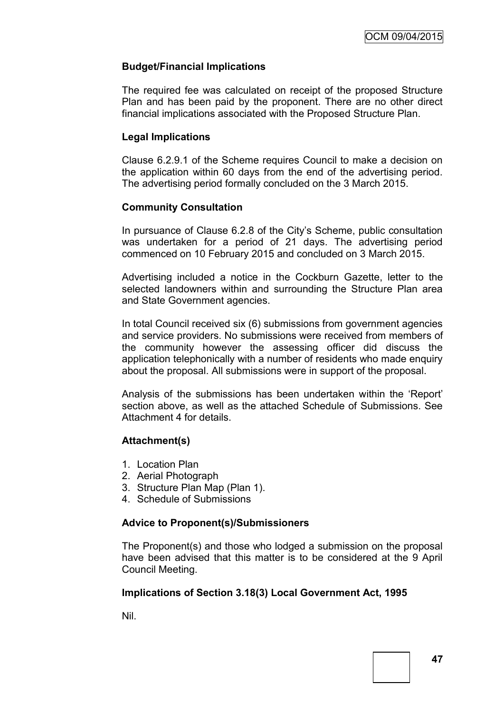# **Budget/Financial Implications**

The required fee was calculated on receipt of the proposed Structure Plan and has been paid by the proponent. There are no other direct financial implications associated with the Proposed Structure Plan.

### **Legal Implications**

Clause 6.2.9.1 of the Scheme requires Council to make a decision on the application within 60 days from the end of the advertising period. The advertising period formally concluded on the 3 March 2015.

# **Community Consultation**

In pursuance of Clause 6.2.8 of the City's Scheme, public consultation was undertaken for a period of 21 days. The advertising period commenced on 10 February 2015 and concluded on 3 March 2015.

Advertising included a notice in the Cockburn Gazette, letter to the selected landowners within and surrounding the Structure Plan area and State Government agencies.

In total Council received six (6) submissions from government agencies and service providers. No submissions were received from members of the community however the assessing officer did discuss the application telephonically with a number of residents who made enquiry about the proposal. All submissions were in support of the proposal.

Analysis of the submissions has been undertaken within the 'Report' section above, as well as the attached Schedule of Submissions. See Attachment 4 for details.

### **Attachment(s)**

- 1. Location Plan
- 2. Aerial Photograph
- 3. Structure Plan Map (Plan 1).
- 4. Schedule of Submissions

### **Advice to Proponent(s)/Submissioners**

The Proponent(s) and those who lodged a submission on the proposal have been advised that this matter is to be considered at the 9 April Council Meeting.

### **Implications of Section 3.18(3) Local Government Act, 1995**

Nil.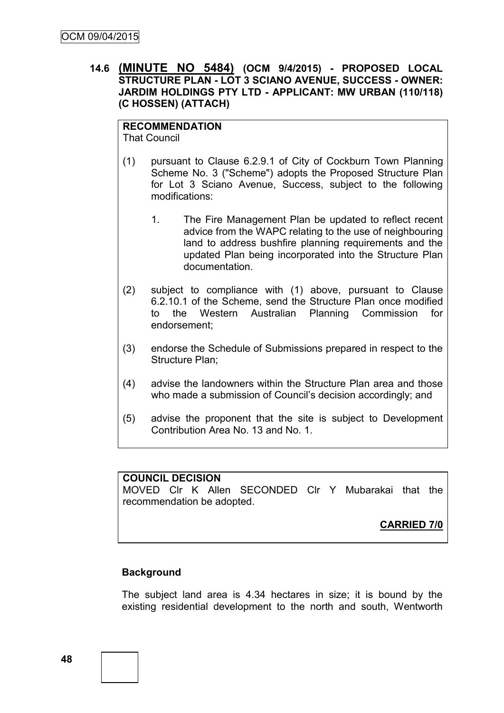# **14.6 (MINUTE NO 5484) (OCM 9/4/2015) - PROPOSED LOCAL STRUCTURE PLAN - LOT 3 SCIANO AVENUE, SUCCESS - OWNER: JARDIM HOLDINGS PTY LTD - APPLICANT: MW URBAN (110/118) (C HOSSEN) (ATTACH)**

# **RECOMMENDATION**

That Council

- (1) pursuant to Clause 6.2.9.1 of City of Cockburn Town Planning Scheme No. 3 ("Scheme") adopts the Proposed Structure Plan for Lot 3 Sciano Avenue, Success, subject to the following modifications:
	- 1. The Fire Management Plan be updated to reflect recent advice from the WAPC relating to the use of neighbouring land to address bushfire planning requirements and the updated Plan being incorporated into the Structure Plan documentation.
- (2) subject to compliance with (1) above, pursuant to Clause 6.2.10.1 of the Scheme, send the Structure Plan once modified to the Western Australian Planning Commission for endorsement;
- (3) endorse the Schedule of Submissions prepared in respect to the Structure Plan;
- (4) advise the landowners within the Structure Plan area and those who made a submission of Council's decision accordingly; and
- (5) advise the proponent that the site is subject to Development Contribution Area No. 13 and No. 1.

### **COUNCIL DECISION**

MOVED Clr K Allen SECONDED Clr Y Mubarakai that the recommendation be adopted.

**CARRIED 7/0**

### **Background**

The subject land area is 4.34 hectares in size; it is bound by the existing residential development to the north and south, Wentworth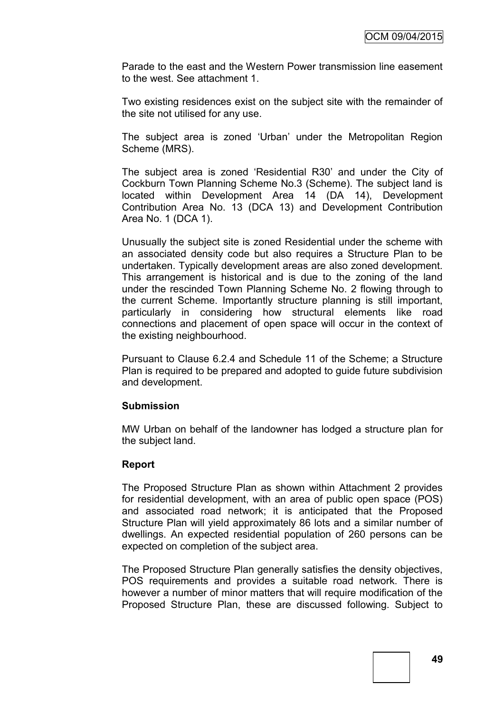Parade to the east and the Western Power transmission line easement to the west. See attachment 1.

Two existing residences exist on the subject site with the remainder of the site not utilised for any use.

The subject area is zoned 'Urban' under the Metropolitan Region Scheme (MRS).

The subject area is zoned 'Residential R30' and under the City of Cockburn Town Planning Scheme No.3 (Scheme). The subject land is located within Development Area 14 (DA 14), Development Contribution Area No. 13 (DCA 13) and Development Contribution Area No. 1 (DCA 1).

Unusually the subject site is zoned Residential under the scheme with an associated density code but also requires a Structure Plan to be undertaken. Typically development areas are also zoned development. This arrangement is historical and is due to the zoning of the land under the rescinded Town Planning Scheme No. 2 flowing through to the current Scheme. Importantly structure planning is still important, particularly in considering how structural elements like road connections and placement of open space will occur in the context of the existing neighbourhood.

Pursuant to Clause 6.2.4 and Schedule 11 of the Scheme; a Structure Plan is required to be prepared and adopted to guide future subdivision and development.

#### **Submission**

MW Urban on behalf of the landowner has lodged a structure plan for the subject land.

### **Report**

The Proposed Structure Plan as shown within Attachment 2 provides for residential development, with an area of public open space (POS) and associated road network; it is anticipated that the Proposed Structure Plan will yield approximately 86 lots and a similar number of dwellings. An expected residential population of 260 persons can be expected on completion of the subject area.

The Proposed Structure Plan generally satisfies the density objectives, POS requirements and provides a suitable road network. There is however a number of minor matters that will require modification of the Proposed Structure Plan, these are discussed following. Subject to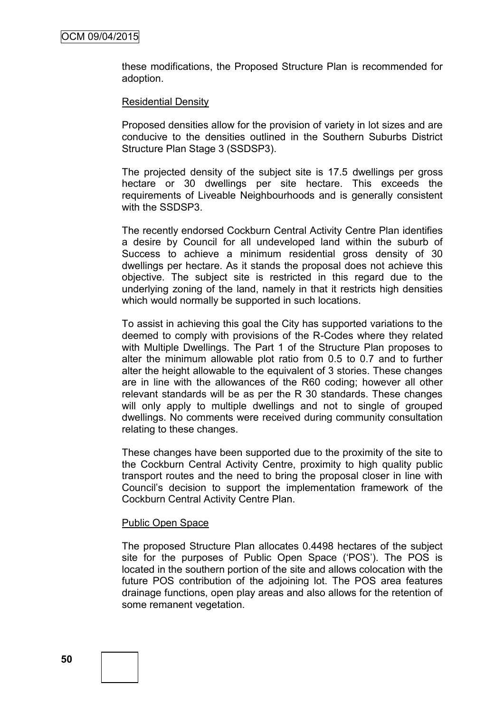these modifications, the Proposed Structure Plan is recommended for adoption.

#### Residential Density

Proposed densities allow for the provision of variety in lot sizes and are conducive to the densities outlined in the Southern Suburbs District Structure Plan Stage 3 (SSDSP3).

The projected density of the subject site is 17.5 dwellings per gross hectare or 30 dwellings per site hectare. This exceeds the requirements of Liveable Neighbourhoods and is generally consistent with the SSDSP3.

The recently endorsed Cockburn Central Activity Centre Plan identifies a desire by Council for all undeveloped land within the suburb of Success to achieve a minimum residential gross density of 30 dwellings per hectare. As it stands the proposal does not achieve this objective. The subject site is restricted in this regard due to the underlying zoning of the land, namely in that it restricts high densities which would normally be supported in such locations.

To assist in achieving this goal the City has supported variations to the deemed to comply with provisions of the R-Codes where they related with Multiple Dwellings. The Part 1 of the Structure Plan proposes to alter the minimum allowable plot ratio from 0.5 to 0.7 and to further alter the height allowable to the equivalent of 3 stories. These changes are in line with the allowances of the R60 coding; however all other relevant standards will be as per the R 30 standards. These changes will only apply to multiple dwellings and not to single of grouped dwellings. No comments were received during community consultation relating to these changes.

These changes have been supported due to the proximity of the site to the Cockburn Central Activity Centre, proximity to high quality public transport routes and the need to bring the proposal closer in line with Council's decision to support the implementation framework of the Cockburn Central Activity Centre Plan.

#### Public Open Space

The proposed Structure Plan allocates 0.4498 hectares of the subject site for the purposes of Public Open Space ('POS'). The POS is located in the southern portion of the site and allows colocation with the future POS contribution of the adjoining lot. The POS area features drainage functions, open play areas and also allows for the retention of some remanent vegetation.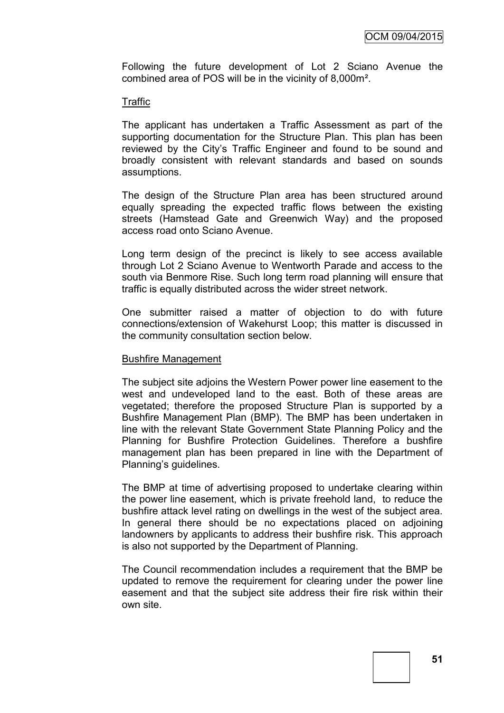Following the future development of Lot 2 Sciano Avenue the combined area of POS will be in the vicinity of 8,000m².

#### Traffic

The applicant has undertaken a Traffic Assessment as part of the supporting documentation for the Structure Plan. This plan has been reviewed by the City's Traffic Engineer and found to be sound and broadly consistent with relevant standards and based on sounds assumptions.

The design of the Structure Plan area has been structured around equally spreading the expected traffic flows between the existing streets (Hamstead Gate and Greenwich Way) and the proposed access road onto Sciano Avenue.

Long term design of the precinct is likely to see access available through Lot 2 Sciano Avenue to Wentworth Parade and access to the south via Benmore Rise. Such long term road planning will ensure that traffic is equally distributed across the wider street network.

One submitter raised a matter of objection to do with future connections/extension of Wakehurst Loop; this matter is discussed in the community consultation section below.

#### Bushfire Management

The subject site adjoins the Western Power power line easement to the west and undeveloped land to the east. Both of these areas are vegetated; therefore the proposed Structure Plan is supported by a Bushfire Management Plan (BMP). The BMP has been undertaken in line with the relevant State Government State Planning Policy and the Planning for Bushfire Protection Guidelines. Therefore a bushfire management plan has been prepared in line with the Department of Planning's guidelines.

The BMP at time of advertising proposed to undertake clearing within the power line easement, which is private freehold land, to reduce the bushfire attack level rating on dwellings in the west of the subject area. In general there should be no expectations placed on adjoining landowners by applicants to address their bushfire risk. This approach is also not supported by the Department of Planning.

The Council recommendation includes a requirement that the BMP be updated to remove the requirement for clearing under the power line easement and that the subject site address their fire risk within their own site.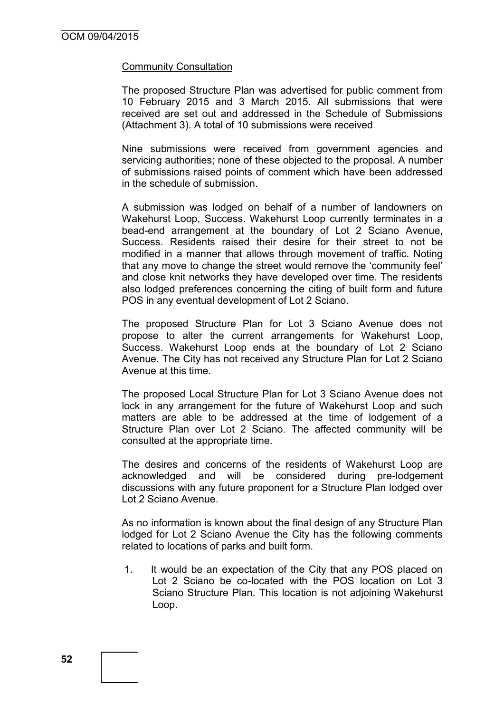#### Community Consultation

The proposed Structure Plan was advertised for public comment from 10 February 2015 and 3 March 2015. All submissions that were received are set out and addressed in the Schedule of Submissions (Attachment 3). A total of 10 submissions were received

Nine submissions were received from government agencies and servicing authorities; none of these objected to the proposal. A number of submissions raised points of comment which have been addressed in the schedule of submission.

A submission was lodged on behalf of a number of landowners on Wakehurst Loop, Success. Wakehurst Loop currently terminates in a bead-end arrangement at the boundary of Lot 2 Sciano Avenue, Success. Residents raised their desire for their street to not be modified in a manner that allows through movement of traffic. Noting that any move to change the street would remove the 'community feel' and close knit networks they have developed over time. The residents also lodged preferences concerning the citing of built form and future POS in any eventual development of Lot 2 Sciano.

The proposed Structure Plan for Lot 3 Sciano Avenue does not propose to alter the current arrangements for Wakehurst Loop, Success. Wakehurst Loop ends at the boundary of Lot 2 Sciano Avenue. The City has not received any Structure Plan for Lot 2 Sciano Avenue at this time.

The proposed Local Structure Plan for Lot 3 Sciano Avenue does not lock in any arrangement for the future of Wakehurst Loop and such matters are able to be addressed at the time of lodgement of a Structure Plan over Lot 2 Sciano. The affected community will be consulted at the appropriate time.

The desires and concerns of the residents of Wakehurst Loop are acknowledged and will be considered during pre-lodgement discussions with any future proponent for a Structure Plan lodged over Lot 2 Sciano Avenue.

As no information is known about the final design of any Structure Plan lodged for Lot 2 Sciano Avenue the City has the following comments related to locations of parks and built form.

1. It would be an expectation of the City that any POS placed on Lot 2 Sciano be co-located with the POS location on Lot 3 Sciano Structure Plan. This location is not adjoining Wakehurst Loop.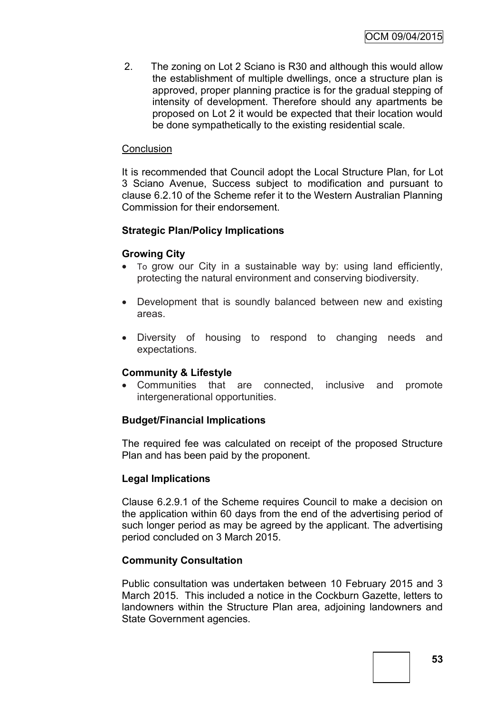2. The zoning on Lot 2 Sciano is R30 and although this would allow the establishment of multiple dwellings, once a structure plan is approved, proper planning practice is for the gradual stepping of intensity of development. Therefore should any apartments be proposed on Lot 2 it would be expected that their location would be done sympathetically to the existing residential scale.

## **Conclusion**

It is recommended that Council adopt the Local Structure Plan, for Lot 3 Sciano Avenue, Success subject to modification and pursuant to clause 6.2.10 of the Scheme refer it to the Western Australian Planning Commission for their endorsement.

# **Strategic Plan/Policy Implications**

#### **Growing City**

- To grow our City in a sustainable way by: using land efficiently, protecting the natural environment and conserving biodiversity.
- Development that is soundly balanced between new and existing areas.
- Diversity of housing to respond to changing needs and expectations.

### **Community & Lifestyle**

 Communities that are connected, inclusive and promote intergenerational opportunities.

### **Budget/Financial Implications**

The required fee was calculated on receipt of the proposed Structure Plan and has been paid by the proponent.

### **Legal Implications**

Clause 6.2.9.1 of the Scheme requires Council to make a decision on the application within 60 days from the end of the advertising period of such longer period as may be agreed by the applicant. The advertising period concluded on 3 March 2015.

### **Community Consultation**

Public consultation was undertaken between 10 February 2015 and 3 March 2015. This included a notice in the Cockburn Gazette, letters to landowners within the Structure Plan area, adjoining landowners and State Government agencies.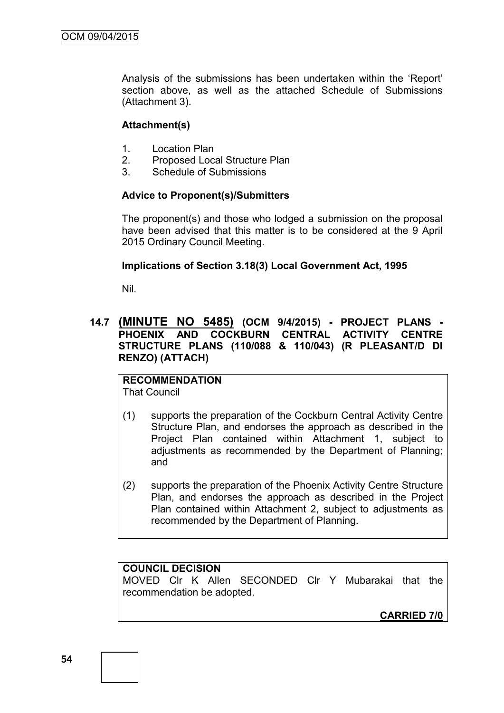Analysis of the submissions has been undertaken within the 'Report' section above, as well as the attached Schedule of Submissions (Attachment 3).

## **Attachment(s)**

- 1. Location Plan
- 2. Proposed Local Structure Plan
- 3. Schedule of Submissions

# **Advice to Proponent(s)/Submitters**

The proponent(s) and those who lodged a submission on the proposal have been advised that this matter is to be considered at the 9 April 2015 Ordinary Council Meeting.

# **Implications of Section 3.18(3) Local Government Act, 1995**

Nil.

# **14.7 (MINUTE NO 5485) (OCM 9/4/2015) - PROJECT PLANS - PHOENIX AND COCKBURN CENTRAL ACTIVITY CENTRE STRUCTURE PLANS (110/088 & 110/043) (R PLEASANT/D DI RENZO) (ATTACH)**

#### **RECOMMENDATION** That Council

- (1) supports the preparation of the Cockburn Central Activity Centre Structure Plan, and endorses the approach as described in the Project Plan contained within Attachment 1, subject to adjustments as recommended by the Department of Planning; and
- (2) supports the preparation of the Phoenix Activity Centre Structure Plan, and endorses the approach as described in the Project Plan contained within Attachment 2, subject to adjustments as recommended by the Department of Planning.

### **COUNCIL DECISION**

MOVED Clr K Allen SECONDED Clr Y Mubarakai that the recommendation be adopted.

**CARRIED 7/0**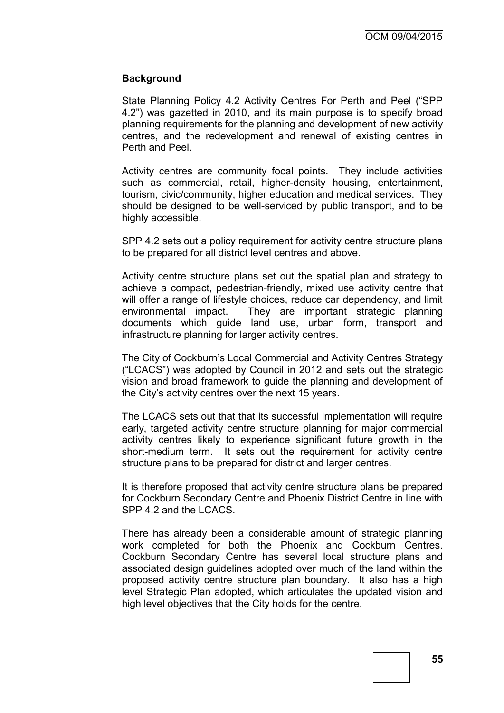### **Background**

State Planning Policy 4.2 Activity Centres For Perth and Peel ("SPP 4.2") was gazetted in 2010, and its main purpose is to specify broad planning requirements for the planning and development of new activity centres, and the redevelopment and renewal of existing centres in Perth and Peel.

Activity centres are community focal points. They include activities such as commercial, retail, higher-density housing, entertainment, tourism, civic/community, higher education and medical services. They should be designed to be well-serviced by public transport, and to be highly accessible.

SPP 4.2 sets out a policy requirement for activity centre structure plans to be prepared for all district level centres and above.

Activity centre structure plans set out the spatial plan and strategy to achieve a compact, pedestrian-friendly, mixed use activity centre that will offer a range of lifestyle choices, reduce car dependency, and limit environmental impact. They are important strategic planning documents which guide land use, urban form, transport and infrastructure planning for larger activity centres.

The City of Cockburn's Local Commercial and Activity Centres Strategy ("LCACS") was adopted by Council in 2012 and sets out the strategic vision and broad framework to guide the planning and development of the City's activity centres over the next 15 years.

The LCACS sets out that that its successful implementation will require early, targeted activity centre structure planning for major commercial activity centres likely to experience significant future growth in the short-medium term. It sets out the requirement for activity centre structure plans to be prepared for district and larger centres.

It is therefore proposed that activity centre structure plans be prepared for Cockburn Secondary Centre and Phoenix District Centre in line with SPP 4.2 and the LCACS.

There has already been a considerable amount of strategic planning work completed for both the Phoenix and Cockburn Centres. Cockburn Secondary Centre has several local structure plans and associated design guidelines adopted over much of the land within the proposed activity centre structure plan boundary. It also has a high level Strategic Plan adopted, which articulates the updated vision and high level objectives that the City holds for the centre.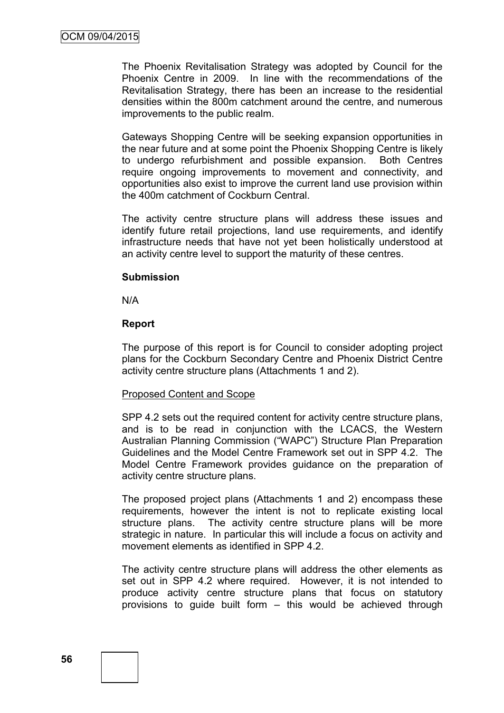The Phoenix Revitalisation Strategy was adopted by Council for the Phoenix Centre in 2009. In line with the recommendations of the Revitalisation Strategy, there has been an increase to the residential densities within the 800m catchment around the centre, and numerous improvements to the public realm.

Gateways Shopping Centre will be seeking expansion opportunities in the near future and at some point the Phoenix Shopping Centre is likely to undergo refurbishment and possible expansion. Both Centres require ongoing improvements to movement and connectivity, and opportunities also exist to improve the current land use provision within the 400m catchment of Cockburn Central.

The activity centre structure plans will address these issues and identify future retail projections, land use requirements, and identify infrastructure needs that have not yet been holistically understood at an activity centre level to support the maturity of these centres.

#### **Submission**

N/A

### **Report**

The purpose of this report is for Council to consider adopting project plans for the Cockburn Secondary Centre and Phoenix District Centre activity centre structure plans (Attachments 1 and 2).

#### Proposed Content and Scope

SPP 4.2 sets out the required content for activity centre structure plans, and is to be read in conjunction with the LCACS, the Western Australian Planning Commission ("WAPC") Structure Plan Preparation Guidelines and the Model Centre Framework set out in SPP 4.2. The Model Centre Framework provides guidance on the preparation of activity centre structure plans.

The proposed project plans (Attachments 1 and 2) encompass these requirements, however the intent is not to replicate existing local structure plans. The activity centre structure plans will be more strategic in nature. In particular this will include a focus on activity and movement elements as identified in SPP 4.2.

The activity centre structure plans will address the other elements as set out in SPP 4.2 where required. However, it is not intended to produce activity centre structure plans that focus on statutory provisions to guide built form – this would be achieved through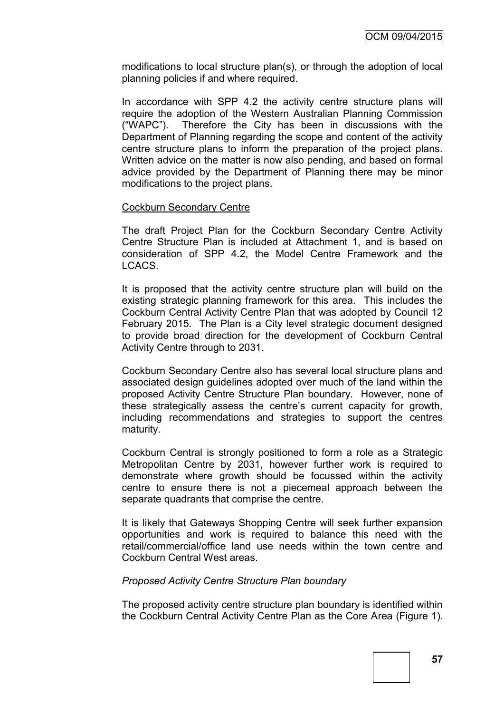modifications to local structure plan(s), or through the adoption of local planning policies if and where required.

In accordance with SPP 4.2 the activity centre structure plans will require the adoption of the Western Australian Planning Commission ("WAPC"). Therefore the City has been in discussions with the Department of Planning regarding the scope and content of the activity centre structure plans to inform the preparation of the project plans. Written advice on the matter is now also pending, and based on formal advice provided by the Department of Planning there may be minor modifications to the project plans.

#### Cockburn Secondary Centre

The draft Project Plan for the Cockburn Secondary Centre Activity Centre Structure Plan is included at Attachment 1, and is based on consideration of SPP 4.2, the Model Centre Framework and the LCACS.

It is proposed that the activity centre structure plan will build on the existing strategic planning framework for this area. This includes the Cockburn Central Activity Centre Plan that was adopted by Council 12 February 2015. The Plan is a City level strategic document designed to provide broad direction for the development of Cockburn Central Activity Centre through to 2031.

Cockburn Secondary Centre also has several local structure plans and associated design guidelines adopted over much of the land within the proposed Activity Centre Structure Plan boundary. However, none of these strategically assess the centre's current capacity for growth, including recommendations and strategies to support the centres maturity.

Cockburn Central is strongly positioned to form a role as a Strategic Metropolitan Centre by 2031, however further work is required to demonstrate where growth should be focussed within the activity centre to ensure there is not a piecemeal approach between the separate quadrants that comprise the centre.

It is likely that Gateways Shopping Centre will seek further expansion opportunities and work is required to balance this need with the retail/commercial/office land use needs within the town centre and Cockburn Central West areas.

### *Proposed Activity Centre Structure Plan boundary*

The proposed activity centre structure plan boundary is identified within the Cockburn Central Activity Centre Plan as the Core Area (Figure 1).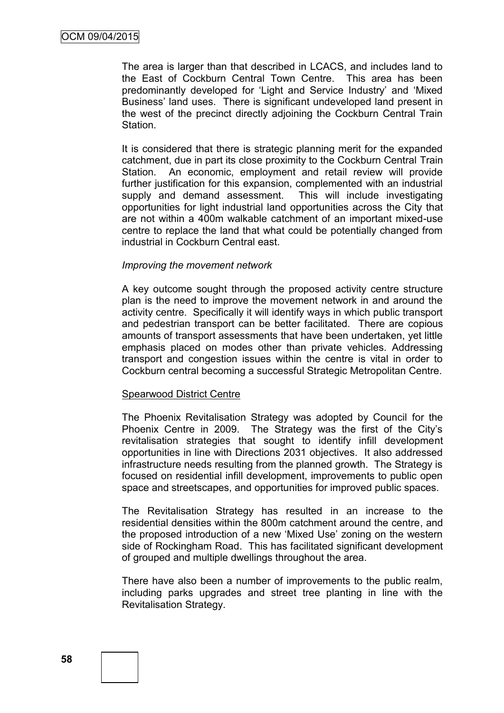The area is larger than that described in LCACS, and includes land to the East of Cockburn Central Town Centre. This area has been predominantly developed for 'Light and Service Industry' and 'Mixed Business' land uses. There is significant undeveloped land present in the west of the precinct directly adjoining the Cockburn Central Train Station.

It is considered that there is strategic planning merit for the expanded catchment, due in part its close proximity to the Cockburn Central Train Station. An economic, employment and retail review will provide further justification for this expansion, complemented with an industrial supply and demand assessment. This will include investigating opportunities for light industrial land opportunities across the City that are not within a 400m walkable catchment of an important mixed-use centre to replace the land that what could be potentially changed from industrial in Cockburn Central east.

#### *Improving the movement network*

A key outcome sought through the proposed activity centre structure plan is the need to improve the movement network in and around the activity centre. Specifically it will identify ways in which public transport and pedestrian transport can be better facilitated. There are copious amounts of transport assessments that have been undertaken, yet little emphasis placed on modes other than private vehicles. Addressing transport and congestion issues within the centre is vital in order to Cockburn central becoming a successful Strategic Metropolitan Centre.

#### Spearwood District Centre

The Phoenix Revitalisation Strategy was adopted by Council for the Phoenix Centre in 2009. The Strategy was the first of the City's revitalisation strategies that sought to identify infill development opportunities in line with Directions 2031 objectives. It also addressed infrastructure needs resulting from the planned growth. The Strategy is focused on residential infill development, improvements to public open space and streetscapes, and opportunities for improved public spaces.

The Revitalisation Strategy has resulted in an increase to the residential densities within the 800m catchment around the centre, and the proposed introduction of a new 'Mixed Use' zoning on the western side of Rockingham Road. This has facilitated significant development of grouped and multiple dwellings throughout the area.

There have also been a number of improvements to the public realm, including parks upgrades and street tree planting in line with the Revitalisation Strategy.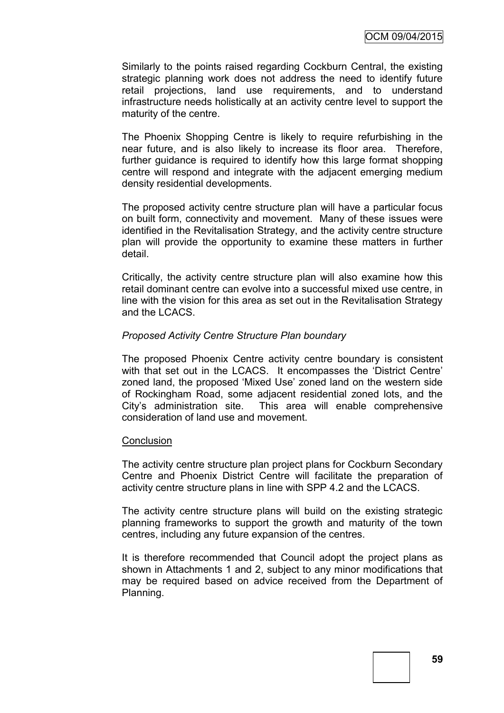Similarly to the points raised regarding Cockburn Central, the existing strategic planning work does not address the need to identify future retail projections, land use requirements, and to understand infrastructure needs holistically at an activity centre level to support the maturity of the centre.

The Phoenix Shopping Centre is likely to require refurbishing in the near future, and is also likely to increase its floor area. Therefore, further guidance is required to identify how this large format shopping centre will respond and integrate with the adjacent emerging medium density residential developments.

The proposed activity centre structure plan will have a particular focus on built form, connectivity and movement. Many of these issues were identified in the Revitalisation Strategy, and the activity centre structure plan will provide the opportunity to examine these matters in further detail.

Critically, the activity centre structure plan will also examine how this retail dominant centre can evolve into a successful mixed use centre, in line with the vision for this area as set out in the Revitalisation Strategy and the LCACS.

### *Proposed Activity Centre Structure Plan boundary*

The proposed Phoenix Centre activity centre boundary is consistent with that set out in the LCACS. It encompasses the 'District Centre' zoned land, the proposed 'Mixed Use' zoned land on the western side of Rockingham Road, some adjacent residential zoned lots, and the City's administration site. This area will enable comprehensive consideration of land use and movement.

#### **Conclusion**

The activity centre structure plan project plans for Cockburn Secondary Centre and Phoenix District Centre will facilitate the preparation of activity centre structure plans in line with SPP 4.2 and the LCACS.

The activity centre structure plans will build on the existing strategic planning frameworks to support the growth and maturity of the town centres, including any future expansion of the centres.

It is therefore recommended that Council adopt the project plans as shown in Attachments 1 and 2, subject to any minor modifications that may be required based on advice received from the Department of Planning.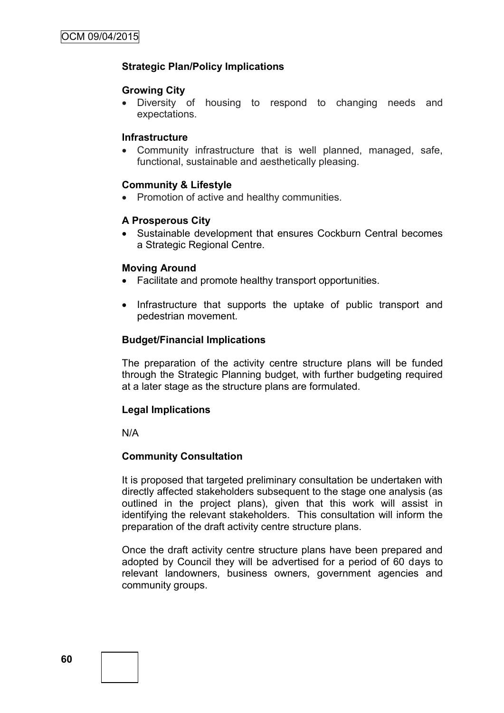## **Strategic Plan/Policy Implications**

#### **Growing City**

 Diversity of housing to respond to changing needs and expectations.

#### **Infrastructure**

 Community infrastructure that is well planned, managed, safe, functional, sustainable and aesthetically pleasing.

### **Community & Lifestyle**

• Promotion of active and healthy communities.

### **A Prosperous City**

 Sustainable development that ensures Cockburn Central becomes a Strategic Regional Centre.

#### **Moving Around**

- Facilitate and promote healthy transport opportunities.
- Infrastructure that supports the uptake of public transport and pedestrian movement.

#### **Budget/Financial Implications**

The preparation of the activity centre structure plans will be funded through the Strategic Planning budget, with further budgeting required at a later stage as the structure plans are formulated.

### **Legal Implications**

N/A

### **Community Consultation**

It is proposed that targeted preliminary consultation be undertaken with directly affected stakeholders subsequent to the stage one analysis (as outlined in the project plans), given that this work will assist in identifying the relevant stakeholders. This consultation will inform the preparation of the draft activity centre structure plans.

Once the draft activity centre structure plans have been prepared and adopted by Council they will be advertised for a period of 60 days to relevant landowners, business owners, government agencies and community groups.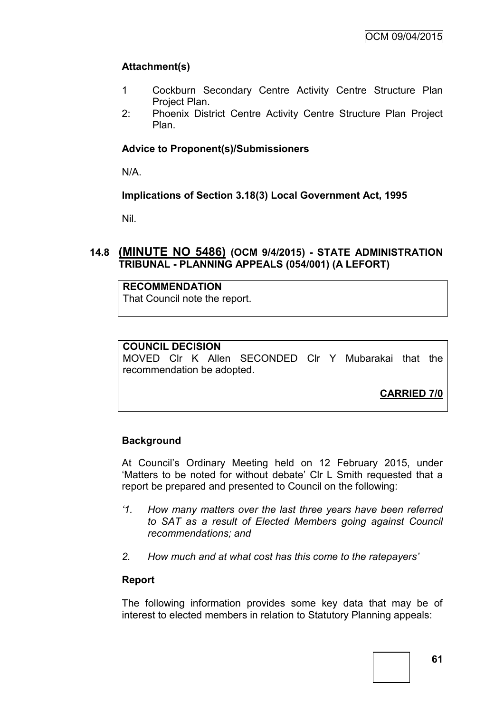# **Attachment(s)**

- 1 Cockburn Secondary Centre Activity Centre Structure Plan Project Plan.
- 2: Phoenix District Centre Activity Centre Structure Plan Project Plan.

# **Advice to Proponent(s)/Submissioners**

N/A.

# **Implications of Section 3.18(3) Local Government Act, 1995**

Nil.

# **14.8 (MINUTE NO 5486) (OCM 9/4/2015) - STATE ADMINISTRATION TRIBUNAL - PLANNING APPEALS (054/001) (A LEFORT)**

## **RECOMMENDATION**

That Council note the report.

## **COUNCIL DECISION**

MOVED Clr K Allen SECONDED Clr Y Mubarakai that the recommendation be adopted.

**CARRIED 7/0**

# **Background**

At Council's Ordinary Meeting held on 12 February 2015, under 'Matters to be noted for without debate' Clr L Smith requested that a report be prepared and presented to Council on the following:

- *'1. How many matters over the last three years have been referred to SAT as a result of Elected Members going against Council recommendations; and*
- *2. How much and at what cost has this come to the ratepayers'*

### **Report**

The following information provides some key data that may be of interest to elected members in relation to Statutory Planning appeals: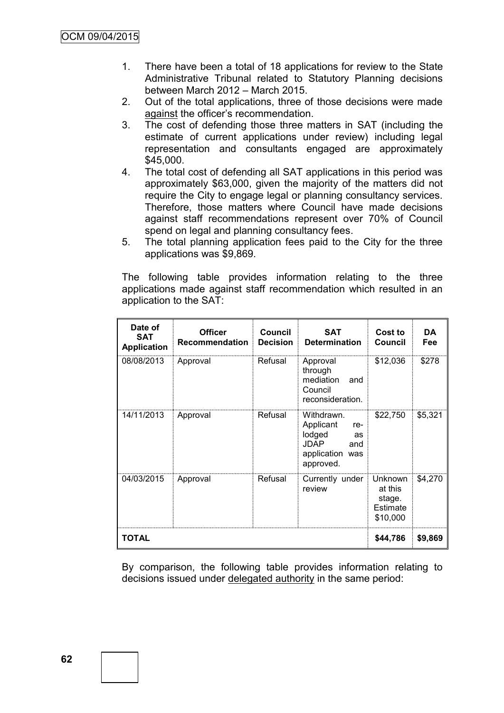- 1. There have been a total of 18 applications for review to the State Administrative Tribunal related to Statutory Planning decisions between March 2012 – March 2015.
- 2. Out of the total applications, three of those decisions were made against the officer's recommendation.
- 3. The cost of defending those three matters in SAT (including the estimate of current applications under review) including legal representation and consultants engaged are approximately \$45,000.
- 4. The total cost of defending all SAT applications in this period was approximately \$63,000, given the majority of the matters did not require the City to engage legal or planning consultancy services. Therefore, those matters where Council have made decisions against staff recommendations represent over 70% of Council spend on legal and planning consultancy fees.
- 5. The total planning application fees paid to the City for the three applications was \$9,869.

The following table provides information relating to the three applications made against staff recommendation which resulted in an application to the SAT:

| Date of<br><b>SAT</b><br><b>Application</b> | <b>Officer</b><br><b>Recommendation</b> | <b>Council</b><br><b>Decision</b> | <b>SAT</b><br><b>Determination</b>                                                                   | Cost to<br><b>Council</b>                                   | DA<br>Fee |
|---------------------------------------------|-----------------------------------------|-----------------------------------|------------------------------------------------------------------------------------------------------|-------------------------------------------------------------|-----------|
| 08/08/2013                                  | Approval                                | Refusal                           | Approval<br>through<br>mediation<br>and<br>Council<br>reconsideration.                               | \$12,036                                                    | \$278     |
| 14/11/2013                                  | Approval                                | Refusal                           | Withdrawn.<br>Applicant<br>re-<br>lodged<br>as<br><b>JDAP</b><br>and<br>application was<br>approved. | \$22,750                                                    | \$5,321   |
| 04/03/2015                                  | Approval                                | Refusal                           | Currently under<br>review                                                                            | Unknown<br>at this<br>stage.<br><b>Estimate</b><br>\$10,000 | \$4,270   |
| TOTAL                                       |                                         |                                   |                                                                                                      |                                                             | \$9,869   |

By comparison, the following table provides information relating to decisions issued under delegated authority in the same period: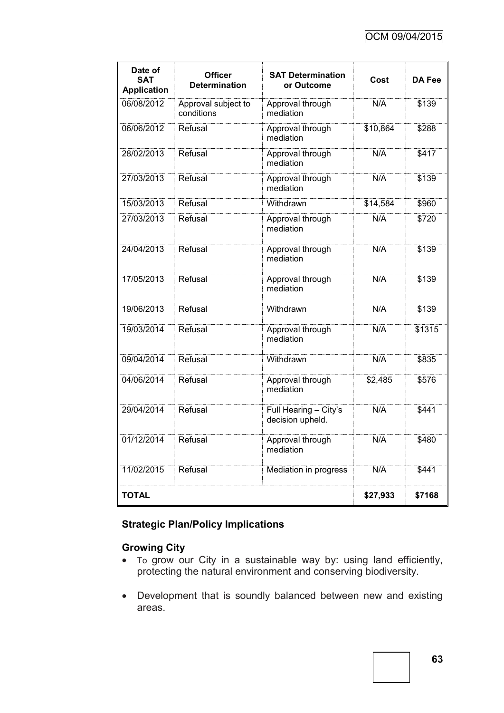| Date of<br><b>SAT</b><br><b>Application</b> | <b>Officer</b><br><b>Determination</b> | <b>SAT Determination</b><br>or Outcome    | Cost     | <b>DA Fee</b> |
|---------------------------------------------|----------------------------------------|-------------------------------------------|----------|---------------|
| 06/08/2012                                  | Approval subject to<br>conditions      | Approval through<br>mediation             | N/A      | \$139         |
| 06/06/2012                                  | Refusal                                | Approval through<br>mediation             | \$10,864 | \$288         |
| 28/02/2013                                  | Refusal                                | Approval through<br>mediation             | N/A      | \$417         |
| 27/03/2013                                  | Refusal                                | Approval through<br>mediation             | N/A      | \$139         |
| 15/03/2013                                  | Refusal                                | Withdrawn                                 | \$14,584 | \$960         |
| 27/03/2013                                  | Refusal                                | Approval through<br>mediation             | N/A      | \$720         |
| 24/04/2013                                  | Refusal                                | Approval through<br>mediation             | N/A      | \$139         |
| 17/05/2013                                  | Refusal                                | Approval through<br>mediation             | N/A      | \$139         |
| 19/06/2013                                  | Refusal                                | Withdrawn                                 | N/A      | \$139         |
| 19/03/2014                                  | Refusal                                | Approval through<br>mediation             | N/A      | \$1315        |
| 09/04/2014                                  | Refusal                                | Withdrawn                                 | N/A      | \$835         |
| 04/06/2014                                  | Refusal                                | Approval through<br>mediation             | \$2,485  | \$576         |
| 29/04/2014                                  | Refusal                                | Full Hearing - City's<br>decision upheld. | N/A      | \$441         |
| 01/12/2014                                  | Refusal                                | Approval through<br>mediation             | N/A      | \$480         |
| 11/02/2015                                  | Refusal                                | Mediation in progress                     | N/A      | \$441         |
| <b>TOTAL</b>                                | \$27,933                               | \$7168                                    |          |               |

# **Strategic Plan/Policy Implications**

# **Growing City**

- To grow our City in a sustainable way by: using land efficiently, protecting the natural environment and conserving biodiversity.
- Development that is soundly balanced between new and existing areas.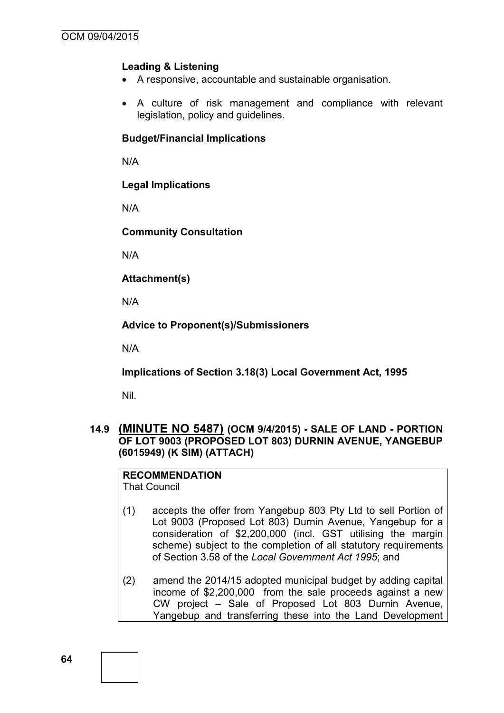## **Leading & Listening**

- A responsive, accountable and sustainable organisation.
- A culture of risk management and compliance with relevant legislation, policy and guidelines.

### **Budget/Financial Implications**

N/A

**Legal Implications**

N/A

**Community Consultation**

N/A

**Attachment(s)**

N/A

**Advice to Proponent(s)/Submissioners**

N/A

**Implications of Section 3.18(3) Local Government Act, 1995**

Nil.

# **14.9 (MINUTE NO 5487) (OCM 9/4/2015) - SALE OF LAND - PORTION OF LOT 9003 (PROPOSED LOT 803) DURNIN AVENUE, YANGEBUP (6015949) (K SIM) (ATTACH)**

**RECOMMENDATION** That Council

- (1) accepts the offer from Yangebup 803 Pty Ltd to sell Portion of Lot 9003 (Proposed Lot 803) Durnin Avenue, Yangebup for a consideration of \$2,200,000 (incl. GST utilising the margin scheme) subject to the completion of all statutory requirements of Section 3.58 of the *Local Government Act 1995*; and
- (2) amend the 2014/15 adopted municipal budget by adding capital income of \$2,200,000 from the sale proceeds against a new CW project – Sale of Proposed Lot 803 Durnin Avenue, Yangebup and transferring these into the Land Development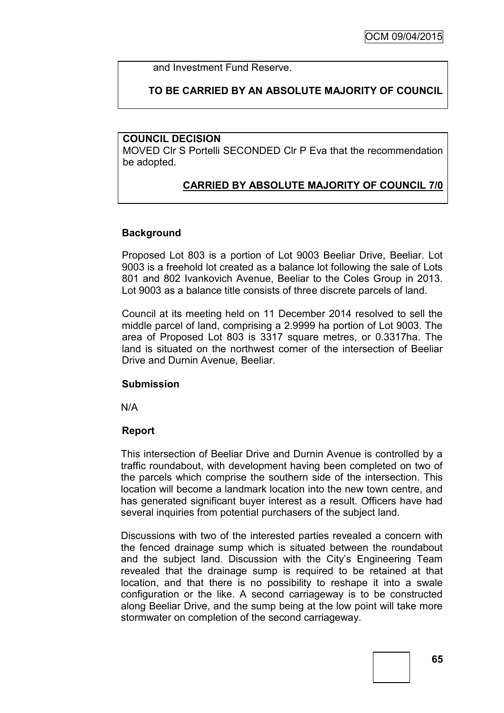and Investment Fund Reserve.

# **TO BE CARRIED BY AN ABSOLUTE MAJORITY OF COUNCIL**

#### **COUNCIL DECISION**

MOVED Clr S Portelli SECONDED Clr P Eva that the recommendation be adopted.

# **CARRIED BY ABSOLUTE MAJORITY OF COUNCIL 7/0**

#### **Background**

Proposed Lot 803 is a portion of Lot 9003 Beeliar Drive, Beeliar. Lot 9003 is a freehold lot created as a balance lot following the sale of Lots 801 and 802 Ivankovich Avenue, Beeliar to the Coles Group in 2013. Lot 9003 as a balance title consists of three discrete parcels of land.

Council at its meeting held on 11 December 2014 resolved to sell the middle parcel of land, comprising a 2.9999 ha portion of Lot 9003. The area of Proposed Lot 803 is 3317 square metres, or 0.3317ha. The land is situated on the northwest corner of the intersection of Beeliar Drive and Durnin Avenue, Beeliar.

#### **Submission**

N/A

#### **Report**

This intersection of Beeliar Drive and Durnin Avenue is controlled by a traffic roundabout, with development having been completed on two of the parcels which comprise the southern side of the intersection. This location will become a landmark location into the new town centre, and has generated significant buyer interest as a result. Officers have had several inquiries from potential purchasers of the subject land.

Discussions with two of the interested parties revealed a concern with the fenced drainage sump which is situated between the roundabout and the subject land. Discussion with the City's Engineering Team revealed that the drainage sump is required to be retained at that location, and that there is no possibility to reshape it into a swale configuration or the like. A second carriageway is to be constructed along Beeliar Drive, and the sump being at the low point will take more stormwater on completion of the second carriageway.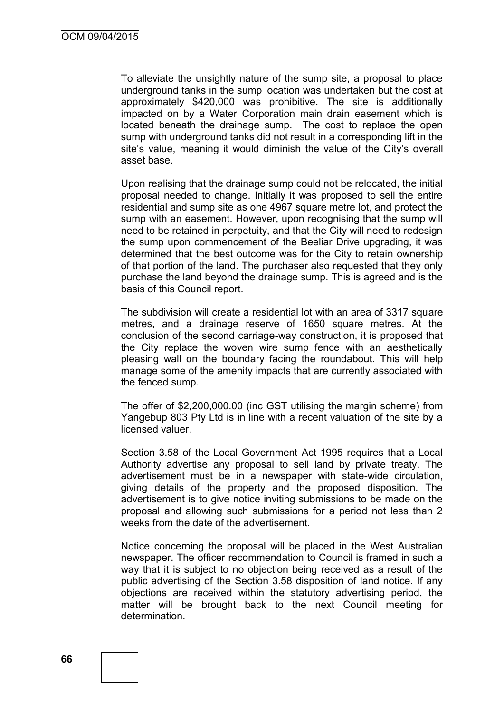To alleviate the unsightly nature of the sump site, a proposal to place underground tanks in the sump location was undertaken but the cost at approximately \$420,000 was prohibitive. The site is additionally impacted on by a Water Corporation main drain easement which is located beneath the drainage sump. The cost to replace the open sump with underground tanks did not result in a corresponding lift in the site's value, meaning it would diminish the value of the City's overall asset base.

Upon realising that the drainage sump could not be relocated, the initial proposal needed to change. Initially it was proposed to sell the entire residential and sump site as one 4967 square metre lot, and protect the sump with an easement. However, upon recognising that the sump will need to be retained in perpetuity, and that the City will need to redesign the sump upon commencement of the Beeliar Drive upgrading, it was determined that the best outcome was for the City to retain ownership of that portion of the land. The purchaser also requested that they only purchase the land beyond the drainage sump. This is agreed and is the basis of this Council report.

The subdivision will create a residential lot with an area of 3317 square metres, and a drainage reserve of 1650 square metres. At the conclusion of the second carriage-way construction, it is proposed that the City replace the woven wire sump fence with an aesthetically pleasing wall on the boundary facing the roundabout. This will help manage some of the amenity impacts that are currently associated with the fenced sump.

The offer of \$2,200,000.00 (inc GST utilising the margin scheme) from Yangebup 803 Pty Ltd is in line with a recent valuation of the site by a licensed valuer.

Section 3.58 of the Local Government Act 1995 requires that a Local Authority advertise any proposal to sell land by private treaty. The advertisement must be in a newspaper with state-wide circulation, giving details of the property and the proposed disposition. The advertisement is to give notice inviting submissions to be made on the proposal and allowing such submissions for a period not less than 2 weeks from the date of the advertisement.

Notice concerning the proposal will be placed in the West Australian newspaper. The officer recommendation to Council is framed in such a way that it is subject to no objection being received as a result of the public advertising of the Section 3.58 disposition of land notice. If any objections are received within the statutory advertising period, the matter will be brought back to the next Council meeting for determination.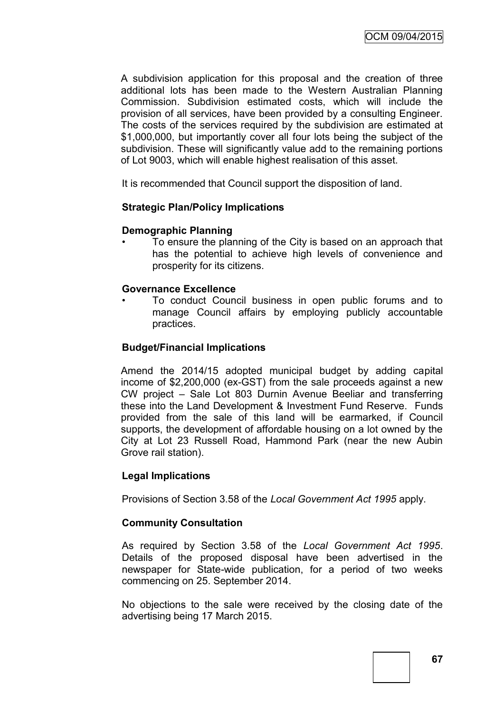A subdivision application for this proposal and the creation of three additional lots has been made to the Western Australian Planning Commission. Subdivision estimated costs, which will include the provision of all services, have been provided by a consulting Engineer. The costs of the services required by the subdivision are estimated at \$1,000,000, but importantly cover all four lots being the subject of the subdivision. These will significantly value add to the remaining portions of Lot 9003, which will enable highest realisation of this asset.

It is recommended that Council support the disposition of land.

#### **Strategic Plan/Policy Implications**

#### **Demographic Planning**

• To ensure the planning of the City is based on an approach that has the potential to achieve high levels of convenience and prosperity for its citizens.

#### **Governance Excellence**

• To conduct Council business in open public forums and to manage Council affairs by employing publicly accountable practices.

#### **Budget/Financial Implications**

Amend the 2014/15 adopted municipal budget by adding capital income of \$2,200,000 (ex-GST) from the sale proceeds against a new CW project – Sale Lot 803 Durnin Avenue Beeliar and transferring these into the Land Development & Investment Fund Reserve. Funds provided from the sale of this land will be earmarked, if Council supports, the development of affordable housing on a lot owned by the City at Lot 23 Russell Road, Hammond Park (near the new Aubin Grove rail station).

#### **Legal Implications**

Provisions of Section 3.58 of the *Local Government Act 1995* apply.

#### **Community Consultation**

As required by Section 3.58 of the *Local Government Act 1995*. Details of the proposed disposal have been advertised in the newspaper for State-wide publication, for a period of two weeks commencing on 25. September 2014.

No objections to the sale were received by the closing date of the advertising being 17 March 2015.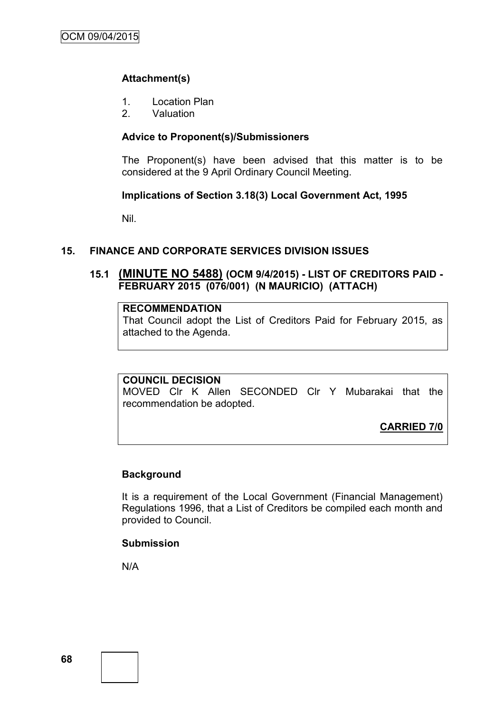# **Attachment(s)**

- 1. Location Plan
- 2. Valuation

# **Advice to Proponent(s)/Submissioners**

The Proponent(s) have been advised that this matter is to be considered at the 9 April Ordinary Council Meeting.

### **Implications of Section 3.18(3) Local Government Act, 1995**

Nil.

# **15. FINANCE AND CORPORATE SERVICES DIVISION ISSUES**

# **15.1 (MINUTE NO 5488) (OCM 9/4/2015) - LIST OF CREDITORS PAID - FEBRUARY 2015 (076/001) (N MAURICIO) (ATTACH)**

## **RECOMMENDATION**

That Council adopt the List of Creditors Paid for February 2015, as attached to the Agenda.

### **COUNCIL DECISION**

MOVED Clr K Allen SECONDED Clr Y Mubarakai that the recommendation be adopted.

**CARRIED 7/0**

# **Background**

It is a requirement of the Local Government (Financial Management) Regulations 1996, that a List of Creditors be compiled each month and provided to Council.

## **Submission**

N/A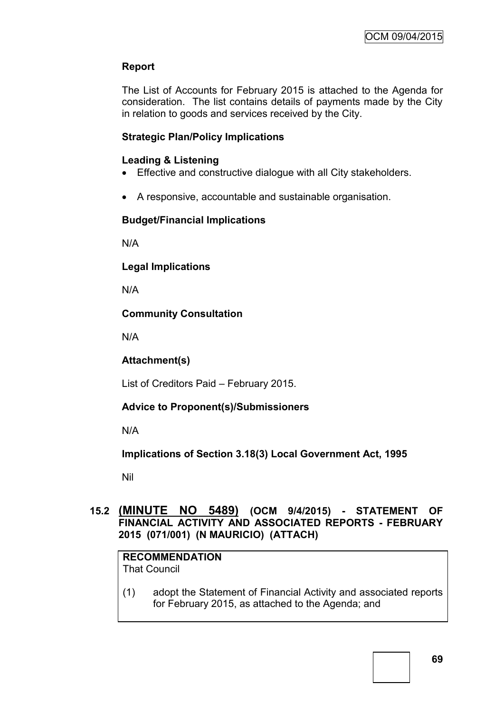# **Report**

The List of Accounts for February 2015 is attached to the Agenda for consideration. The list contains details of payments made by the City in relation to goods and services received by the City.

# **Strategic Plan/Policy Implications**

# **Leading & Listening**

- Effective and constructive dialogue with all City stakeholders.
- A responsive, accountable and sustainable organisation.

# **Budget/Financial Implications**

N/A

**Legal Implications**

N/A

# **Community Consultation**

N/A

# **Attachment(s)**

List of Creditors Paid – February 2015.

# **Advice to Proponent(s)/Submissioners**

N/A

**Implications of Section 3.18(3) Local Government Act, 1995**

Nil

# **15.2 (MINUTE NO 5489) (OCM 9/4/2015) - STATEMENT OF FINANCIAL ACTIVITY AND ASSOCIATED REPORTS - FEBRUARY 2015 (071/001) (N MAURICIO) (ATTACH)**

# **RECOMMENDATION**

That Council

(1) adopt the Statement of Financial Activity and associated reports for February 2015, as attached to the Agenda; and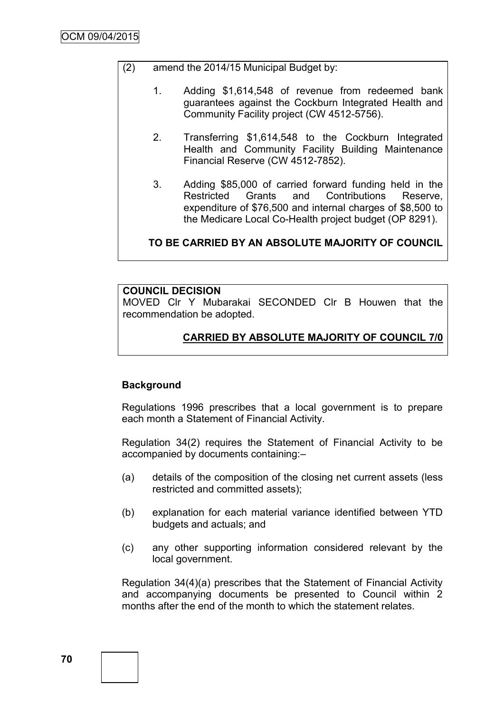- (2) amend the 2014/15 Municipal Budget by:
	- 1. Adding \$1,614,548 of revenue from redeemed bank guarantees against the Cockburn Integrated Health and Community Facility project (CW 4512-5756).
	- 2. Transferring \$1,614,548 to the Cockburn Integrated Health and Community Facility Building Maintenance Financial Reserve (CW 4512-7852).
	- 3. Adding \$85,000 of carried forward funding held in the Restricted Grants and Contributions Reserve, expenditure of \$76,500 and internal charges of \$8,500 to the Medicare Local Co-Health project budget (OP 8291).

# **TO BE CARRIED BY AN ABSOLUTE MAJORITY OF COUNCIL**

# **COUNCIL DECISION**

MOVED Clr Y Mubarakai SECONDED Clr B Houwen that the recommendation be adopted.

# **CARRIED BY ABSOLUTE MAJORITY OF COUNCIL 7/0**

# **Background**

Regulations 1996 prescribes that a local government is to prepare each month a Statement of Financial Activity.

Regulation 34(2) requires the Statement of Financial Activity to be accompanied by documents containing:–

- (a) details of the composition of the closing net current assets (less restricted and committed assets);
- (b) explanation for each material variance identified between YTD budgets and actuals; and
- (c) any other supporting information considered relevant by the local government.

Regulation 34(4)(a) prescribes that the Statement of Financial Activity and accompanying documents be presented to Council within 2 months after the end of the month to which the statement relates.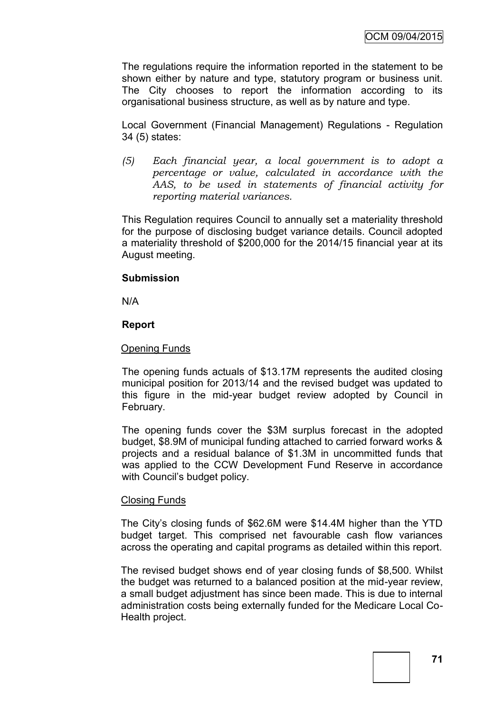The regulations require the information reported in the statement to be shown either by nature and type, statutory program or business unit. The City chooses to report the information according to its organisational business structure, as well as by nature and type.

Local Government (Financial Management) Regulations - Regulation 34 (5) states:

*(5) Each financial year, a local government is to adopt a percentage or value, calculated in accordance with the AAS, to be used in statements of financial activity for reporting material variances.*

This Regulation requires Council to annually set a materiality threshold for the purpose of disclosing budget variance details. Council adopted a materiality threshold of \$200,000 for the 2014/15 financial year at its August meeting.

# **Submission**

N/A

# **Report**

#### Opening Funds

The opening funds actuals of \$13.17M represents the audited closing municipal position for 2013/14 and the revised budget was updated to this figure in the mid-year budget review adopted by Council in February.

The opening funds cover the \$3M surplus forecast in the adopted budget, \$8.9M of municipal funding attached to carried forward works & projects and a residual balance of \$1.3M in uncommitted funds that was applied to the CCW Development Fund Reserve in accordance with Council's budget policy.

# Closing Funds

The City's closing funds of \$62.6M were \$14.4M higher than the YTD budget target. This comprised net favourable cash flow variances across the operating and capital programs as detailed within this report.

The revised budget shows end of year closing funds of \$8,500. Whilst the budget was returned to a balanced position at the mid-year review, a small budget adjustment has since been made. This is due to internal administration costs being externally funded for the Medicare Local Co-Health project.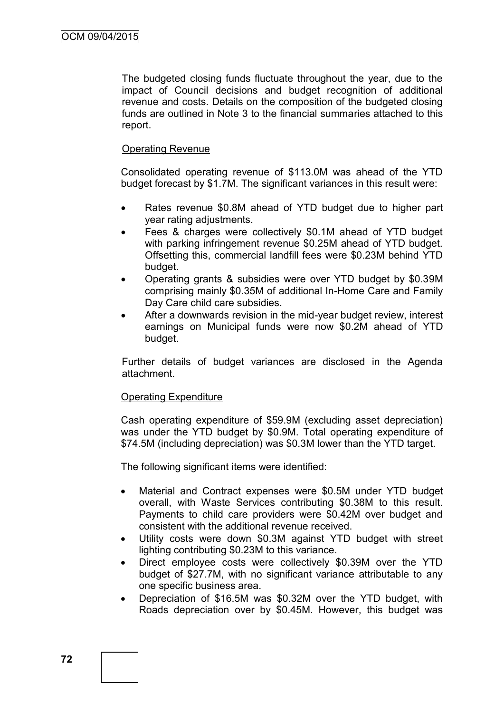The budgeted closing funds fluctuate throughout the year, due to the impact of Council decisions and budget recognition of additional revenue and costs. Details on the composition of the budgeted closing funds are outlined in Note 3 to the financial summaries attached to this report.

# Operating Revenue

Consolidated operating revenue of \$113.0M was ahead of the YTD budget forecast by \$1.7M. The significant variances in this result were:

- Rates revenue \$0.8M ahead of YTD budget due to higher part year rating adjustments.
- Fees & charges were collectively \$0.1M ahead of YTD budget with parking infringement revenue \$0.25M ahead of YTD budget. Offsetting this, commercial landfill fees were \$0.23M behind YTD budget.
- Operating grants & subsidies were over YTD budget by \$0.39M comprising mainly \$0.35M of additional In-Home Care and Family Day Care child care subsidies.
- After a downwards revision in the mid-year budget review, interest earnings on Municipal funds were now \$0.2M ahead of YTD budget.

Further details of budget variances are disclosed in the Agenda attachment.

# Operating Expenditure

Cash operating expenditure of \$59.9M (excluding asset depreciation) was under the YTD budget by \$0.9M. Total operating expenditure of \$74.5M (including depreciation) was \$0.3M lower than the YTD target.

The following significant items were identified:

- Material and Contract expenses were \$0.5M under YTD budget overall, with Waste Services contributing \$0.38M to this result. Payments to child care providers were \$0.42M over budget and consistent with the additional revenue received.
- Utility costs were down \$0.3M against YTD budget with street lighting contributing \$0.23M to this variance.
- Direct employee costs were collectively \$0.39M over the YTD budget of \$27.7M, with no significant variance attributable to any one specific business area.
- Depreciation of \$16.5M was \$0.32M over the YTD budget, with Roads depreciation over by \$0.45M. However, this budget was

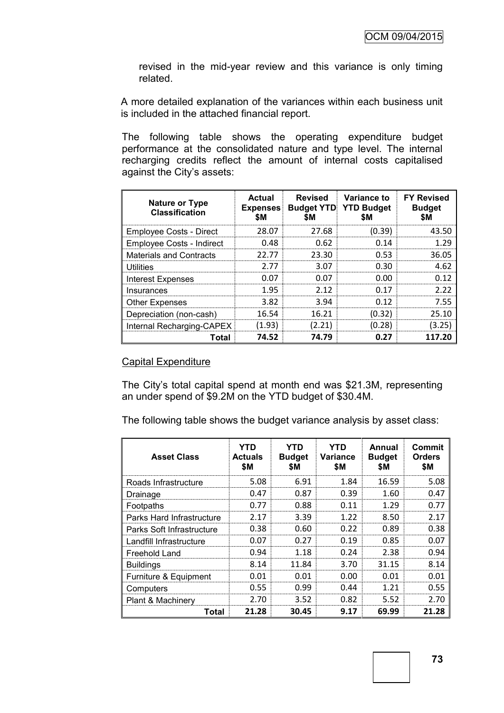revised in the mid-year review and this variance is only timing related.

A more detailed explanation of the variances within each business unit is included in the attached financial report.

The following table shows the operating expenditure budget performance at the consolidated nature and type level. The internal recharging credits reflect the amount of internal costs capitalised against the City's assets:

| <b>Nature or Type</b><br><b>Classification</b> | <b>Actual</b><br><b>Expenses</b><br><b>SM</b> | Revised<br><b>SM</b> | <b>Variance to</b><br><b>Budget YTD YTD Budget</b><br><b>SM</b> | <b>FY Revised</b><br><b>Budget</b><br>\$M |
|------------------------------------------------|-----------------------------------------------|----------------------|-----------------------------------------------------------------|-------------------------------------------|
| Employee Costs - Direct                        | 28.07                                         | 27.68                | (0.39)                                                          | 43.50                                     |
| Employee Costs - Indirect                      | 0.48                                          | 0.62                 | 0.14                                                            | 1.29                                      |
| <b>Materials and Contracts</b>                 | 22.77                                         | 23.30                | 0.53                                                            | 36.05                                     |
| <b>Utilities</b>                               | 2.77                                          | 3.07                 | 0.30                                                            | 4.62                                      |
| Interest Expenses                              | 0.07                                          | 0.07                 | 0.OO                                                            | በ 12                                      |
| Insurances                                     | 1.95                                          | 2 12                 | በ 17                                                            | 2 22                                      |
| <b>Other Expenses</b>                          | 3.82                                          | 3.94                 | 0.12                                                            | 7.55                                      |
| Depreciation (non-cash)                        | 16.54                                         | 16.21                | (0.32)                                                          | 25.10                                     |
| Internal Recharging-CAPEX                      | (1.93)                                        | (2.21)               | (0.28)                                                          | (3.25)                                    |
| Total                                          | 74.52                                         | 74.79                | 0.27                                                            | 117.20                                    |

#### Capital Expenditure

The City's total capital spend at month end was \$21.3M, representing an under spend of \$9.2M on the YTD budget of \$30.4M.

The following table shows the budget variance analysis by asset class:

| <b>Asset Class</b>        | YTD<br><b>Actuals</b><br>\$Μ | YTD<br><b>Budget</b><br>\$M | YTD<br>Variance<br>\$M | Annual<br><b>Budget</b><br>SM. | Commit<br><b>Orders</b><br>\$M |
|---------------------------|------------------------------|-----------------------------|------------------------|--------------------------------|--------------------------------|
| Roads Infrastructure      | 5.08                         | 6.91                        | 1.84                   | 16.59                          | 5.08                           |
| Drainage                  | 0.47                         | 0.87                        | 0.39                   | 1.60                           | 0.47                           |
| Footpaths                 | 0.77                         | 0.88                        | 0.11                   | 1.29                           | 0.77                           |
| Parks Hard Infrastructure | 2.17                         | 3.39                        | 1.22                   | 8.50                           | 2.17                           |
| Parks Soft Infrastructure | 0.38                         | 0.60                        | 0.22                   | 0.89                           | 0.38                           |
| Landfill Infrastructure   | 0.07                         | 0.27                        | 0.19                   | 0.85                           | 0.07                           |
| Freehold Land             | 0.94                         | 1.18                        | 0.24                   | 2.38                           | 0.94                           |
| <b>Buildings</b>          | 8.14                         | 11.84                       | 3.70                   | 31.15                          | 8.14                           |
| Furniture & Equipment     | 0.01                         | 0.01                        | 0.00                   | 0.01                           | 0.01                           |
| Computers                 | 0.55                         | 0.99                        | 0.44                   | 1.21                           | 0.55                           |
| Plant & Machinery         | 2.70                         | 3.52                        | 0.82                   | 5.52                           | 2.70                           |
| Total                     | 21.28                        | 30.45                       | 9.17                   | 69.99                          | 21.28                          |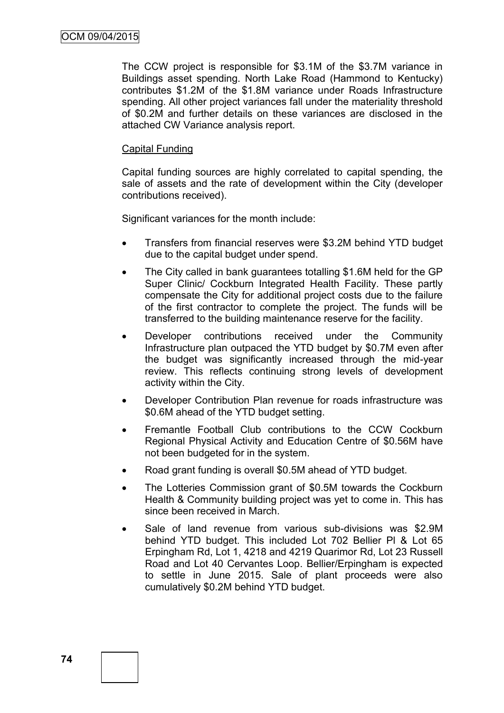The CCW project is responsible for \$3.1M of the \$3.7M variance in Buildings asset spending. North Lake Road (Hammond to Kentucky) contributes \$1.2M of the \$1.8M variance under Roads Infrastructure spending. All other project variances fall under the materiality threshold of \$0.2M and further details on these variances are disclosed in the attached CW Variance analysis report.

#### Capital Funding

Capital funding sources are highly correlated to capital spending, the sale of assets and the rate of development within the City (developer contributions received).

Significant variances for the month include:

- Transfers from financial reserves were \$3.2M behind YTD budget due to the capital budget under spend.
- The City called in bank guarantees totalling \$1.6M held for the GP Super Clinic/ Cockburn Integrated Health Facility. These partly compensate the City for additional project costs due to the failure of the first contractor to complete the project. The funds will be transferred to the building maintenance reserve for the facility.
- Developer contributions received under the Community Infrastructure plan outpaced the YTD budget by \$0.7M even after the budget was significantly increased through the mid-year review. This reflects continuing strong levels of development activity within the City.
- Developer Contribution Plan revenue for roads infrastructure was \$0.6M ahead of the YTD budget setting.
- Fremantle Football Club contributions to the CCW Cockburn Regional Physical Activity and Education Centre of \$0.56M have not been budgeted for in the system.
- Road grant funding is overall \$0.5M ahead of YTD budget.
- The Lotteries Commission grant of \$0.5M towards the Cockburn Health & Community building project was yet to come in. This has since been received in March.
- Sale of land revenue from various sub-divisions was \$2.9M behind YTD budget. This included Lot 702 Bellier Pl & Lot 65 Erpingham Rd, Lot 1, 4218 and 4219 Quarimor Rd, Lot 23 Russell Road and Lot 40 Cervantes Loop. Bellier/Erpingham is expected to settle in June 2015. Sale of plant proceeds were also cumulatively \$0.2M behind YTD budget.

**74**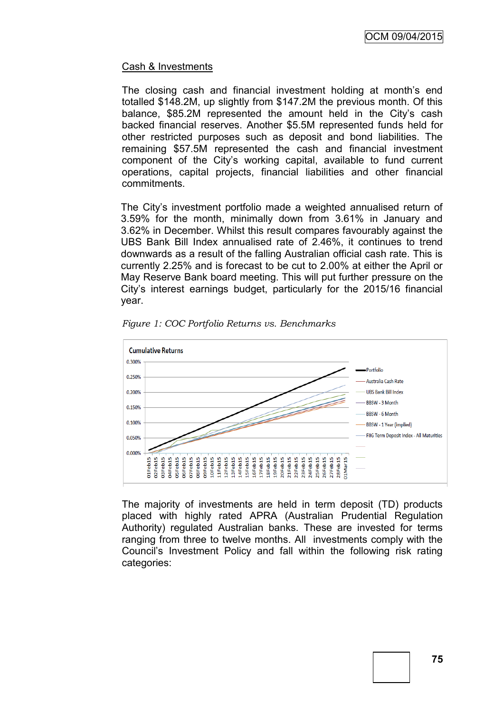# Cash & Investments

The closing cash and financial investment holding at month's end totalled \$148.2M, up slightly from \$147.2M the previous month. Of this balance, \$85.2M represented the amount held in the City's cash backed financial reserves. Another \$5.5M represented funds held for other restricted purposes such as deposit and bond liabilities. The remaining \$57.5M represented the cash and financial investment component of the City's working capital, available to fund current operations, capital projects, financial liabilities and other financial commitments.

The City's investment portfolio made a weighted annualised return of 3.59% for the month, minimally down from 3.61% in January and 3.62% in December. Whilst this result compares favourably against the UBS Bank Bill Index annualised rate of 2.46%, it continues to trend downwards as a result of the falling Australian official cash rate. This is currently 2.25% and is forecast to be cut to 2.00% at either the April or May Reserve Bank board meeting. This will put further pressure on the City's interest earnings budget, particularly for the 2015/16 financial year.



*Figure 1: COC Portfolio Returns vs. Benchmarks*

The majority of investments are held in term deposit (TD) products placed with highly rated APRA (Australian Prudential Regulation Authority) regulated Australian banks. These are invested for terms ranging from three to twelve months. All investments comply with the Council's Investment Policy and fall within the following risk rating categories: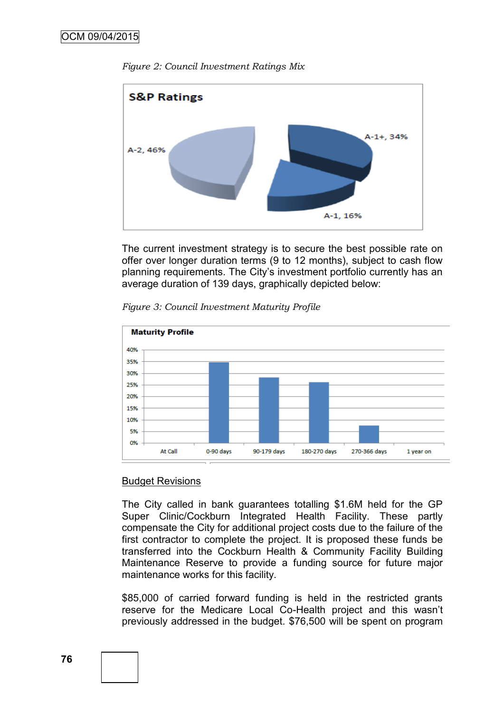



The current investment strategy is to secure the best possible rate on offer over longer duration terms (9 to 12 months), subject to cash flow planning requirements. The City's investment portfolio currently has an average duration of 139 days, graphically depicted below:





# Budget Revisions

The City called in bank guarantees totalling \$1.6M held for the GP Super Clinic/Cockburn Integrated Health Facility. These partly compensate the City for additional project costs due to the failure of the first contractor to complete the project. It is proposed these funds be transferred into the Cockburn Health & Community Facility Building Maintenance Reserve to provide a funding source for future major maintenance works for this facility.

\$85,000 of carried forward funding is held in the restricted grants reserve for the Medicare Local Co-Health project and this wasn't previously addressed in the budget. \$76,500 will be spent on program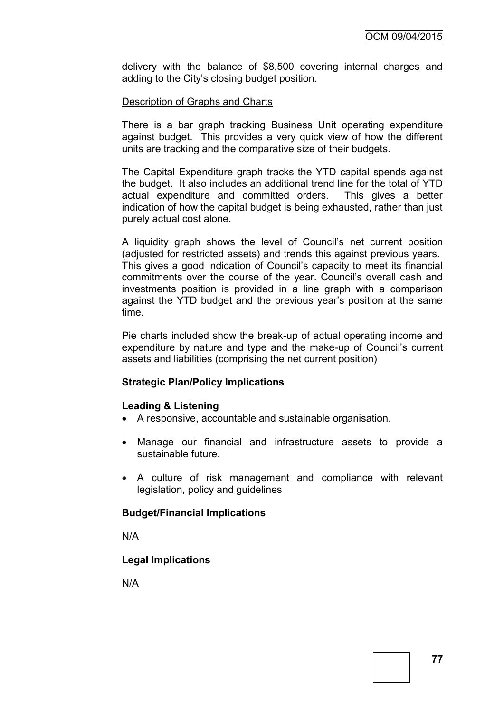delivery with the balance of \$8,500 covering internal charges and adding to the City's closing budget position.

#### Description of Graphs and Charts

There is a bar graph tracking Business Unit operating expenditure against budget. This provides a very quick view of how the different units are tracking and the comparative size of their budgets.

The Capital Expenditure graph tracks the YTD capital spends against the budget. It also includes an additional trend line for the total of YTD actual expenditure and committed orders. This gives a better indication of how the capital budget is being exhausted, rather than just purely actual cost alone.

A liquidity graph shows the level of Council's net current position (adjusted for restricted assets) and trends this against previous years. This gives a good indication of Council's capacity to meet its financial commitments over the course of the year. Council's overall cash and investments position is provided in a line graph with a comparison against the YTD budget and the previous year's position at the same time.

Pie charts included show the break-up of actual operating income and expenditure by nature and type and the make-up of Council's current assets and liabilities (comprising the net current position)

# **Strategic Plan/Policy Implications**

#### **Leading & Listening**

- A responsive, accountable and sustainable organisation.
- Manage our financial and infrastructure assets to provide a sustainable future.
- A culture of risk management and compliance with relevant legislation, policy and guidelines

#### **Budget/Financial Implications**

N/A

# **Legal Implications**

N/A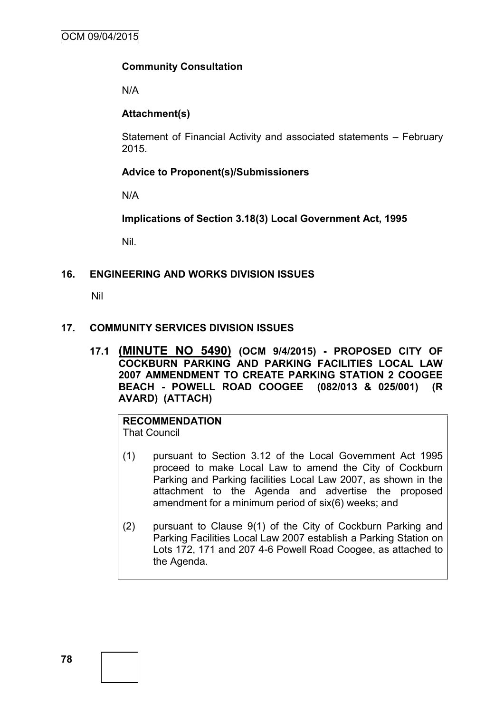# **Community Consultation**

N/A

# **Attachment(s)**

Statement of Financial Activity and associated statements – February 2015.

# **Advice to Proponent(s)/Submissioners**

N/A

**Implications of Section 3.18(3) Local Government Act, 1995**

Nil.

#### **16. ENGINEERING AND WORKS DIVISION ISSUES**

Nil

### **17. COMMUNITY SERVICES DIVISION ISSUES**

**17.1 (MINUTE NO 5490) (OCM 9/4/2015) - PROPOSED CITY OF COCKBURN PARKING AND PARKING FACILITIES LOCAL LAW 2007 AMMENDMENT TO CREATE PARKING STATION 2 COOGEE BEACH - POWELL ROAD COOGEE (082/013 & 025/001) (R AVARD) (ATTACH)**

#### **RECOMMENDATION** That Council

- (1) pursuant to Section 3.12 of the Local Government Act 1995 proceed to make Local Law to amend the City of Cockburn Parking and Parking facilities Local Law 2007, as shown in the attachment to the Agenda and advertise the proposed amendment for a minimum period of six(6) weeks; and
- (2) pursuant to Clause 9(1) of the City of Cockburn Parking and Parking Facilities Local Law 2007 establish a Parking Station on Lots 172, 171 and 207 4-6 Powell Road Coogee, as attached to the Agenda.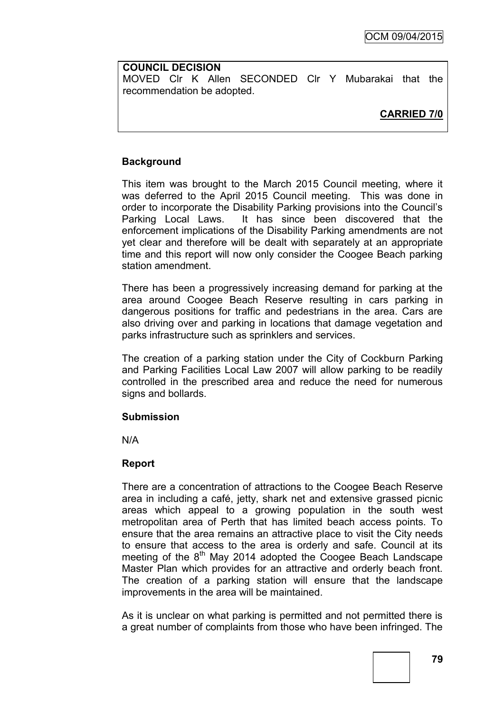### **COUNCIL DECISION**

MOVED Clr K Allen SECONDED Clr Y Mubarakai that the recommendation be adopted.

# **CARRIED 7/0**

# **Background**

This item was brought to the March 2015 Council meeting, where it was deferred to the April 2015 Council meeting. This was done in order to incorporate the Disability Parking provisions into the Council's Parking Local Laws. It has since been discovered that the enforcement implications of the Disability Parking amendments are not yet clear and therefore will be dealt with separately at an appropriate time and this report will now only consider the Coogee Beach parking station amendment.

There has been a progressively increasing demand for parking at the area around Coogee Beach Reserve resulting in cars parking in dangerous positions for traffic and pedestrians in the area. Cars are also driving over and parking in locations that damage vegetation and parks infrastructure such as sprinklers and services.

The creation of a parking station under the City of Cockburn Parking and Parking Facilities Local Law 2007 will allow parking to be readily controlled in the prescribed area and reduce the need for numerous signs and bollards.

# **Submission**

N/A

# **Report**

There are a concentration of attractions to the Coogee Beach Reserve area in including a café, jetty, shark net and extensive grassed picnic areas which appeal to a growing population in the south west metropolitan area of Perth that has limited beach access points. To ensure that the area remains an attractive place to visit the City needs to ensure that access to the area is orderly and safe. Council at its meeting of the  $8<sup>th</sup>$  May 2014 adopted the Coogee Beach Landscape Master Plan which provides for an attractive and orderly beach front. The creation of a parking station will ensure that the landscape improvements in the area will be maintained.

As it is unclear on what parking is permitted and not permitted there is a great number of complaints from those who have been infringed. The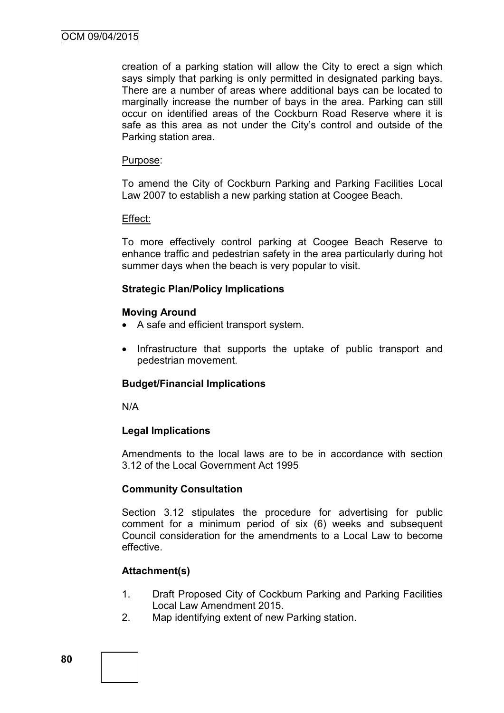creation of a parking station will allow the City to erect a sign which says simply that parking is only permitted in designated parking bays. There are a number of areas where additional bays can be located to marginally increase the number of bays in the area. Parking can still occur on identified areas of the Cockburn Road Reserve where it is safe as this area as not under the City's control and outside of the Parking station area.

#### Purpose:

To amend the City of Cockburn Parking and Parking Facilities Local Law 2007 to establish a new parking station at Coogee Beach.

#### Effect:

To more effectively control parking at Coogee Beach Reserve to enhance traffic and pedestrian safety in the area particularly during hot summer days when the beach is very popular to visit.

#### **Strategic Plan/Policy Implications**

#### **Moving Around**

- A safe and efficient transport system.
- Infrastructure that supports the uptake of public transport and pedestrian movement.

# **Budget/Financial Implications**

N/A

#### **Legal Implications**

Amendments to the local laws are to be in accordance with section 3.12 of the Local Government Act 1995

# **Community Consultation**

Section 3.12 stipulates the procedure for advertising for public comment for a minimum period of six (6) weeks and subsequent Council consideration for the amendments to a Local Law to become effective.

# **Attachment(s)**

- 1. Draft Proposed City of Cockburn Parking and Parking Facilities Local Law Amendment 2015.
- 2. Map identifying extent of new Parking station.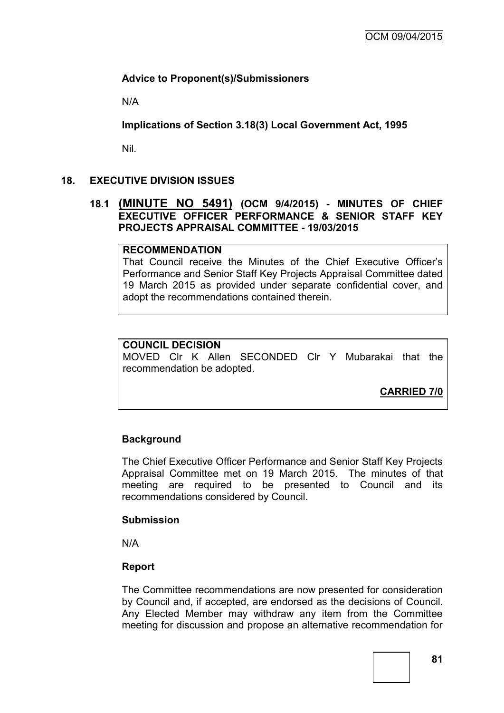# **Advice to Proponent(s)/Submissioners**

N/A

**Implications of Section 3.18(3) Local Government Act, 1995**

Nil.

# **18. EXECUTIVE DIVISION ISSUES**

# **18.1 (MINUTE NO 5491) (OCM 9/4/2015) - MINUTES OF CHIEF EXECUTIVE OFFICER PERFORMANCE & SENIOR STAFF KEY PROJECTS APPRAISAL COMMITTEE - 19/03/2015**

### **RECOMMENDATION**

That Council receive the Minutes of the Chief Executive Officer's Performance and Senior Staff Key Projects Appraisal Committee dated 19 March 2015 as provided under separate confidential cover, and adopt the recommendations contained therein.

# **COUNCIL DECISION**

MOVED Clr K Allen SECONDED Clr Y Mubarakai that the recommendation be adopted.

**CARRIED 7/0**

# **Background**

The Chief Executive Officer Performance and Senior Staff Key Projects Appraisal Committee met on 19 March 2015. The minutes of that meeting are required to be presented to Council and its recommendations considered by Council.

# **Submission**

N/A

# **Report**

The Committee recommendations are now presented for consideration by Council and, if accepted, are endorsed as the decisions of Council. Any Elected Member may withdraw any item from the Committee meeting for discussion and propose an alternative recommendation for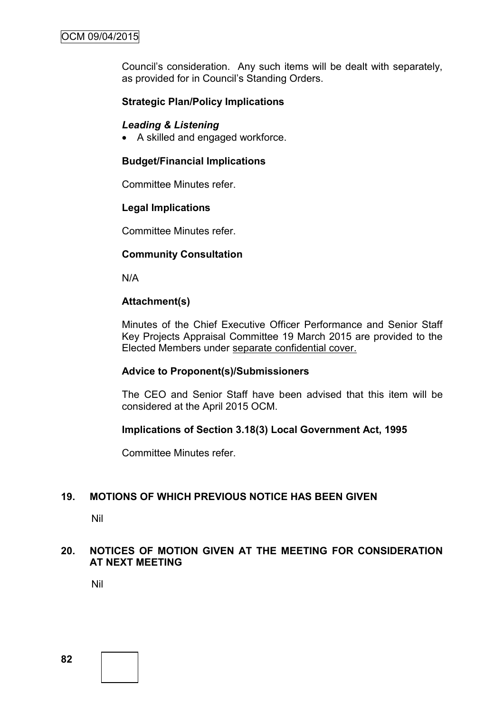Council's consideration. Any such items will be dealt with separately, as provided for in Council's Standing Orders.

# **Strategic Plan/Policy Implications**

#### *Leading & Listening*

A skilled and engaged workforce.

#### **Budget/Financial Implications**

Committee Minutes refer.

#### **Legal Implications**

Committee Minutes refer.

#### **Community Consultation**

N/A

#### **Attachment(s)**

Minutes of the Chief Executive Officer Performance and Senior Staff Key Projects Appraisal Committee 19 March 2015 are provided to the Elected Members under separate confidential cover.

#### **Advice to Proponent(s)/Submissioners**

The CEO and Senior Staff have been advised that this item will be considered at the April 2015 OCM.

#### **Implications of Section 3.18(3) Local Government Act, 1995**

Committee Minutes refer.

# **19. MOTIONS OF WHICH PREVIOUS NOTICE HAS BEEN GIVEN**

Nil

# **20. NOTICES OF MOTION GIVEN AT THE MEETING FOR CONSIDERATION AT NEXT MEETING**

Nil

**82**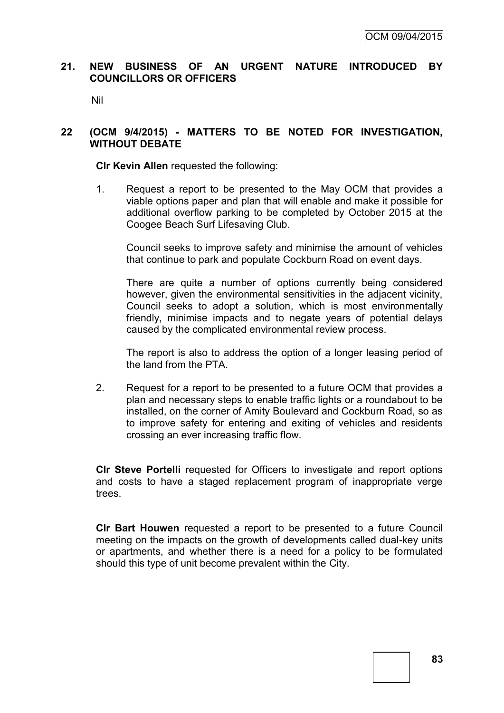# **21. NEW BUSINESS OF AN URGENT NATURE INTRODUCED BY COUNCILLORS OR OFFICERS**

Nil

# **22 (OCM 9/4/2015) - MATTERS TO BE NOTED FOR INVESTIGATION, WITHOUT DEBATE**

**Clr Kevin Allen** requested the following:

1. Request a report to be presented to the May OCM that provides a viable options paper and plan that will enable and make it possible for additional overflow parking to be completed by October 2015 at the Coogee Beach Surf Lifesaving Club.

Council seeks to improve safety and minimise the amount of vehicles that continue to park and populate Cockburn Road on event days.

There are quite a number of options currently being considered however, given the environmental sensitivities in the adjacent vicinity, Council seeks to adopt a solution, which is most environmentally friendly, minimise impacts and to negate years of potential delays caused by the complicated environmental review process.

The report is also to address the option of a longer leasing period of the land from the PTA.

2. Request for a report to be presented to a future OCM that provides a plan and necessary steps to enable traffic lights or a roundabout to be installed, on the corner of Amity Boulevard and Cockburn Road, so as to improve safety for entering and exiting of vehicles and residents crossing an ever increasing traffic flow.

**Clr Steve Portelli** requested for Officers to investigate and report options and costs to have a staged replacement program of inappropriate verge trees.

**Clr Bart Houwen** requested a report to be presented to a future Council meeting on the impacts on the growth of developments called dual-key units or apartments, and whether there is a need for a policy to be formulated should this type of unit become prevalent within the City.